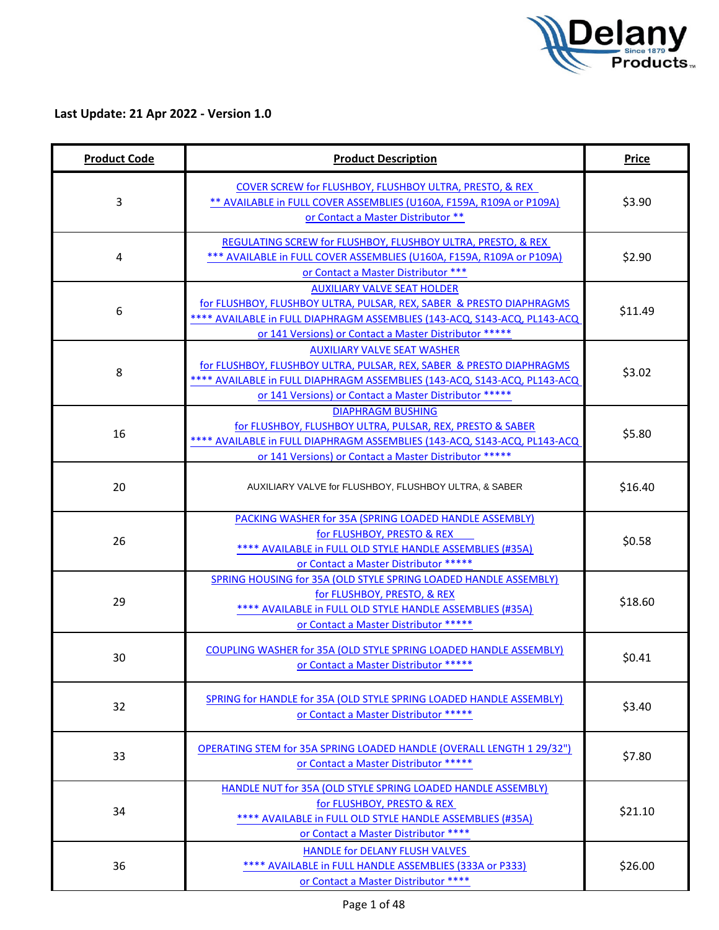

| <b>Product Code</b> | <b>Product Description</b>                                                                                                                                                                                                                        | <b>Price</b> |
|---------------------|---------------------------------------------------------------------------------------------------------------------------------------------------------------------------------------------------------------------------------------------------|--------------|
| 3                   | COVER SCREW for FLUSHBOY, FLUSHBOY ULTRA, PRESTO, & REX<br>** AVAILABLE in FULL COVER ASSEMBLIES (U160A, F159A, R109A or P109A)<br>or Contact a Master Distributor **                                                                             | \$3.90       |
| 4                   | REGULATING SCREW for FLUSHBOY, FLUSHBOY ULTRA, PRESTO, & REX<br>*** AVAILABLE in FULL COVER ASSEMBLIES (U160A, F159A, R109A or P109A)<br>or Contact a Master Distributor ***                                                                      | \$2.90       |
| 6                   | <b>AUXILIARY VALVE SEAT HOLDER</b><br>for FLUSHBOY, FLUSHBOY ULTRA, PULSAR, REX, SABER & PRESTO DIAPHRAGMS<br>**** AVAILABLE in FULL DIAPHRAGM ASSEMBLIES (143-ACQ, S143-ACQ, PL143-ACQ<br>or 141 Versions) or Contact a Master Distributor ***** | \$11.49      |
| 8                   | <b>AUXILIARY VALVE SEAT WASHER</b><br>for FLUSHBOY, FLUSHBOY ULTRA, PULSAR, REX, SABER & PRESTO DIAPHRAGMS<br>**** AVAILABLE in FULL DIAPHRAGM ASSEMBLIES (143-ACQ, S143-ACQ, PL143-ACQ<br>or 141 Versions) or Contact a Master Distributor ***** | \$3.02       |
| 16                  | <b>DIAPHRAGM BUSHING</b><br>for FLUSHBOY, FLUSHBOY ULTRA, PULSAR, REX, PRESTO & SABER<br>**** AVAILABLE in FULL DIAPHRAGM ASSEMBLIES (143-ACQ, S143-ACQ, PL143-ACQ<br>or 141 Versions) or Contact a Master Distributor *****                      | \$5.80       |
| 20                  | AUXILIARY VALVE for FLUSHBOY, FLUSHBOY ULTRA, & SABER                                                                                                                                                                                             | \$16.40      |
| 26                  | PACKING WASHER for 35A (SPRING LOADED HANDLE ASSEMBLY)<br>for FLUSHBOY, PRESTO & REX<br>**** AVAILABLE in FULL OLD STYLE HANDLE ASSEMBLIES (#35A)<br>or Contact a Master Distributor *****                                                        | \$0.58       |
| 29                  | SPRING HOUSING for 35A (OLD STYLE SPRING LOADED HANDLE ASSEMBLY)<br>for FLUSHBOY, PRESTO, & REX<br>**** AVAILABLE in FULL OLD STYLE HANDLE ASSEMBLIES (#35A)<br>or Contact a Master Distributor *****                                             | \$18.60      |
| 30                  | COUPLING WASHER for 35A (OLD STYLE SPRING LOADED HANDLE ASSEMBLY)<br>or Contact a Master Distributor *****                                                                                                                                        | \$0.41       |
| 32                  | SPRING for HANDLE for 35A (OLD STYLE SPRING LOADED HANDLE ASSEMBLY)<br>or Contact a Master Distributor *****                                                                                                                                      | \$3.40       |
| 33                  | <b>OPERATING STEM for 35A SPRING LOADED HANDLE (OVERALL LENGTH 1 29/32")</b><br>or Contact a Master Distributor *****                                                                                                                             | \$7.80       |
| 34                  | HANDLE NUT for 35A (OLD STYLE SPRING LOADED HANDLE ASSEMBLY)<br>for FLUSHBOY, PRESTO & REX<br>**** AVAILABLE in FULL OLD STYLE HANDLE ASSEMBLIES (#35A)<br>or Contact a Master Distributor ****                                                   | \$21.10      |
| 36                  | HANDLE for DELANY FLUSH VALVES<br>**** AVAILABLE in FULL HANDLE ASSEMBLIES (333A or P333)<br>or Contact a Master Distributor ****                                                                                                                 | \$26.00      |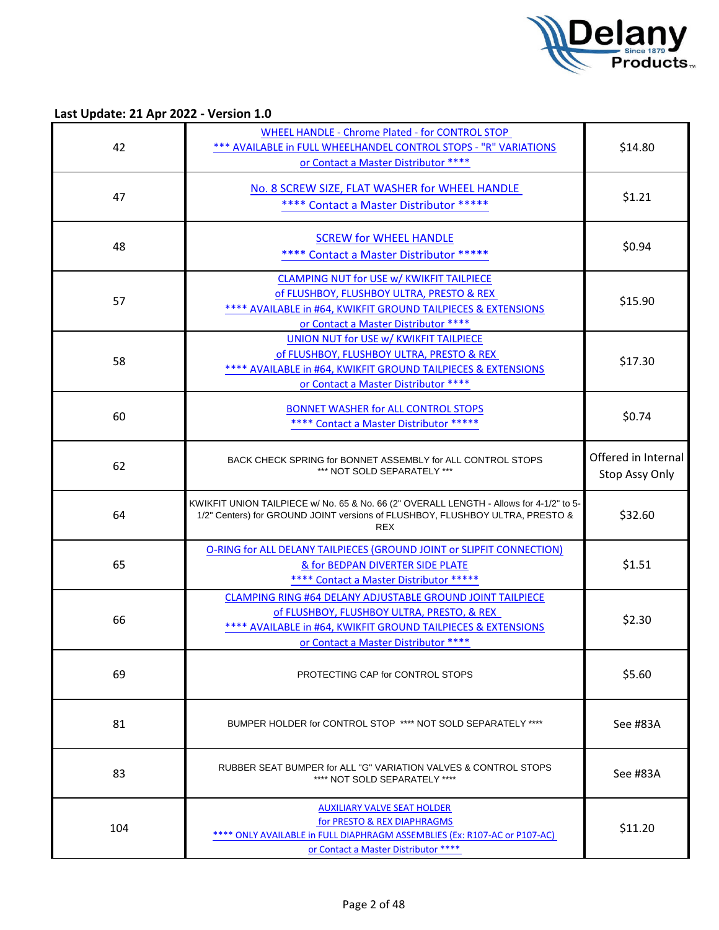

| 42  | <b>WHEEL HANDLE - Chrome Plated - for CONTROL STOP</b><br>*** AVAILABLE in FULL WHEELHANDEL CONTROL STOPS - "R" VARIATIONS<br>or Contact a Master Distributor ****                                               | \$14.80                               |
|-----|------------------------------------------------------------------------------------------------------------------------------------------------------------------------------------------------------------------|---------------------------------------|
| 47  | No. 8 SCREW SIZE, FLAT WASHER for WHEEL HANDLE<br>**** Contact a Master Distributor *****                                                                                                                        | \$1.21                                |
| 48  | <b>SCREW for WHEEL HANDLE</b><br>**** Contact a Master Distributor *****                                                                                                                                         | \$0.94                                |
| 57  | <b>CLAMPING NUT for USE w/ KWIKFIT TAILPIECE</b><br>of FLUSHBOY, FLUSHBOY ULTRA, PRESTO & REX<br>**** AVAILABLE in #64, KWIKFIT GROUND TAILPIECES & EXTENSIONS<br>or Contact a Master Distributor ****           | \$15.90                               |
| 58  | UNION NUT for USE w/ KWIKFIT TAILPIECE<br>of FLUSHBOY, FLUSHBOY ULTRA, PRESTO & REX<br>**** AVAILABLE in #64, KWIKFIT GROUND TAILPIECES & EXTENSIONS<br>or Contact a Master Distributor ****                     | \$17.30                               |
| 60  | <b>BONNET WASHER for ALL CONTROL STOPS</b><br>**** Contact a Master Distributor *****                                                                                                                            | \$0.74                                |
| 62  | BACK CHECK SPRING for BONNET ASSEMBLY for ALL CONTROL STOPS<br>*** NOT SOLD SEPARATELY ***                                                                                                                       | Offered in Internal<br>Stop Assy Only |
| 64  | KWIKFIT UNION TAILPIECE w/ No. 65 & No. 66 (2" OVERALL LENGTH - Allows for 4-1/2" to 5-<br>1/2" Centers) for GROUND JOINT versions of FLUSHBOY, FLUSHBOY ULTRA, PRESTO &<br><b>REX</b>                           | \$32.60                               |
| 65  | O-RING for ALL DELANY TAILPIECES (GROUND JOINT or SLIPFIT CONNECTION)<br>& for BEDPAN DIVERTER SIDE PLATE<br>**** Contact a Master Distributor *****                                                             | \$1.51                                |
| 66  | CLAMPING RING #64 DELANY ADJUSTABLE GROUND JOINT TAILPIECE<br>of FLUSHBOY, FLUSHBOY ULTRA, PRESTO, & REX<br>*** AVAILABLE in #64, KWIKFIT GROUND TAILPIECES & EXTENSIONS<br>or Contact a Master Distributor **** | \$2.30                                |
| 69  | PROTECTING CAP for CONTROL STOPS                                                                                                                                                                                 | \$5.60                                |
| 81  | BUMPER HOLDER for CONTROL STOP **** NOT SOLD SEPARATELY ****                                                                                                                                                     | See #83A                              |
| 83  | RUBBER SEAT BUMPER for ALL "G" VARIATION VALVES & CONTROL STOPS<br>**** NOT SOLD SEPARATELY ****                                                                                                                 | See #83A                              |
| 104 | <b>AUXILIARY VALVE SEAT HOLDER</b><br>for PRESTO & REX DIAPHRAGMS<br>**** ONLY AVAILABLE in FULL DIAPHRAGM ASSEMBLIES (Ex: R107-AC or P107-AC)<br>or Contact a Master Distributor ****                           | \$11.20                               |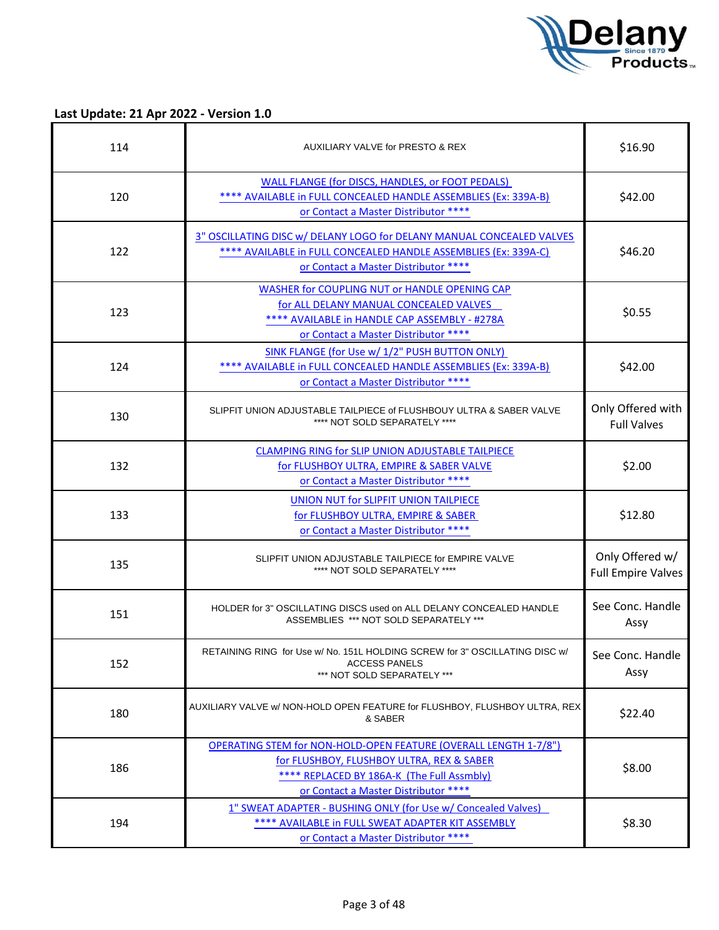

| 114 | AUXILIARY VALVE for PRESTO & REX                                                                                                                                                                           | \$16.90                                      |
|-----|------------------------------------------------------------------------------------------------------------------------------------------------------------------------------------------------------------|----------------------------------------------|
| 120 | WALL FLANGE (for DISCS, HANDLES, or FOOT PEDALS)<br>**** AVAILABLE in FULL CONCEALED HANDLE ASSEMBLIES (Ex: 339A-B)<br>or Contact a Master Distributor ****                                                | \$42.00                                      |
| 122 | 3" OSCILLATING DISC w/ DELANY LOGO for DELANY MANUAL CONCEALED VALVES<br>**** AVAILABLE in FULL CONCEALED HANDLE ASSEMBLIES (Ex: 339A-C)<br>or Contact a Master Distributor ****                           | \$46.20                                      |
| 123 | WASHER for COUPLING NUT or HANDLE OPENING CAP<br>for ALL DELANY MANUAL CONCEALED VALVES<br>**** AVAILABLE in HANDLE CAP ASSEMBLY - #278A<br>or Contact a Master Distributor ****                           | \$0.55                                       |
| 124 | SINK FLANGE (for Use w/ 1/2" PUSH BUTTON ONLY)<br>**** AVAILABLE in FULL CONCEALED HANDLE ASSEMBLIES (Ex: 339A-B)<br>or Contact a Master Distributor ****                                                  | \$42.00                                      |
| 130 | SLIPFIT UNION ADJUSTABLE TAILPIECE of FLUSHBOUY ULTRA & SABER VALVE<br>**** NOT SOLD SEPARATELY ****                                                                                                       | Only Offered with<br><b>Full Valves</b>      |
| 132 | <b>CLAMPING RING for SLIP UNION ADJUSTABLE TAILPIECE</b><br>for FLUSHBOY ULTRA, EMPIRE & SABER VALVE<br>or Contact a Master Distributor ****                                                               | \$2.00                                       |
| 133 | <b>UNION NUT for SLIPFIT UNION TAILPIECE</b><br>for FLUSHBOY ULTRA, EMPIRE & SABER<br>or Contact a Master Distributor ****                                                                                 | \$12.80                                      |
| 135 | SLIPFIT UNION ADJUSTABLE TAILPIECE for EMPIRE VALVE<br>**** NOT SOLD SEPARATELY ****                                                                                                                       | Only Offered w/<br><b>Full Empire Valves</b> |
| 151 | HOLDER for 3" OSCILLATING DISCS used on ALL DELANY CONCEALED HANDLE<br>ASSEMBLIES *** NOT SOLD SEPARATELY ***                                                                                              | See Conc. Handle<br>Assy                     |
| 152 | RETAINING RING for Use w/ No. 151L HOLDING SCREW for 3" OSCILLATING DISC w/<br><b>ACCESS PANELS</b><br>*** NOT SOLD SEPARATELY ***                                                                         | See Conc. Handle<br>Assy                     |
| 180 | AUXILIARY VALVE w/ NON-HOLD OPEN FEATURE for FLUSHBOY, FLUSHBOY ULTRA, REX<br>& SABER                                                                                                                      | \$22.40                                      |
| 186 | <b>OPERATING STEM for NON-HOLD-OPEN FEATURE (OVERALL LENGTH 1-7/8")</b><br>for FLUSHBOY, FLUSHBOY ULTRA, REX & SABER<br>**** REPLACED BY 186A-K (The Full Assmbly)<br>or Contact a Master Distributor **** | \$8.00                                       |
| 194 | 1" SWEAT ADAPTER - BUSHING ONLY (for Use w/ Concealed Valves)<br>**** AVAILABLE in FULL SWEAT ADAPTER KIT ASSEMBLY<br>or Contact a Master Distributor ****                                                 | \$8.30                                       |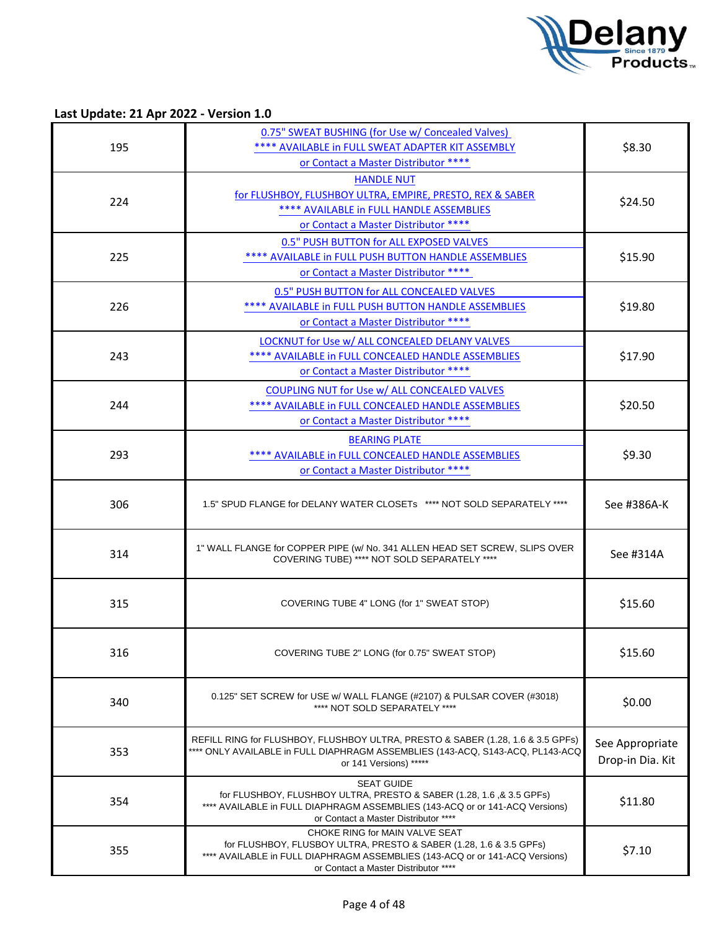

Last Update: 21 Apr 2022 - Version 1.0

| 195 | 0.75" SWEAT BUSHING (for Use w/ Concealed Valves)<br>**** AVAILABLE in FULL SWEAT ADAPTER KIT ASSEMBLY<br>or Contact a Master Distributor ****                                                                               | \$8.30                              |
|-----|------------------------------------------------------------------------------------------------------------------------------------------------------------------------------------------------------------------------------|-------------------------------------|
| 224 | <b>HANDLE NUT</b><br>for FLUSHBOY, FLUSHBOY ULTRA, EMPIRE, PRESTO, REX & SABER<br>**** AVAILABLE in FULL HANDLE ASSEMBLIES<br>or Contact a Master Distributor ****                                                           | \$24.50                             |
| 225 | 0.5" PUSH BUTTON for ALL EXPOSED VALVES<br>**** AVAILABLE in FULL PUSH BUTTON HANDLE ASSEMBLIES<br>or Contact a Master Distributor ****                                                                                      | \$15.90                             |
| 226 | 0.5" PUSH BUTTON for ALL CONCEALED VALVES<br>**** AVAILABLE in FULL PUSH BUTTON HANDLE ASSEMBLIES<br>or Contact a Master Distributor ****                                                                                    | \$19.80                             |
| 243 | LOCKNUT for Use w/ ALL CONCEALED DELANY VALVES<br>**** AVAILABLE in FULL CONCEALED HANDLE ASSEMBLIES<br>or Contact a Master Distributor ****                                                                                 | \$17.90                             |
| 244 | COUPLING NUT for Use w/ ALL CONCEALED VALVES<br>**** AVAILABLE in FULL CONCEALED HANDLE ASSEMBLIES<br>or Contact a Master Distributor ****                                                                                   | \$20.50                             |
| 293 | <b>BEARING PLATE</b><br>**** AVAILABLE in FULL CONCEALED HANDLE ASSEMBLIES<br>or Contact a Master Distributor ****                                                                                                           | \$9.30                              |
| 306 | 1.5" SPUD FLANGE for DELANY WATER CLOSETs **** NOT SOLD SEPARATELY ****                                                                                                                                                      | See #386A-K                         |
| 314 | 1" WALL FLANGE for COPPER PIPE (w/ No. 341 ALLEN HEAD SET SCREW, SLIPS OVER<br>COVERING TUBE) **** NOT SOLD SEPARATELY ****                                                                                                  | See #314A                           |
| 315 | COVERING TUBE 4" LONG (for 1" SWEAT STOP)                                                                                                                                                                                    | \$15.60                             |
| 316 | COVERING TUBE 2" LONG (for 0.75" SWEAT STOP)                                                                                                                                                                                 | \$15.60                             |
| 340 | 0.125" SET SCREW for USE w/ WALL FLANGE (#2107) & PULSAR COVER (#3018)<br>**** NOT SOLD SEPARATELY ****                                                                                                                      | \$0.00                              |
| 353 | REFILL RING for FLUSHBOY, FLUSHBOY ULTRA, PRESTO & SABER (1.28, 1.6 & 3.5 GPFs)<br>**** ONLY AVAILABLE in FULL DIAPHRAGM ASSEMBLIES (143-ACQ, S143-ACQ, PL143-ACQ<br>or 141 Versions) *****                                  | See Appropriate<br>Drop-in Dia. Kit |
| 354 | <b>SEAT GUIDE</b><br>for FLUSHBOY, FLUSHBOY ULTRA, PRESTO & SABER (1.28, 1.6, & 3.5 GPFs)<br>**** AVAILABLE in FULL DIAPHRAGM ASSEMBLIES (143-ACQ or or 141-ACQ Versions)<br>or Contact a Master Distributor ****            | \$11.80                             |
| 355 | CHOKE RING for MAIN VALVE SEAT<br>for FLUSHBOY, FLUSBOY ULTRA, PRESTO & SABER (1.28, 1.6 & 3.5 GPFs)<br>**** AVAILABLE in FULL DIAPHRAGM ASSEMBLIES (143-ACQ or or 141-ACQ Versions)<br>or Contact a Master Distributor **** | \$7.10                              |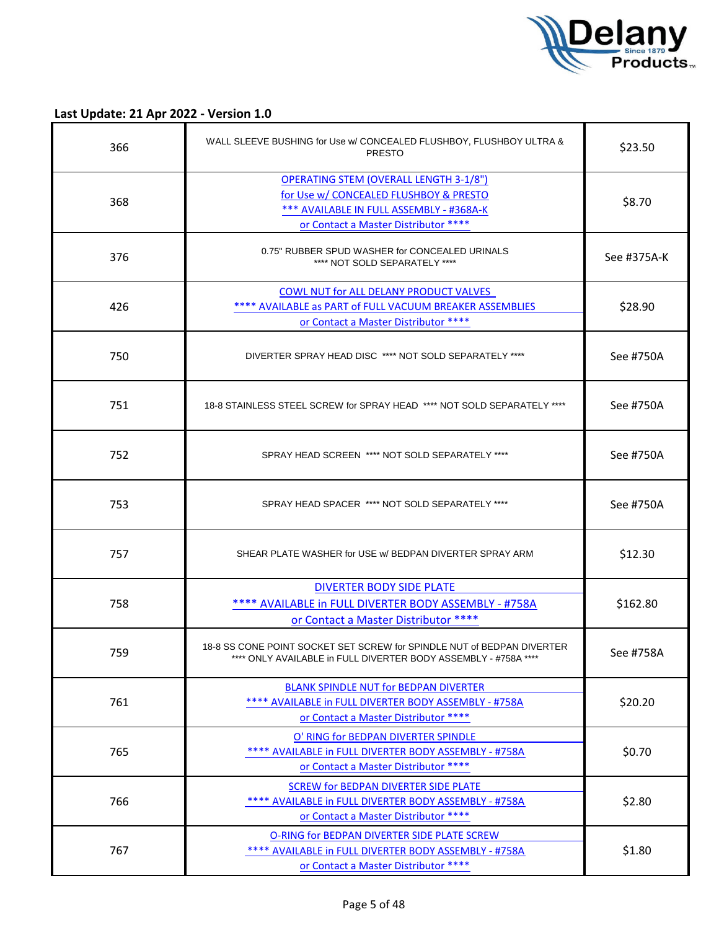

| 366 | WALL SLEEVE BUSHING for Use w/ CONCEALED FLUSHBOY, FLUSHBOY ULTRA &<br><b>PRESTO</b>                                                                                        | \$23.50     |
|-----|-----------------------------------------------------------------------------------------------------------------------------------------------------------------------------|-------------|
| 368 | <b>OPERATING STEM (OVERALL LENGTH 3-1/8")</b><br>for Use w/ CONCEALED FLUSHBOY & PRESTO<br>*** AVAILABLE IN FULL ASSEMBLY - #368A-K<br>or Contact a Master Distributor **** | \$8.70      |
| 376 | 0.75" RUBBER SPUD WASHER for CONCEALED URINALS<br>**** NOT SOLD SEPARATELY ****                                                                                             | See #375A-K |
| 426 | <b>COWL NUT for ALL DELANY PRODUCT VALVES</b><br>**** AVAILABLE as PART of FULL VACUUM BREAKER ASSEMBLIES<br>or Contact a Master Distributor ****                           | \$28.90     |
| 750 | DIVERTER SPRAY HEAD DISC **** NOT SOLD SEPARATELY ****                                                                                                                      | See #750A   |
| 751 | 18-8 STAINLESS STEEL SCREW for SPRAY HEAD **** NOT SOLD SEPARATELY ****                                                                                                     | See #750A   |
| 752 | SPRAY HEAD SCREEN **** NOT SOLD SEPARATELY ****                                                                                                                             | See #750A   |
| 753 | SPRAY HEAD SPACER **** NOT SOLD SEPARATELY ****                                                                                                                             | See #750A   |
| 757 | SHEAR PLATE WASHER for USE w/ BEDPAN DIVERTER SPRAY ARM                                                                                                                     | \$12.30     |
| 758 | <b>DIVERTER BODY SIDE PLATE</b><br>**** AVAILABLE in FULL DIVERTER BODY ASSEMBLY - #758A<br>or Contact a Master Distributor ****                                            | \$162.80    |
| 759 | 18-8 SS CONE POINT SOCKET SET SCREW for SPINDLE NUT of BEDPAN DIVERTER<br>**** ONLY AVAILABLE in FULL DIVERTER BODY ASSEMBLY - #758A ****                                   | See #758A   |
| 761 | <b>BLANK SPINDLE NUT for BEDPAN DIVERTER</b><br>**** AVAILABLE in FULL DIVERTER BODY ASSEMBLY - #758A<br>or Contact a Master Distributor ****                               | \$20.20     |
| 765 | O' RING for BEDPAN DIVERTER SPINDLE<br>**** AVAILABLE in FULL DIVERTER BODY ASSEMBLY - #758A<br>or Contact a Master Distributor ****                                        | \$0.70      |
| 766 | <b>SCREW for BEDPAN DIVERTER SIDE PLATE</b><br>**** AVAILABLE in FULL DIVERTER BODY ASSEMBLY - #758A<br>or Contact a Master Distributor ****                                | \$2.80      |
| 767 | O-RING for BEDPAN DIVERTER SIDE PLATE SCREW<br>**** AVAILABLE in FULL DIVERTER BODY ASSEMBLY - #758A<br>or Contact a Master Distributor ****                                | \$1.80      |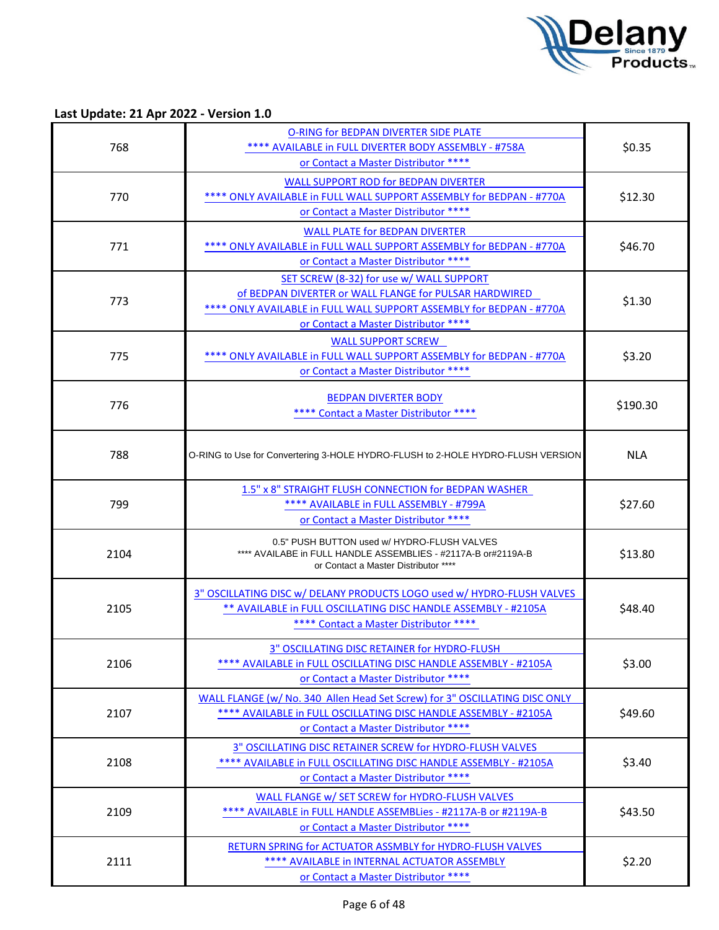

| 768  | <b>O-RING for BEDPAN DIVERTER SIDE PLATE</b><br>**** AVAILABLE in FULL DIVERTER BODY ASSEMBLY - #758A                                                                                                              | \$0.35     |
|------|--------------------------------------------------------------------------------------------------------------------------------------------------------------------------------------------------------------------|------------|
|      | or Contact a Master Distributor ****<br><b>WALL SUPPORT ROD for BEDPAN DIVERTER</b>                                                                                                                                |            |
| 770  | **** ONLY AVAILABLE in FULL WALL SUPPORT ASSEMBLY for BEDPAN - #770A<br>or Contact a Master Distributor ****                                                                                                       | \$12.30    |
| 771  | <b>WALL PLATE for BEDPAN DIVERTER</b><br>**** ONLY AVAILABLE in FULL WALL SUPPORT ASSEMBLY for BEDPAN - #770A<br>or Contact a Master Distributor ****                                                              | \$46.70    |
| 773  | SET SCREW (8-32) for use w/ WALL SUPPORT<br>of BEDPAN DIVERTER or WALL FLANGE for PULSAR HARDWIRED<br>**** ONLY AVAILABLE in FULL WALL SUPPORT ASSEMBLY for BEDPAN - #770A<br>or Contact a Master Distributor **** | \$1.30     |
| 775  | <b>WALL SUPPORT SCREW</b><br>**** ONLY AVAILABLE in FULL WALL SUPPORT ASSEMBLY for BEDPAN - #770A<br>or Contact a Master Distributor ****                                                                          | \$3.20     |
| 776  | <b>BEDPAN DIVERTER BODY</b><br>**** Contact a Master Distributor ****                                                                                                                                              | \$190.30   |
| 788  | O-RING to Use for Convertering 3-HOLE HYDRO-FLUSH to 2-HOLE HYDRO-FLUSH VERSION                                                                                                                                    | <b>NLA</b> |
| 799  | 1.5" x 8" STRAIGHT FLUSH CONNECTION for BEDPAN WASHER<br>**** AVAILABLE in FULL ASSEMBLY - #799A<br>or Contact a Master Distributor ****                                                                           | \$27.60    |
| 2104 | 0.5" PUSH BUTTON used w/ HYDRO-FLUSH VALVES<br>**** AVAILABE in FULL HANDLE ASSEMBLIES - #2117A-B or#2119A-B<br>or Contact a Master Distributor ****                                                               | \$13.80    |
| 2105 | 3" OSCILLATING DISC w/ DELANY PRODUCTS LOGO used w/ HYDRO-FLUSH VALVES<br>** AVAILABLE in FULL OSCILLATING DISC HANDLE ASSEMBLY - #2105A<br>**** Contact a Master Distributor ****                                 | \$48.40    |
| 2106 | 3" OSCILLATING DISC RETAINER for HYDRO-FLUSH<br>**** AVAILABLE in FULL OSCILLATING DISC HANDLE ASSEMBLY - #2105A<br>or Contact a Master Distributor ****                                                           | \$3.00     |
| 2107 | WALL FLANGE (w/ No. 340 Allen Head Set Screw) for 3" OSCILLATING DISC ONLY<br>**** AVAILABLE in FULL OSCILLATING DISC HANDLE ASSEMBLY - #2105A<br>or Contact a Master Distributor ****                             | \$49.60    |
| 2108 | 3" OSCILLATING DISC RETAINER SCREW for HYDRO-FLUSH VALVES<br>**** AVAILABLE in FULL OSCILLATING DISC HANDLE ASSEMBLY - #2105A<br>or Contact a Master Distributor ****                                              | \$3.40     |
| 2109 | WALL FLANGE w/ SET SCREW for HYDRO-FLUSH VALVES<br>**** AVAILABLE in FULL HANDLE ASSEMBLies - #2117A-B or #2119A-B<br>or Contact a Master Distributor ****                                                         | \$43.50    |
| 2111 | RETURN SPRING for ACTUATOR ASSMBLY for HYDRO-FLUSH VALVES<br>**** AVAILABLE in INTERNAL ACTUATOR ASSEMBLY<br>or Contact a Master Distributor ****                                                                  | \$2.20     |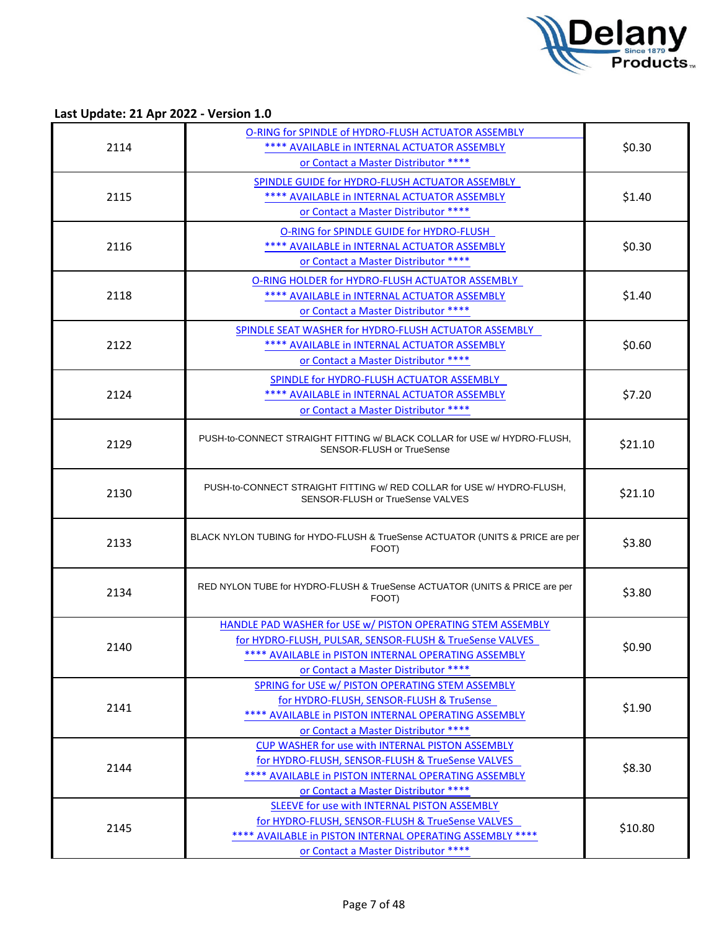

Last Update: 21 Apr 2022 - Version 1.0

|      | O-RING for SPINDLE of HYDRO-FLUSH ACTUATOR ASSEMBLY                                          |         |
|------|----------------------------------------------------------------------------------------------|---------|
| 2114 | **** AVAILABLE in INTERNAL ACTUATOR ASSEMBLY                                                 | \$0.30  |
|      | or Contact a Master Distributor ****                                                         |         |
|      | SPINDLE GUIDE for HYDRO-FLUSH ACTUATOR ASSEMBLY                                              |         |
| 2115 | **** AVAILABLE in INTERNAL ACTUATOR ASSEMBLY                                                 | \$1.40  |
|      | or Contact a Master Distributor ****                                                         |         |
|      | O-RING for SPINDLE GUIDE for HYDRO-FLUSH                                                     |         |
| 2116 | **** AVAILABLE in INTERNAL ACTUATOR ASSEMBLY                                                 | \$0.30  |
|      | or Contact a Master Distributor ****                                                         |         |
|      | O-RING HOLDER for HYDRO-FLUSH ACTUATOR ASSEMBLY                                              |         |
| 2118 | **** AVAILABLE in INTERNAL ACTUATOR ASSEMBLY                                                 | \$1.40  |
|      | or Contact a Master Distributor ****                                                         |         |
|      | SPINDLE SEAT WASHER for HYDRO-FLUSH ACTUATOR ASSEMBLY                                        |         |
| 2122 | **** AVAILABLE in INTERNAL ACTUATOR ASSEMBLY                                                 | \$0.60  |
|      | or Contact a Master Distributor ****                                                         |         |
|      |                                                                                              |         |
|      | SPINDLE for HYDRO-FLUSH ACTUATOR ASSEMBLY                                                    |         |
| 2124 | **** AVAILABLE in INTERNAL ACTUATOR ASSEMBLY                                                 | \$7.20  |
|      | or Contact a Master Distributor ****                                                         |         |
|      | PUSH-to-CONNECT STRAIGHT FITTING w/ BLACK COLLAR for USE w/ HYDRO-FLUSH.                     |         |
| 2129 | SENSOR-FLUSH or TrueSense                                                                    | \$21.10 |
|      |                                                                                              |         |
|      | PUSH-to-CONNECT STRAIGHT FITTING w/ RED COLLAR for USE w/ HYDRO-FLUSH.                       |         |
| 2130 | SENSOR-FLUSH or TrueSense VALVES                                                             | \$21.10 |
|      |                                                                                              |         |
|      | BLACK NYLON TUBING for HYDO-FLUSH & TrueSense ACTUATOR (UNITS & PRICE are per                |         |
| 2133 | FOOT)                                                                                        | \$3.80  |
|      |                                                                                              |         |
|      | RED NYLON TUBE for HYDRO-FLUSH & TrueSense ACTUATOR (UNITS & PRICE are per                   |         |
| 2134 | FOOT)                                                                                        | \$3.80  |
|      |                                                                                              |         |
|      | HANDLE PAD WASHER for USE w/ PISTON OPERATING STEM ASSEMBLY                                  |         |
| 2140 | for HYDRO-FLUSH, PULSAR, SENSOR-FLUSH & TrueSense VALVES                                     | \$0.90  |
|      | **** AVAILABLE in PISTON INTERNAL OPERATING ASSEMBLY<br>or Contact a Master Distributor **** |         |
|      | SPRING for USE w/ PISTON OPERATING STEM ASSEMBLY                                             |         |
|      | for HYDRO-FLUSH, SENSOR-FLUSH & TruSense                                                     |         |
| 2141 | **** AVAILABLE in PISTON INTERNAL OPERATING ASSEMBLY                                         | \$1.90  |
|      | or Contact a Master Distributor ****                                                         |         |
|      | <b>CUP WASHER for use with INTERNAL PISTON ASSEMBLY</b>                                      |         |
|      | for HYDRO-FLUSH, SENSOR-FLUSH & TrueSense VALVES                                             |         |
| 2144 | **** AVAILABLE in PISTON INTERNAL OPERATING ASSEMBLY                                         | \$8.30  |
|      | or Contact a Master Distributor ****                                                         |         |
|      |                                                                                              |         |
|      | SLEEVE for use with INTERNAL PISTON ASSEMBLY                                                 |         |
|      | for HYDRO-FLUSH, SENSOR-FLUSH & TrueSense VALVES                                             |         |
| 2145 | **** AVAILABLE in PISTON INTERNAL OPERATING ASSEMBLY ****                                    | \$10.80 |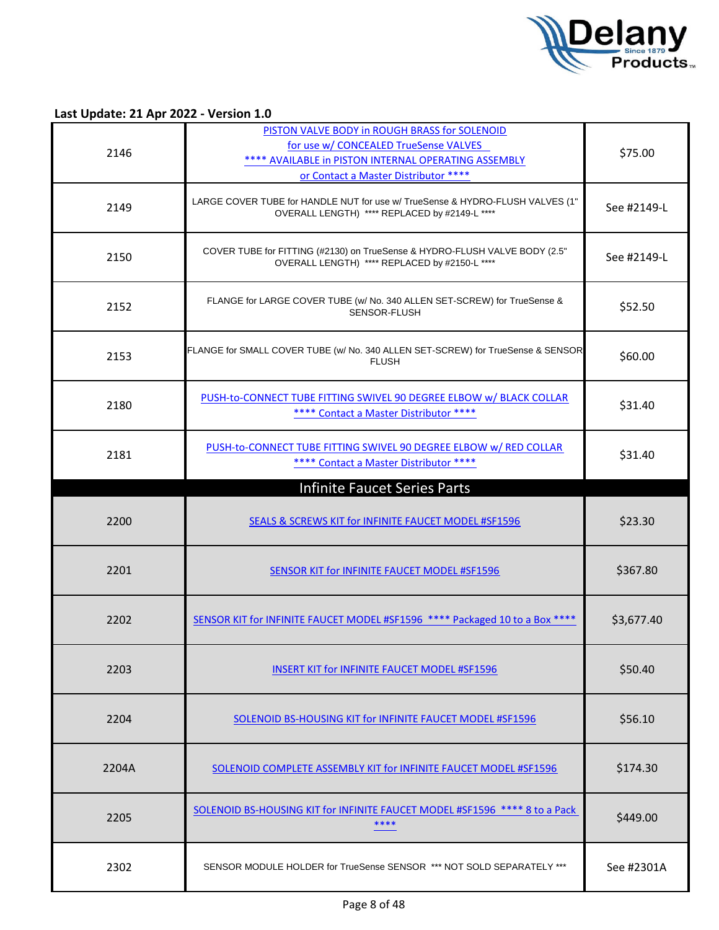

| 2146  | PISTON VALVE BODY in ROUGH BRASS for SOLENOID<br>for use w/ CONCEALED TrueSense VALVES<br>**** AVAILABLE in PISTON INTERNAL OPERATING ASSEMBLY<br>or Contact a Master Distributor **** | \$75.00     |
|-------|----------------------------------------------------------------------------------------------------------------------------------------------------------------------------------------|-------------|
| 2149  | LARGE COVER TUBE for HANDLE NUT for use w/ TrueSense & HYDRO-FLUSH VALVES (1"<br>OVERALL LENGTH) **** REPLACED by #2149-L ****                                                         | See #2149-L |
| 2150  | COVER TUBE for FITTING (#2130) on TrueSense & HYDRO-FLUSH VALVE BODY (2.5"<br>OVERALL LENGTH) **** REPLACED by #2150-L ****                                                            | See #2149-L |
| 2152  | FLANGE for LARGE COVER TUBE (w/ No. 340 ALLEN SET-SCREW) for TrueSense &<br>SENSOR-FLUSH                                                                                               | \$52.50     |
| 2153  | FLANGE for SMALL COVER TUBE (w/ No. 340 ALLEN SET-SCREW) for TrueSense & SENSOR<br><b>FLUSH</b>                                                                                        | \$60.00     |
| 2180  | PUSH-to-CONNECT TUBE FITTING SWIVEL 90 DEGREE ELBOW w/ BLACK COLLAR<br>**** Contact a Master Distributor ****                                                                          | \$31.40     |
| 2181  | PUSH-to-CONNECT TUBE FITTING SWIVEL 90 DEGREE ELBOW w/ RED COLLAR<br>**** Contact a Master Distributor ****                                                                            | \$31.40     |
|       | <b>Infinite Faucet Series Parts</b>                                                                                                                                                    |             |
| 2200  | <b>SEALS &amp; SCREWS KIT for INFINITE FAUCET MODEL #SF1596</b>                                                                                                                        | \$23.30     |
| 2201  | SENSOR KIT for INFINITE FAUCET MODEL #SF1596                                                                                                                                           | \$367.80    |
| 2202  | SENSOR KIT for INFINITE FAUCET MODEL #SF1596 **** Packaged 10 to a Box ****                                                                                                            | \$3,677.40  |
| 2203  | <b>INSERT KIT for INFINITE FAUCET MODEL #SF1596</b>                                                                                                                                    | \$50.40     |
| 2204  | SOLENOID BS-HOUSING KIT for INFINITE FAUCET MODEL #SF1596                                                                                                                              | \$56.10     |
| 2204A | SOLENOID COMPLETE ASSEMBLY KIT for INFINITE FAUCET MODEL #SF1596                                                                                                                       | \$174.30    |
| 2205  | SOLENOID BS-HOUSING KIT for INFINITE FAUCET MODEL #SF1596 **** 8 to a Pack                                                                                                             | \$449.00    |
| 2302  | SENSOR MODULE HOLDER for TrueSense SENSOR *** NOT SOLD SEPARATELY ***                                                                                                                  | See #2301A  |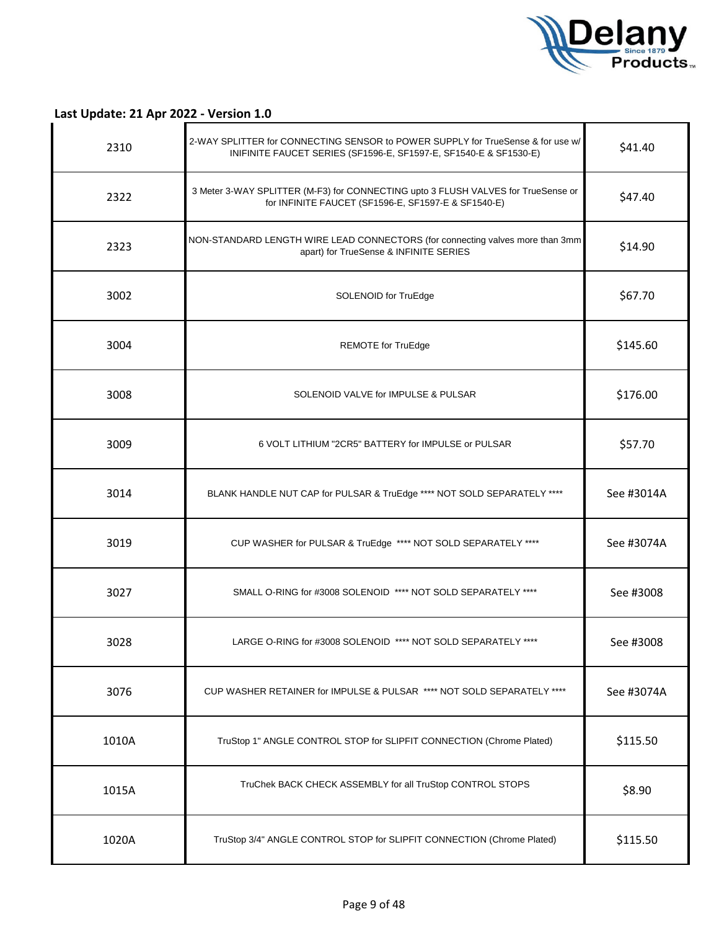

| 2310  | 2-WAY SPLITTER for CONNECTING SENSOR to POWER SUPPLY for TrueSense & for use w/<br>INIFINITE FAUCET SERIES (SF1596-E, SF1597-E, SF1540-E & SF1530-E) | \$41.40    |
|-------|------------------------------------------------------------------------------------------------------------------------------------------------------|------------|
| 2322  | 3 Meter 3-WAY SPLITTER (M-F3) for CONNECTING upto 3 FLUSH VALVES for TrueSense or<br>for INFINITE FAUCET (SF1596-E, SF1597-E & SF1540-E)             | \$47.40    |
| 2323  | NON-STANDARD LENGTH WIRE LEAD CONNECTORS (for connecting valves more than 3mm<br>apart) for TrueSense & INFINITE SERIES                              | \$14.90    |
| 3002  | SOLENOID for TruEdge                                                                                                                                 | \$67.70    |
| 3004  | <b>REMOTE</b> for TruEdge                                                                                                                            | \$145.60   |
| 3008  | SOLENOID VALVE for IMPULSE & PULSAR                                                                                                                  | \$176.00   |
| 3009  | 6 VOLT LITHIUM "2CR5" BATTERY for IMPULSE or PULSAR                                                                                                  | \$57.70    |
| 3014  | BLANK HANDLE NUT CAP for PULSAR & TruEdge **** NOT SOLD SEPARATELY ****                                                                              | See #3014A |
| 3019  | CUP WASHER for PULSAR & TruEdge **** NOT SOLD SEPARATELY ****                                                                                        | See #3074A |
| 3027  | SMALL O-RING for #3008 SOLENOID **** NOT SOLD SEPARATELY ****                                                                                        | See #3008  |
| 3028  | LARGE O-RING for #3008 SOLENOID **** NOT SOLD SEPARATELY ****                                                                                        | See #3008  |
| 3076  | CUP WASHER RETAINER for IMPULSE & PULSAR **** NOT SOLD SEPARATELY ****                                                                               | See #3074A |
| 1010A | TruStop 1" ANGLE CONTROL STOP for SLIPFIT CONNECTION (Chrome Plated)                                                                                 | \$115.50   |
| 1015A | TruChek BACK CHECK ASSEMBLY for all TruStop CONTROL STOPS                                                                                            | \$8.90     |
| 1020A | TruStop 3/4" ANGLE CONTROL STOP for SLIPFIT CONNECTION (Chrome Plated)                                                                               | \$115.50   |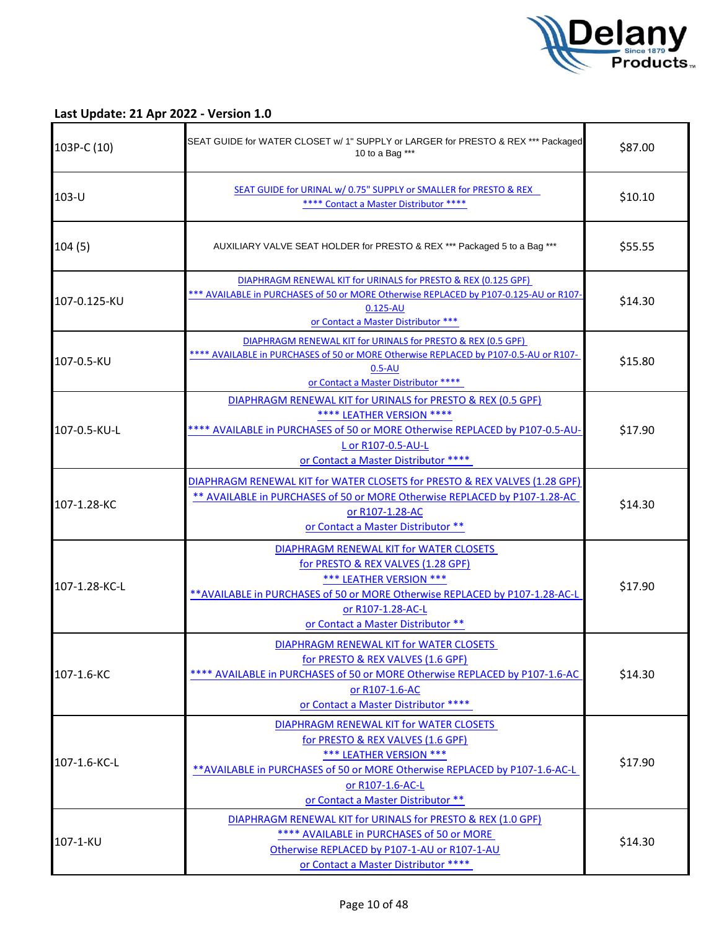

| 103P-C (10)   | SEAT GUIDE for WATER CLOSET w/ 1" SUPPLY or LARGER for PRESTO & REX *** Packaged<br>10 to a Bag ***                                                                                                                                                 | \$87.00 |
|---------------|-----------------------------------------------------------------------------------------------------------------------------------------------------------------------------------------------------------------------------------------------------|---------|
| $103-U$       | SEAT GUIDE for URINAL w/ 0.75" SUPPLY or SMALLER for PRESTO & REX<br>**** Contact a Master Distributor ****                                                                                                                                         | \$10.10 |
| 104(5)        | AUXILIARY VALVE SEAT HOLDER for PRESTO & REX *** Packaged 5 to a Bag ***                                                                                                                                                                            | \$55.55 |
| 107-0.125-KU  | DIAPHRAGM RENEWAL KIT for URINALS for PRESTO & REX (0.125 GPF)<br>*** AVAILABLE in PURCHASES of 50 or MORE Otherwise REPLACED by P107-0.125-AU or R107-<br>$0.125 - AU$<br>or Contact a Master Distributor ***                                      | \$14.30 |
| 107-0.5-KU    | DIAPHRAGM RENEWAL KIT for URINALS for PRESTO & REX (0.5 GPF)<br>**** AVAILABLE in PURCHASES of 50 or MORE Otherwise REPLACED by P107-0.5-AU or R107-<br>$0.5 - AU$<br>or Contact a Master Distributor ****                                          | \$15.80 |
| 107-0.5-KU-L  | DIAPHRAGM RENEWAL KIT for URINALS for PRESTO & REX (0.5 GPF)<br>**** LEATHER VERSION ****<br>**** AVAILABLE in PURCHASES of 50 or MORE Otherwise REPLACED by P107-0.5-AU-<br>L or R107-0.5-AU-L<br>or Contact a Master Distributor ****             | \$17.90 |
| 107-1.28-KC   | DIAPHRAGM RENEWAL KIT for WATER CLOSETS for PRESTO & REX VALVES (1.28 GPF)<br>** AVAILABLE in PURCHASES of 50 or MORE Otherwise REPLACED by P107-1.28-AC<br>or R107-1.28-AC<br>or Contact a Master Distributor **                                   | \$14.30 |
| 107-1.28-KC-L | DIAPHRAGM RENEWAL KIT for WATER CLOSETS<br>for PRESTO & REX VALVES (1.28 GPF)<br>*** LEATHER VERSION ***<br>** AVAILABLE in PURCHASES of 50 or MORE Otherwise REPLACED by P107-1.28-AC-L<br>or R107-1.28-AC-L<br>or Contact a Master Distributor ** | \$17.90 |
| 107-1.6-KC    | DIAPHRAGM RENEWAL KIT for WATER CLOSETS<br>for PRESTO & REX VALVES (1.6 GPF)<br>**** AVAILABLE in PURCHASES of 50 or MORE Otherwise REPLACED by P107-1.6-AC<br>or R107-1.6-AC<br>or Contact a Master Distributor ****                               | \$14.30 |
| 107-1.6-KC-L  | DIAPHRAGM RENEWAL KIT for WATER CLOSETS<br>for PRESTO & REX VALVES (1.6 GPF)<br>*** LEATHER VERSION ***<br>** AVAILABLE in PURCHASES of 50 or MORE Otherwise REPLACED by P107-1.6-AC-L<br>or R107-1.6-AC-L<br>or Contact a Master Distributor **    | \$17.90 |
| 107-1-KU      | DIAPHRAGM RENEWAL KIT for URINALS for PRESTO & REX (1.0 GPF)<br>**** AVAILABLE in PURCHASES of 50 or MORE<br>Otherwise REPLACED by P107-1-AU or R107-1-AU<br>or Contact a Master Distributor ****                                                   | \$14.30 |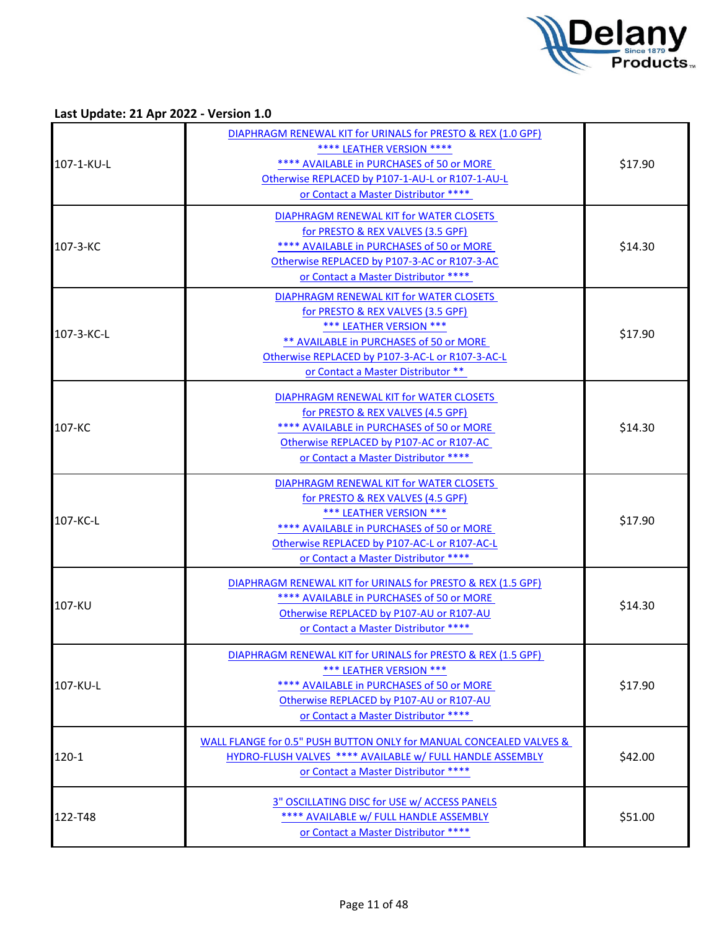

| 107-1-KU-L | DIAPHRAGM RENEWAL KIT for URINALS for PRESTO & REX (1.0 GPF)<br>**** LEATHER VERSION ****<br>**** AVAILABLE in PURCHASES of 50 or MORE<br>Otherwise REPLACED by P107-1-AU-L or R107-1-AU-L<br>or Contact a Master Distributor ****                  | \$17.90 |
|------------|-----------------------------------------------------------------------------------------------------------------------------------------------------------------------------------------------------------------------------------------------------|---------|
| 107-3-KC   | DIAPHRAGM RENEWAL KIT for WATER CLOSETS<br>for PRESTO & REX VALVES (3.5 GPF)<br>**** AVAILABLE in PURCHASES of 50 or MORE<br>Otherwise REPLACED by P107-3-AC or R107-3-AC<br>or Contact a Master Distributor ****                                   | \$14.30 |
| 107-3-KC-L | DIAPHRAGM RENEWAL KIT for WATER CLOSETS<br>for PRESTO & REX VALVES (3.5 GPF)<br>*** LEATHER VERSION ***<br>** AVAILABLE in PURCHASES of 50 or MORE<br>Otherwise REPLACED by P107-3-AC-L or R107-3-AC-L<br>or Contact a Master Distributor **        | \$17.90 |
| 107-KC     | DIAPHRAGM RENEWAL KIT for WATER CLOSETS<br>for PRESTO & REX VALVES (4.5 GPF)<br>**** AVAILABLE in PURCHASES of 50 or MORE<br>Otherwise REPLACED by P107-AC or R107-AC<br>or Contact a Master Distributor ****                                       | \$14.30 |
| 107-KC-L   | DIAPHRAGM RENEWAL KIT for WATER CLOSETS<br>for PRESTO & REX VALVES (4.5 GPF)<br><b>*** LEATHER VERSION ***</b><br>**** AVAILABLE in PURCHASES of 50 or MORE<br>Otherwise REPLACED by P107-AC-L or R107-AC-L<br>or Contact a Master Distributor **** | \$17.90 |
| 107-KU     | DIAPHRAGM RENEWAL KIT for URINALS for PRESTO & REX (1.5 GPF)<br>**** AVAILABLE in PURCHASES of 50 or MORE<br>Otherwise REPLACED by P107-AU or R107-AU<br>or Contact a Master Distributor ****                                                       | \$14.30 |
| 107-KU-L   | DIAPHRAGM RENEWAL KIT for URINALS for PRESTO & REX (1.5 GPF)<br>*** LEATHER VERSION ***<br>**** AVAILABLE in PURCHASES of 50 or MORE<br>Otherwise REPLACED by P107-AU or R107-AU<br>or Contact a Master Distributor ****                            | \$17.90 |
| $120-1$    | WALL FLANGE for 0.5" PUSH BUTTON ONLY for MANUAL CONCEALED VALVES &<br>HYDRO-FLUSH VALVES **** AVAILABLE w/ FULL HANDLE ASSEMBLY<br>or Contact a Master Distributor ****                                                                            | \$42.00 |
| 122-T48    | 3" OSCILLATING DISC for USE w/ ACCESS PANELS<br>**** AVAILABLE w/ FULL HANDLE ASSEMBLY<br>or Contact a Master Distributor ****                                                                                                                      | \$51.00 |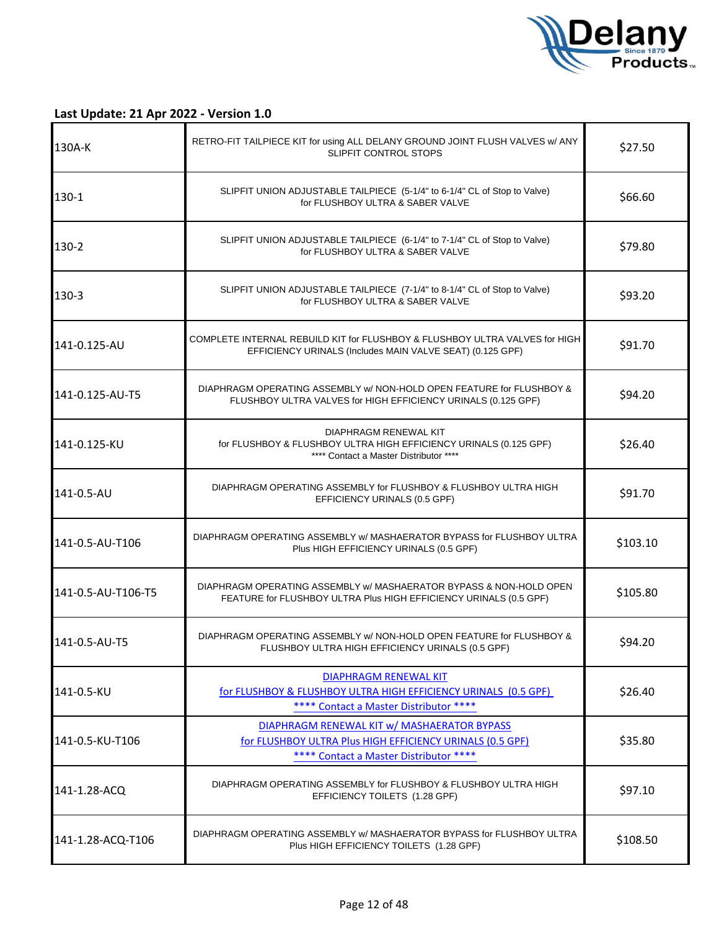

| 130A-K             | RETRO-FIT TAILPIECE KIT for using ALL DELANY GROUND JOINT FLUSH VALVES w/ ANY<br><b>SLIPFIT CONTROL STOPS</b>                                      | \$27.50  |
|--------------------|----------------------------------------------------------------------------------------------------------------------------------------------------|----------|
| 130-1              | SLIPFIT UNION ADJUSTABLE TAILPIECE (5-1/4" to 6-1/4" CL of Stop to Valve)<br>for FLUSHBOY ULTRA & SABER VALVE                                      | \$66.60  |
| 130-2              | SLIPFIT UNION ADJUSTABLE TAILPIECE (6-1/4" to 7-1/4" CL of Stop to Valve)<br>for FLUSHBOY ULTRA & SABER VALVE                                      | \$79.80  |
| 130-3              | SLIPFIT UNION ADJUSTABLE TAILPIECE (7-1/4" to 8-1/4" CL of Stop to Valve)<br>for FLUSHBOY ULTRA & SABER VALVE                                      | \$93.20  |
| 141-0.125-AU       | COMPLETE INTERNAL REBUILD KIT for FLUSHBOY & FLUSHBOY ULTRA VALVES for HIGH<br>EFFICIENCY URINALS (Includes MAIN VALVE SEAT) (0.125 GPF)           | \$91.70  |
| 141-0.125-AU-T5    | DIAPHRAGM OPERATING ASSEMBLY w/ NON-HOLD OPEN FEATURE for FLUSHBOY &<br>FLUSHBOY ULTRA VALVES for HIGH EFFICIENCY URINALS (0.125 GPF)              | \$94.20  |
| 141-0.125-KU       | DIAPHRAGM RENEWAL KIT<br>for FLUSHBOY & FLUSHBOY ULTRA HIGH EFFICIENCY URINALS (0.125 GPF)<br>**** Contact a Master Distributor ****               | \$26.40  |
| 141-0.5-AU         | DIAPHRAGM OPERATING ASSEMBLY for FLUSHBOY & FLUSHBOY ULTRA HIGH<br>EFFICIENCY URINALS (0.5 GPF)                                                    | \$91.70  |
| 141-0.5-AU-T106    | DIAPHRAGM OPERATING ASSEMBLY w/ MASHAERATOR BYPASS for FLUSHBOY ULTRA<br>Plus HIGH EFFICIENCY URINALS (0.5 GPF)                                    | \$103.10 |
| 141-0.5-AU-T106-T5 | DIAPHRAGM OPERATING ASSEMBLY w/ MASHAERATOR BYPASS & NON-HOLD OPEN<br>FEATURE for FLUSHBOY ULTRA Plus HIGH EFFICIENCY URINALS (0.5 GPF)            | \$105.80 |
| 141-0.5-AU-T5      | DIAPHRAGM OPERATING ASSEMBLY w/ NON-HOLD OPEN FEATURE for FLUSHBOY &<br>FLUSHBOY ULTRA HIGH EFFICIENCY URINALS (0.5 GPF)                           | \$94.20  |
| 141-0.5-KU         | DIAPHRAGM RENEWAL KIT<br>for FLUSHBOY & FLUSHBOY ULTRA HIGH EFFICIENCY URINALS (0.5 GPF)<br>**** Contact a Master Distributor ****                 | \$26.40  |
| 141-0.5-KU-T106    | DIAPHRAGM RENEWAL KIT w/ MASHAERATOR BYPASS<br>for FLUSHBOY ULTRA Plus HIGH EFFICIENCY URINALS (0.5 GPF)<br>**** Contact a Master Distributor **** | \$35.80  |
| 141-1.28-ACQ       | DIAPHRAGM OPERATING ASSEMBLY for FLUSHBOY & FLUSHBOY ULTRA HIGH<br>EFFICIENCY TOILETS (1.28 GPF)                                                   | \$97.10  |
| 141-1.28-ACQ-T106  | DIAPHRAGM OPERATING ASSEMBLY w/ MASHAERATOR BYPASS for FLUSHBOY ULTRA<br>Plus HIGH EFFICIENCY TOILETS (1.28 GPF)                                   | \$108.50 |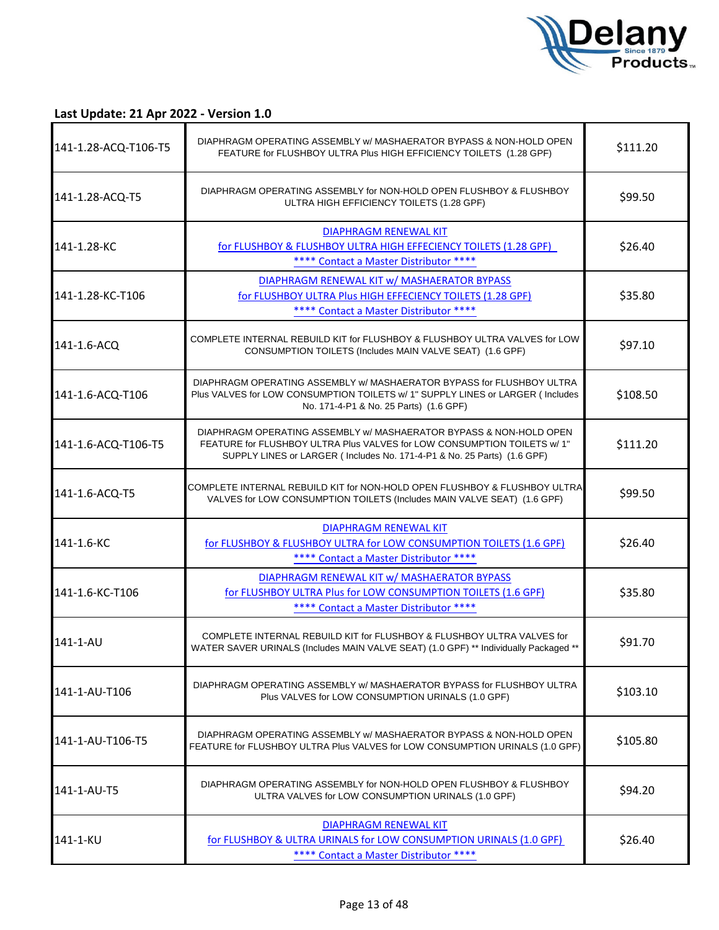

| 141-1.28-ACQ-T106-T5 | DIAPHRAGM OPERATING ASSEMBLY w/ MASHAERATOR BYPASS & NON-HOLD OPEN<br>FEATURE for FLUSHBOY ULTRA Plus HIGH EFFICIENCY TOILETS (1.28 GPF)                                                                                  | \$111.20 |
|----------------------|---------------------------------------------------------------------------------------------------------------------------------------------------------------------------------------------------------------------------|----------|
| 141-1.28-ACQ-T5      | DIAPHRAGM OPERATING ASSEMBLY for NON-HOLD OPEN FLUSHBOY & FLUSHBOY<br>ULTRA HIGH EFFICIENCY TOILETS (1.28 GPF)                                                                                                            | \$99.50  |
| 141-1.28-KC          | <b>DIAPHRAGM RENEWAL KIT</b><br>for FLUSHBOY & FLUSHBOY ULTRA HIGH EFFECIENCY TOILETS (1.28 GPF)<br>**** Contact a Master Distributor ****                                                                                | \$26.40  |
| 141-1.28-KC-T106     | DIAPHRAGM RENEWAL KIT w/ MASHAERATOR BYPASS<br>for FLUSHBOY ULTRA Plus HIGH EFFECIENCY TOILETS (1.28 GPF)<br>**** Contact a Master Distributor ****                                                                       | \$35.80  |
| 141-1.6-ACQ          | COMPLETE INTERNAL REBUILD KIT for FLUSHBOY & FLUSHBOY ULTRA VALVES for LOW<br>CONSUMPTION TOILETS (Includes MAIN VALVE SEAT) (1.6 GPF)                                                                                    | \$97.10  |
| 141-1.6-ACQ-T106     | DIAPHRAGM OPERATING ASSEMBLY w/ MASHAERATOR BYPASS for FLUSHBOY ULTRA<br>Plus VALVES for LOW CONSUMPTION TOILETS w/ 1" SUPPLY LINES or LARGER (Includes<br>No. 171-4-P1 & No. 25 Parts) (1.6 GPF)                         | \$108.50 |
| 141-1.6-ACQ-T106-T5  | DIAPHRAGM OPERATING ASSEMBLY w/ MASHAERATOR BYPASS & NON-HOLD OPEN<br>FEATURE for FLUSHBOY ULTRA Plus VALVES for LOW CONSUMPTION TOILETS w/ 1"<br>SUPPLY LINES or LARGER (Includes No. 171-4-P1 & No. 25 Parts) (1.6 GPF) | \$111.20 |
| 141-1.6-ACQ-T5       | COMPLETE INTERNAL REBUILD KIT for NON-HOLD OPEN FLUSHBOY & FLUSHBOY ULTRA<br>VALVES for LOW CONSUMPTION TOILETS (Includes MAIN VALVE SEAT) (1.6 GPF)                                                                      | \$99.50  |
| 141-1.6-KC           | <b>DIAPHRAGM RENEWAL KIT</b><br>for FLUSHBOY & FLUSHBOY ULTRA for LOW CONSUMPTION TOILETS (1.6 GPF)<br>**** Contact a Master Distributor ****                                                                             | \$26.40  |
| 141-1.6-KC-T106      | DIAPHRAGM RENEWAL KIT w/ MASHAERATOR BYPASS<br>for FLUSHBOY ULTRA Plus for LOW CONSUMPTION TOILETS (1.6 GPF)<br>**** Contact a Master Distributor ****                                                                    | \$35.80  |
| 141-1-AU             | COMPLETE INTERNAL REBUILD KIT for FLUSHBOY & FLUSHBOY ULTRA VALVES for<br>WATER SAVER URINALS (Includes MAIN VALVE SEAT) (1.0 GPF) ** Individually Packaged **                                                            | \$91.70  |
| 141-1-AU-T106        | DIAPHRAGM OPERATING ASSEMBLY w/ MASHAERATOR BYPASS for FLUSHBOY ULTRA<br>Plus VALVES for LOW CONSUMPTION URINALS (1.0 GPF)                                                                                                | \$103.10 |
| 141-1-AU-T106-T5     | DIAPHRAGM OPERATING ASSEMBLY w/ MASHAERATOR BYPASS & NON-HOLD OPEN<br>FEATURE for FLUSHBOY ULTRA Plus VALVES for LOW CONSUMPTION URINALS (1.0 GPF)                                                                        | \$105.80 |
| 141-1-AU-T5          | DIAPHRAGM OPERATING ASSEMBLY for NON-HOLD OPEN FLUSHBOY & FLUSHBOY<br>ULTRA VALVES for LOW CONSUMPTION URINALS (1.0 GPF)                                                                                                  | \$94.20  |
| 141-1-KU             | <b>DIAPHRAGM RENEWAL KIT</b><br>for FLUSHBOY & ULTRA URINALS for LOW CONSUMPTION URINALS (1.0 GPF)<br>**** Contact a Master Distributor ****                                                                              | \$26.40  |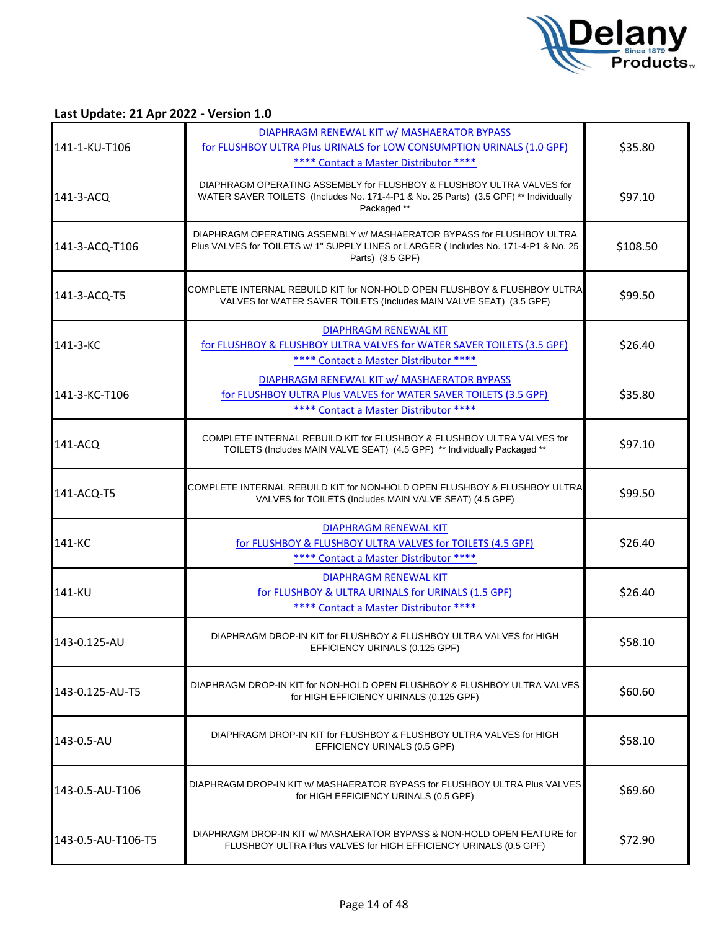

|                    | DIAPHRAGM RENEWAL KIT w/ MASHAERATOR BYPASS                                                                                                                                       |          |
|--------------------|-----------------------------------------------------------------------------------------------------------------------------------------------------------------------------------|----------|
| 141-1-KU-T106      | for FLUSHBOY ULTRA Plus URINALS for LOW CONSUMPTION URINALS (1.0 GPF)                                                                                                             | \$35.80  |
|                    | **** Contact a Master Distributor ****                                                                                                                                            |          |
| 141-3-ACQ          | DIAPHRAGM OPERATING ASSEMBLY for FLUSHBOY & FLUSHBOY ULTRA VALVES for<br>WATER SAVER TOILETS (Includes No. 171-4-P1 & No. 25 Parts) (3.5 GPF) ** Individually<br>Packaged **      | \$97.10  |
| 141-3-ACQ-T106     | DIAPHRAGM OPERATING ASSEMBLY W/ MASHAERATOR BYPASS for FLUSHBOY ULTRA<br>Plus VALVES for TOILETS w/ 1" SUPPLY LINES or LARGER (Includes No. 171-4-P1 & No. 25<br>Parts) (3.5 GPF) | \$108.50 |
| 141-3-ACQ-T5       | COMPLETE INTERNAL REBUILD KIT for NON-HOLD OPEN FLUSHBOY & FLUSHBOY ULTRA<br>VALVES for WATER SAVER TOILETS (Includes MAIN VALVE SEAT) (3.5 GPF)                                  | \$99.50  |
| 141-3-KC           | <b>DIAPHRAGM RENEWAL KIT</b><br>for FLUSHBOY & FLUSHBOY ULTRA VALVES for WATER SAVER TOILETS (3.5 GPF)<br>**** Contact a Master Distributor ****                                  | \$26.40  |
| 141-3-KC-T106      | DIAPHRAGM RENEWAL KIT w/ MASHAERATOR BYPASS<br>for FLUSHBOY ULTRA Plus VALVES for WATER SAVER TOILETS (3.5 GPF)<br>**** Contact a Master Distributor ****                         | \$35.80  |
| 141-ACQ            | COMPLETE INTERNAL REBUILD KIT for FLUSHBOY & FLUSHBOY ULTRA VALVES for<br>TOILETS (Includes MAIN VALVE SEAT) (4.5 GPF) ** Individually Packaged **                                | \$97.10  |
| 141-ACQ-T5         | COMPLETE INTERNAL REBUILD KIT for NON-HOLD OPEN FLUSHBOY & FLUSHBOY ULTRA<br>VALVES for TOILETS (Includes MAIN VALVE SEAT) (4.5 GPF)                                              | \$99.50  |
| 141-KC             | <b>DIAPHRAGM RENEWAL KIT</b><br>for FLUSHBOY & FLUSHBOY ULTRA VALVES for TOILETS (4.5 GPF)<br>**** Contact a Master Distributor ****                                              | \$26.40  |
| 141-KU             | <b>DIAPHRAGM RENEWAL KIT</b><br>for FLUSHBOY & ULTRA URINALS for URINALS (1.5 GPF)<br>**** Contact a Master Distributor ****                                                      | \$26.40  |
| 143-0.125-AU       | DIAPHRAGM DROP-IN KIT for FLUSHBOY & FLUSHBOY ULTRA VALVES for HIGH<br>EFFICIENCY URINALS (0.125 GPF)                                                                             | \$58.10  |
| 143-0.125-AU-T5    | DIAPHRAGM DROP-IN KIT for NON-HOLD OPEN FLUSHBOY & FLUSHBOY ULTRA VALVES<br>for HIGH EFFICIENCY URINALS (0.125 GPF)                                                               | \$60.60  |
| 143-0.5-AU         | DIAPHRAGM DROP-IN KIT for FLUSHBOY & FLUSHBOY ULTRA VALVES for HIGH<br>EFFICIENCY URINALS (0.5 GPF)                                                                               | \$58.10  |
| 143-0.5-AU-T106    | DIAPHRAGM DROP-IN KIT w/ MASHAERATOR BYPASS for FLUSHBOY ULTRA Plus VALVES<br>for HIGH EFFICIENCY URINALS (0.5 GPF)                                                               | \$69.60  |
| 143-0.5-AU-T106-T5 | DIAPHRAGM DROP-IN KIT w/ MASHAERATOR BYPASS & NON-HOLD OPEN FEATURE for<br>FLUSHBOY ULTRA Plus VALVES for HIGH EFFICIENCY URINALS (0.5 GPF)                                       | \$72.90  |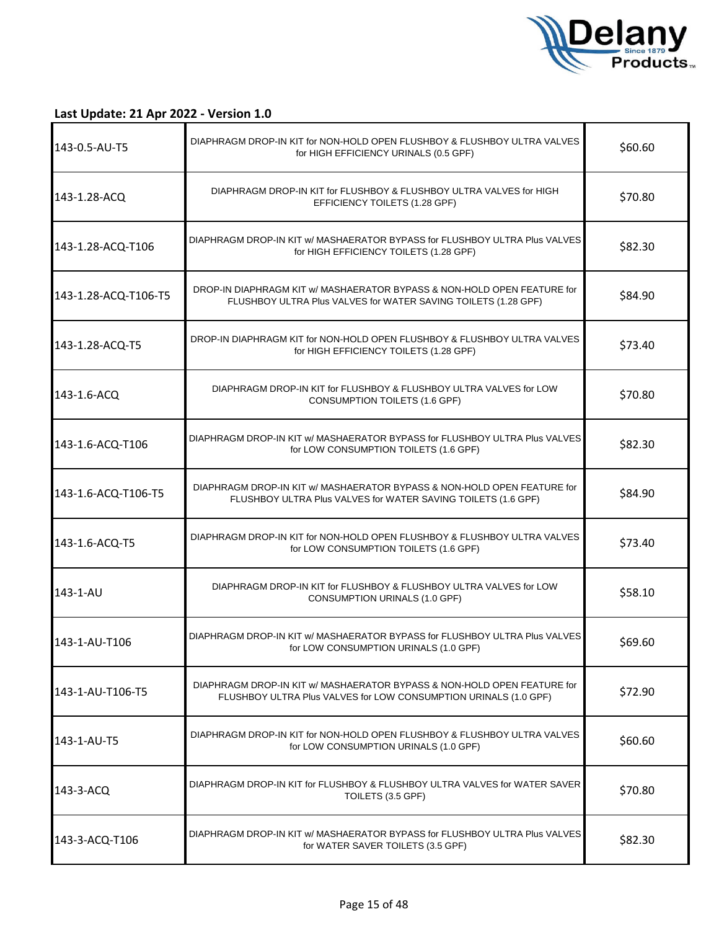

| 143-0.5-AU-T5        | DIAPHRAGM DROP-IN KIT for NON-HOLD OPEN FLUSHBOY & FLUSHBOY ULTRA VALVES<br>for HIGH EFFICIENCY URINALS (0.5 GPF)                           | \$60.60 |
|----------------------|---------------------------------------------------------------------------------------------------------------------------------------------|---------|
| 143-1.28-ACQ         | DIAPHRAGM DROP-IN KIT for FLUSHBOY & FLUSHBOY ULTRA VALVES for HIGH<br>EFFICIENCY TOILETS (1.28 GPF)                                        | \$70.80 |
| 143-1.28-ACQ-T106    | DIAPHRAGM DROP-IN KIT w/ MASHAERATOR BYPASS for FLUSHBOY ULTRA Plus VALVES<br>for HIGH EFFICIENCY TOILETS (1.28 GPF)                        | \$82.30 |
| 143-1.28-ACQ-T106-T5 | DROP-IN DIAPHRAGM KIT w/ MASHAERATOR BYPASS & NON-HOLD OPEN FEATURE for<br>FLUSHBOY ULTRA Plus VALVES for WATER SAVING TOILETS (1.28 GPF)   | \$84.90 |
| 143-1.28-ACQ-T5      | DROP-IN DIAPHRAGM KIT for NON-HOLD OPEN FLUSHBOY & FLUSHBOY ULTRA VALVES<br>for HIGH EFFICIENCY TOILETS (1.28 GPF)                          | \$73.40 |
| 143-1.6-ACQ          | DIAPHRAGM DROP-IN KIT for FLUSHBOY & FLUSHBOY ULTRA VALVES for LOW<br>CONSUMPTION TOILETS (1.6 GPF)                                         | \$70.80 |
| 143-1.6-ACQ-T106     | DIAPHRAGM DROP-IN KIT w/ MASHAERATOR BYPASS for FLUSHBOY ULTRA Plus VALVES<br>for LOW CONSUMPTION TOILETS (1.6 GPF)                         | \$82.30 |
| 143-1.6-ACQ-T106-T5  | DIAPHRAGM DROP-IN KIT w/ MASHAERATOR BYPASS & NON-HOLD OPEN FEATURE for<br>FLUSHBOY ULTRA Plus VALVES for WATER SAVING TOILETS (1.6 GPF)    | \$84.90 |
| 143-1.6-ACQ-T5       | DIAPHRAGM DROP-IN KIT for NON-HOLD OPEN FLUSHBOY & FLUSHBOY ULTRA VALVES<br>for LOW CONSUMPTION TOILETS (1.6 GPF)                           | \$73.40 |
| 143-1-AU             | DIAPHRAGM DROP-IN KIT for FLUSHBOY & FLUSHBOY ULTRA VALVES for LOW<br>CONSUMPTION URINALS (1.0 GPF)                                         | \$58.10 |
| 143-1-AU-T106        | DIAPHRAGM DROP-IN KIT W/ MASHAERATOR BYPASS for FLUSHBOY ULTRA Plus VALVES<br>for LOW CONSUMPTION URINALS (1.0 GPF)                         | \$69.60 |
| 143-1-AU-T106-T5     | DIAPHRAGM DROP-IN KIT w/ MASHAERATOR BYPASS & NON-HOLD OPEN FEATURE for<br>FLUSHBOY ULTRA Plus VALVES for LOW CONSUMPTION URINALS (1.0 GPF) | \$72.90 |
| 143-1-AU-T5          | DIAPHRAGM DROP-IN KIT for NON-HOLD OPEN FLUSHBOY & FLUSHBOY ULTRA VALVES<br>for LOW CONSUMPTION URINALS (1.0 GPF)                           | \$60.60 |
| 143-3-ACQ            | DIAPHRAGM DROP-IN KIT for FLUSHBOY & FLUSHBOY ULTRA VALVES for WATER SAVER<br>TOILETS (3.5 GPF)                                             | \$70.80 |
| 143-3-ACQ-T106       | DIAPHRAGM DROP-IN KIT w/ MASHAERATOR BYPASS for FLUSHBOY ULTRA Plus VALVES<br>for WATER SAVER TOILETS (3.5 GPF)                             | \$82.30 |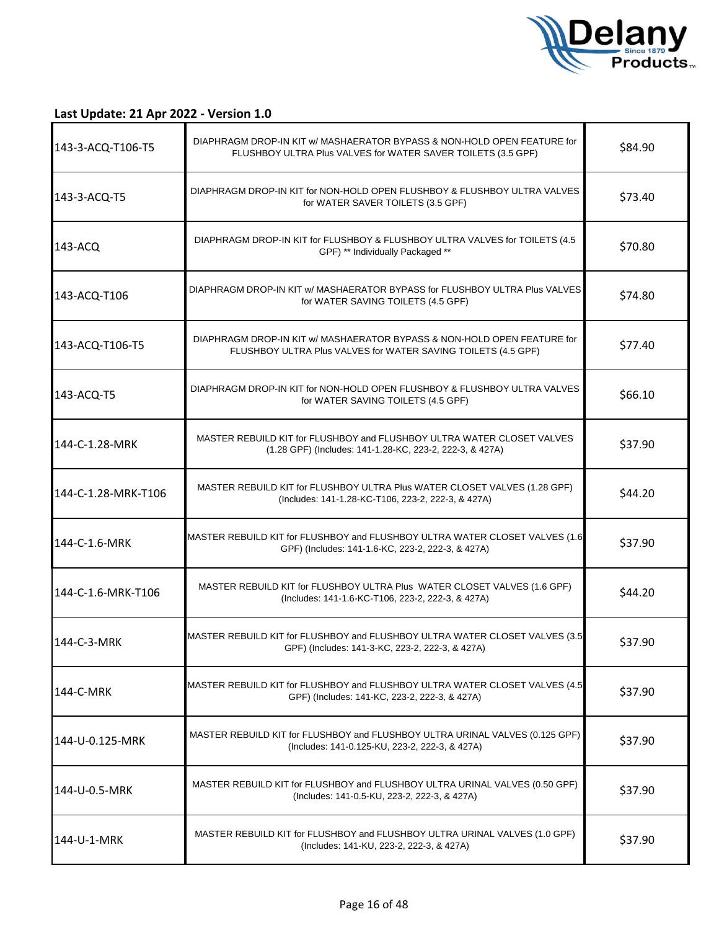

| 143-3-ACQ-T106-T5   | DIAPHRAGM DROP-IN KIT w/ MASHAERATOR BYPASS & NON-HOLD OPEN FEATURE for<br>FLUSHBOY ULTRA Plus VALVES for WATER SAVER TOILETS (3.5 GPF)  | \$84.90 |
|---------------------|------------------------------------------------------------------------------------------------------------------------------------------|---------|
| 143-3-ACQ-T5        | DIAPHRAGM DROP-IN KIT for NON-HOLD OPEN FLUSHBOY & FLUSHBOY ULTRA VALVES<br>for WATER SAVER TOILETS (3.5 GPF)                            | \$73.40 |
| 143-ACQ             | DIAPHRAGM DROP-IN KIT for FLUSHBOY & FLUSHBOY ULTRA VALVES for TOILETS (4.5<br>GPF) ** Individually Packaged **                          | \$70.80 |
| 143-ACQ-T106        | DIAPHRAGM DROP-IN KIT w/ MASHAERATOR BYPASS for FLUSHBOY ULTRA Plus VALVES<br>for WATER SAVING TOILETS (4.5 GPF)                         | \$74.80 |
| 143-ACQ-T106-T5     | DIAPHRAGM DROP-IN KIT w/ MASHAERATOR BYPASS & NON-HOLD OPEN FEATURE for<br>FLUSHBOY ULTRA Plus VALVES for WATER SAVING TOILETS (4.5 GPF) | \$77.40 |
| 143-ACQ-T5          | DIAPHRAGM DROP-IN KIT for NON-HOLD OPEN FLUSHBOY & FLUSHBOY ULTRA VALVES<br>for WATER SAVING TOILETS (4.5 GPF)                           | \$66.10 |
| 144-C-1.28-MRK      | MASTER REBUILD KIT for FLUSHBOY and FLUSHBOY ULTRA WATER CLOSET VALVES<br>(1.28 GPF) (Includes: 141-1.28-KC, 223-2, 222-3, & 427A)       | \$37.90 |
| 144-C-1.28-MRK-T106 | MASTER REBUILD KIT for FLUSHBOY ULTRA Plus WATER CLOSET VALVES (1.28 GPF)<br>(Includes: 141-1.28-KC-T106, 223-2, 222-3, & 427A)          | \$44.20 |
| 144-C-1.6-MRK       | MASTER REBUILD KIT for FLUSHBOY and FLUSHBOY ULTRA WATER CLOSET VALVES (1.6<br>GPF) (Includes: 141-1.6-KC, 223-2, 222-3, & 427A)         | \$37.90 |
| 144-C-1.6-MRK-T106  | MASTER REBUILD KIT for FLUSHBOY ULTRA Plus WATER CLOSET VALVES (1.6 GPF)<br>(Includes: 141-1.6-KC-T106, 223-2, 222-3, & 427A)            | \$44.20 |
| 144-C-3-MRK         | MASTER REBUILD KIT for FLUSHBOY and FLUSHBOY ULTRA WATER CLOSET VALVES (3.5)<br>GPF) (Includes: 141-3-KC, 223-2, 222-3, & 427A)          | \$37.90 |
| 144-C-MRK           | MASTER REBUILD KIT for FLUSHBOY and FLUSHBOY ULTRA WATER CLOSET VALVES (4.5)<br>GPF) (Includes: 141-KC, 223-2, 222-3, & 427A)            | \$37.90 |
| 144-U-0.125-MRK     | MASTER REBUILD KIT for FLUSHBOY and FLUSHBOY ULTRA URINAL VALVES (0.125 GPF)<br>(Includes: 141-0.125-KU, 223-2, 222-3, & 427A)           | \$37.90 |
| 144-U-0.5-MRK       | MASTER REBUILD KIT for FLUSHBOY and FLUSHBOY ULTRA URINAL VALVES (0.50 GPF)<br>(Includes: 141-0.5-KU, 223-2, 222-3, & 427A)              | \$37.90 |
| 144-U-1-MRK         | MASTER REBUILD KIT for FLUSHBOY and FLUSHBOY ULTRA URINAL VALVES (1.0 GPF)<br>(Includes: 141-KU, 223-2, 222-3, & 427A)                   | \$37.90 |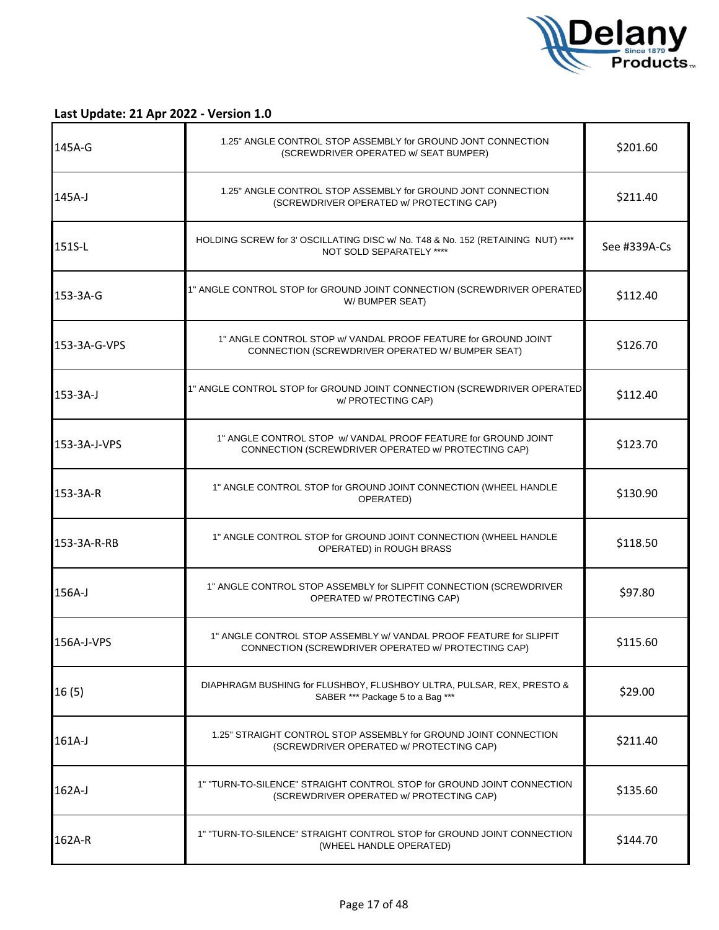

| 145A-G       | 1.25" ANGLE CONTROL STOP ASSEMBLY for GROUND JONT CONNECTION<br>(SCREWDRIVER OPERATED w/ SEAT BUMPER)                     | \$201.60     |
|--------------|---------------------------------------------------------------------------------------------------------------------------|--------------|
| $145A-J$     | 1.25" ANGLE CONTROL STOP ASSEMBLY for GROUND JONT CONNECTION<br>(SCREWDRIVER OPERATED w/ PROTECTING CAP)                  | \$211.40     |
| 151S-L       | HOLDING SCREW for 3' OSCILLATING DISC w/ No. T48 & No. 152 (RETAINING NUT) ****<br>NOT SOLD SEPARATELY ****               | See #339A-Cs |
| 153-3A-G     | 1" ANGLE CONTROL STOP for GROUND JOINT CONNECTION (SCREWDRIVER OPERATED<br>W/ BUMPER SEAT)                                | \$112.40     |
| 153-3A-G-VPS | 1" ANGLE CONTROL STOP w/ VANDAL PROOF FEATURE for GROUND JOINT<br>CONNECTION (SCREWDRIVER OPERATED W/ BUMPER SEAT)        | \$126.70     |
| $153-3A-J$   | 1" ANGLE CONTROL STOP for GROUND JOINT CONNECTION (SCREWDRIVER OPERATED<br>w/ PROTECTING CAP)                             | \$112.40     |
| 153-3A-J-VPS | 1" ANGLE CONTROL STOP W/ VANDAL PROOF FEATURE for GROUND JOINT<br>CONNECTION (SCREWDRIVER OPERATED w/ PROTECTING CAP)     | \$123.70     |
| 153-3A-R     | 1" ANGLE CONTROL STOP for GROUND JOINT CONNECTION (WHEEL HANDLE<br>OPERATED)                                              | \$130.90     |
| 153-3A-R-RB  | 1" ANGLE CONTROL STOP for GROUND JOINT CONNECTION (WHEEL HANDLE<br>OPERATED) in ROUGH BRASS                               | \$118.50     |
| 156A-J       | 1" ANGLE CONTROL STOP ASSEMBLY for SLIPFIT CONNECTION (SCREWDRIVER<br>OPERATED w/ PROTECTING CAP)                         | \$97.80      |
| 156A-J-VPS   | 1" ANGLE CONTROL STOP ASSEMBLY w/ VANDAL PROOF FEATURE for SLIPFIT<br>CONNECTION (SCREWDRIVER OPERATED w/ PROTECTING CAP) | \$115.60     |
| 16(5)        | DIAPHRAGM BUSHING for FLUSHBOY, FLUSHBOY ULTRA, PULSAR, REX, PRESTO &<br>SABER *** Package 5 to a Bag ***                 | \$29.00      |
| $161A-J$     | 1.25" STRAIGHT CONTROL STOP ASSEMBLY for GROUND JOINT CONNECTION<br>(SCREWDRIVER OPERATED w/ PROTECTING CAP)              | \$211.40     |
| 162A-J       | 1" "TURN-TO-SILENCE" STRAIGHT CONTROL STOP for GROUND JOINT CONNECTION<br>(SCREWDRIVER OPERATED w/ PROTECTING CAP)        | \$135.60     |
| 162A-R       | 1" "TURN-TO-SILENCE" STRAIGHT CONTROL STOP for GROUND JOINT CONNECTION<br>(WHEEL HANDLE OPERATED)                         | \$144.70     |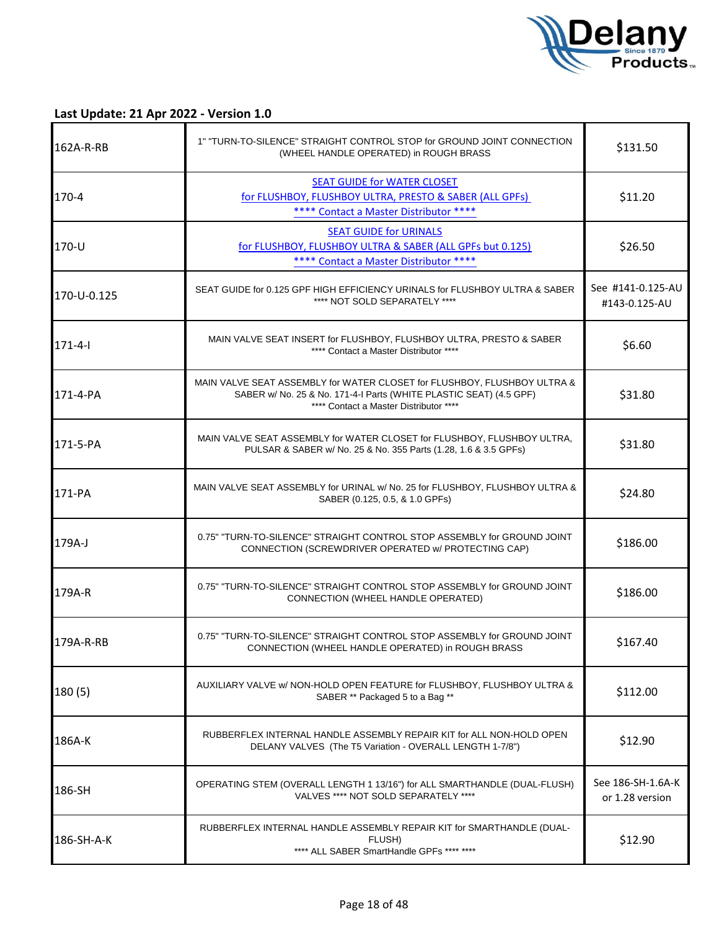

| 162A-R-RB     | 1" "TURN-TO-SILENCE" STRAIGHT CONTROL STOP for GROUND JOINT CONNECTION<br>(WHEEL HANDLE OPERATED) in ROUGH BRASS                                                                         | \$131.50                             |
|---------------|------------------------------------------------------------------------------------------------------------------------------------------------------------------------------------------|--------------------------------------|
| 170-4         | <b>SEAT GUIDE for WATER CLOSET</b><br>for FLUSHBOY, FLUSHBOY ULTRA, PRESTO & SABER (ALL GPFs)<br>**** Contact a Master Distributor ****                                                  | \$11.20                              |
| $170 - U$     | <b>SEAT GUIDE for URINALS</b><br>for FLUSHBOY, FLUSHBOY ULTRA & SABER (ALL GPFs but 0.125)<br>**** Contact a Master Distributor ****                                                     | \$26.50                              |
| 170-U-0.125   | SEAT GUIDE for 0.125 GPF HIGH EFFICIENCY URINALS for FLUSHBOY ULTRA & SABER<br>**** NOT SOLD SEPARATELY ****                                                                             | See #141-0.125-AU<br>#143-0.125-AU   |
| $171 - 4 - 1$ | MAIN VALVE SEAT INSERT for FLUSHBOY, FLUSHBOY ULTRA, PRESTO & SABER<br>**** Contact a Master Distributor ****                                                                            | \$6.60                               |
| 171-4-PA      | MAIN VALVE SEAT ASSEMBLY for WATER CLOSET for FLUSHBOY, FLUSHBOY ULTRA &<br>SABER w/ No. 25 & No. 171-4-I Parts (WHITE PLASTIC SEAT) (4.5 GPF)<br>**** Contact a Master Distributor **** | \$31.80                              |
| 171-5-PA      | MAIN VALVE SEAT ASSEMBLY for WATER CLOSET for FLUSHBOY, FLUSHBOY ULTRA,<br>PULSAR & SABER w/ No. 25 & No. 355 Parts (1.28, 1.6 & 3.5 GPFs)                                               | \$31.80                              |
| 171-PA        | MAIN VALVE SEAT ASSEMBLY for URINAL w/ No. 25 for FLUSHBOY, FLUSHBOY ULTRA &<br>SABER (0.125, 0.5, & 1.0 GPFs)                                                                           | \$24.80                              |
| 179A-J        | 0.75" "TURN-TO-SILENCE" STRAIGHT CONTROL STOP ASSEMBLY for GROUND JOINT<br>CONNECTION (SCREWDRIVER OPERATED w/ PROTECTING CAP)                                                           | \$186.00                             |
| 179A-R        | 0.75" "TURN-TO-SILENCE" STRAIGHT CONTROL STOP ASSEMBLY for GROUND JOINT<br>CONNECTION (WHEEL HANDLE OPERATED)                                                                            | \$186.00                             |
| 179A-R-RB     | 0.75" "TURN-TO-SILENCE" STRAIGHT CONTROL STOP ASSEMBLY for GROUND JOINT<br>CONNECTION (WHEEL HANDLE OPERATED) in ROUGH BRASS                                                             | \$167.40                             |
| 180 (5)       | AUXILIARY VALVE w/ NON-HOLD OPEN FEATURE for FLUSHBOY, FLUSHBOY ULTRA &<br>SABER ** Packaged 5 to a Bag **                                                                               | \$112.00                             |
| 186A-K        | RUBBERFLEX INTERNAL HANDLE ASSEMBLY REPAIR KIT for ALL NON-HOLD OPEN<br>DELANY VALVES (The T5 Variation - OVERALL LENGTH 1-7/8")                                                         | \$12.90                              |
| 186-SH        | OPERATING STEM (OVERALL LENGTH 1 13/16") for ALL SMARTHANDLE (DUAL-FLUSH)<br>VALVES **** NOT SOLD SEPARATELY ****                                                                        | See 186-SH-1.6A-K<br>or 1.28 version |
| 186-SH-A-K    | RUBBERFLEX INTERNAL HANDLE ASSEMBLY REPAIR KIT for SMARTHANDLE (DUAL-<br>FLUSH)<br>**** ALL SABER SmartHandle GPFs **** ****                                                             | \$12.90                              |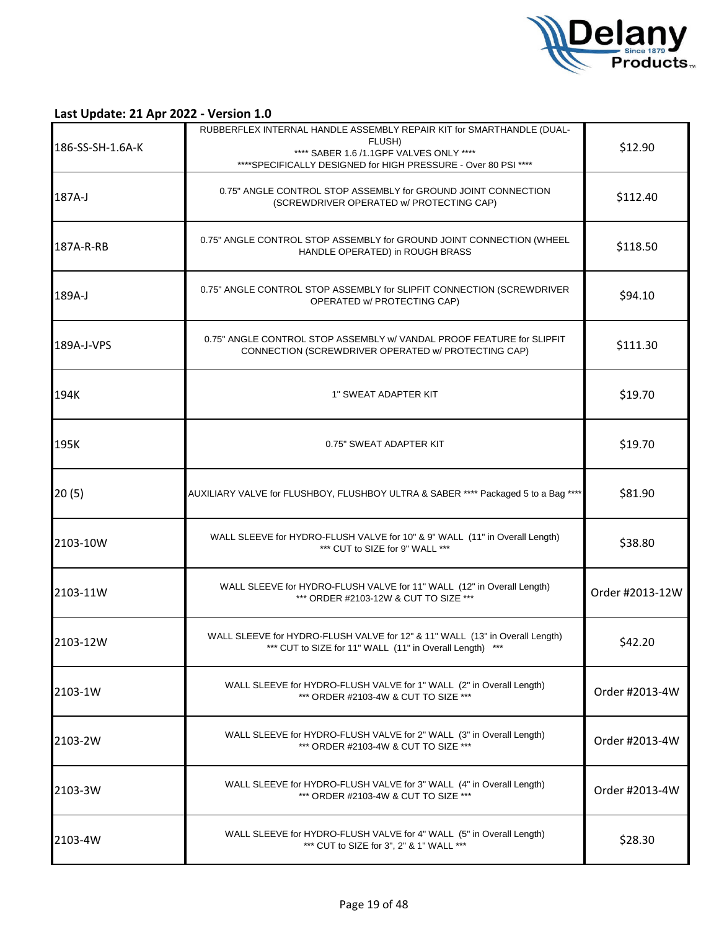

| 186-SS-SH-1.6A-K | RUBBERFLEX INTERNAL HANDLE ASSEMBLY REPAIR KIT for SMARTHANDLE (DUAL-<br>FLUSH)<br>**** SABER 1.6 /1.1GPF VALVES ONLY ****<br>**** SPECIFICALLY DESIGNED for HIGH PRESSURE - Over 80 PSI **** | \$12.90         |
|------------------|-----------------------------------------------------------------------------------------------------------------------------------------------------------------------------------------------|-----------------|
| 187A-J           | 0.75" ANGLE CONTROL STOP ASSEMBLY for GROUND JOINT CONNECTION<br>(SCREWDRIVER OPERATED w/ PROTECTING CAP)                                                                                     | \$112.40        |
| 187A-R-RB        | 0.75" ANGLE CONTROL STOP ASSEMBLY for GROUND JOINT CONNECTION (WHEEL<br>HANDLE OPERATED) in ROUGH BRASS                                                                                       | \$118.50        |
| 189A-J           | 0.75" ANGLE CONTROL STOP ASSEMBLY for SLIPFIT CONNECTION (SCREWDRIVER<br>OPERATED w/ PROTECTING CAP)                                                                                          | \$94.10         |
| 189A-J-VPS       | 0.75" ANGLE CONTROL STOP ASSEMBLY w/ VANDAL PROOF FEATURE for SLIPFIT<br>CONNECTION (SCREWDRIVER OPERATED w/ PROTECTING CAP)                                                                  | \$111.30        |
| 194K             | 1" SWEAT ADAPTER KIT                                                                                                                                                                          | \$19.70         |
| 195K             | 0.75" SWEAT ADAPTER KIT                                                                                                                                                                       | \$19.70         |
| 20(5)            | AUXILIARY VALVE for FLUSHBOY, FLUSHBOY ULTRA & SABER **** Packaged 5 to a Bag ****                                                                                                            | \$81.90         |
| 2103-10W         | WALL SLEEVE for HYDRO-FLUSH VALVE for 10" & 9" WALL (11" in Overall Length)<br>*** CUT to SIZE for 9" WALL ***                                                                                | \$38.80         |
| 2103-11W         | WALL SLEEVE for HYDRO-FLUSH VALVE for 11" WALL (12" in Overall Length)<br>*** ORDER #2103-12W & CUT TO SIZE ***                                                                               | Order #2013-12W |
| 2103-12W         | WALL SLEEVE for HYDRO-FLUSH VALVE for 12" & 11" WALL (13" in Overall Length)<br>*** CUT to SIZE for 11" WALL (11" in Overall Length) ***                                                      | \$42.20         |
| 2103-1W          | WALL SLEEVE for HYDRO-FLUSH VALVE for 1" WALL (2" in Overall Length)<br>*** ORDER #2103-4W & CUT TO SIZE ***                                                                                  | Order #2013-4W  |
| 2103-2W          | WALL SLEEVE for HYDRO-FLUSH VALVE for 2" WALL (3" in Overall Length)<br>*** ORDER #2103-4W & CUT TO SIZE ***                                                                                  | Order #2013-4W  |
| 2103-3W          | WALL SLEEVE for HYDRO-FLUSH VALVE for 3" WALL (4" in Overall Length)<br>*** ORDER #2103-4W & CUT TO SIZE ***                                                                                  | Order #2013-4W  |
| 2103-4W          | WALL SLEEVE for HYDRO-FLUSH VALVE for 4" WALL (5" in Overall Length)<br>*** CUT to SIZE for 3", 2" & 1" WALL ***                                                                              | \$28.30         |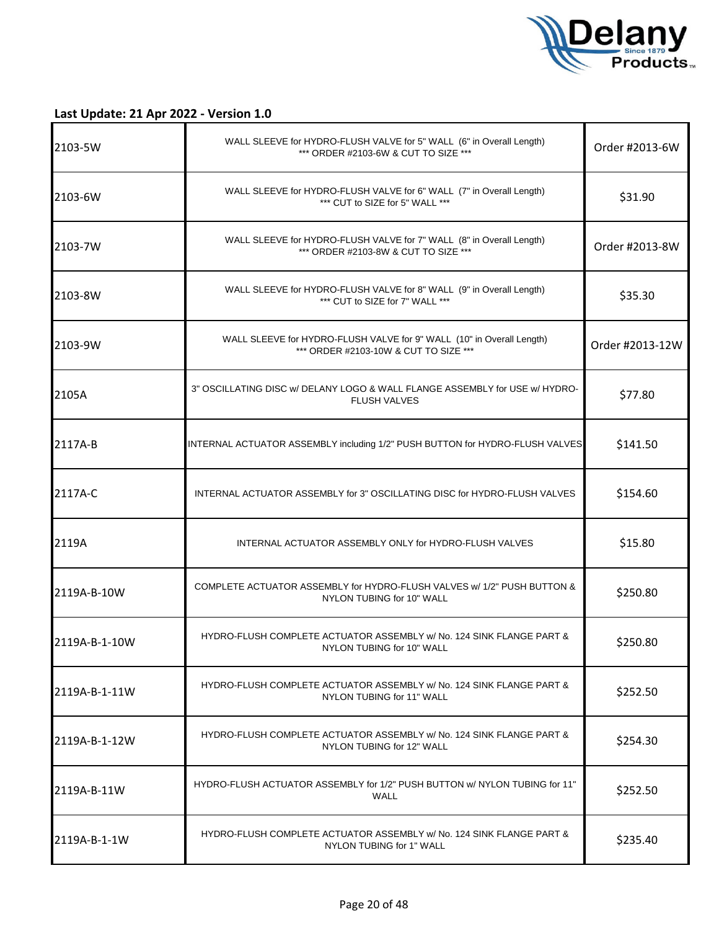

| 2103-5W       | WALL SLEEVE for HYDRO-FLUSH VALVE for 5" WALL (6" in Overall Length)<br>*** ORDER #2103-6W & CUT TO SIZE ***   | Order #2013-6W  |
|---------------|----------------------------------------------------------------------------------------------------------------|-----------------|
| 2103-6W       | WALL SLEEVE for HYDRO-FLUSH VALVE for 6" WALL (7" in Overall Length)<br>*** CUT to SIZE for 5" WALL ***        | \$31.90         |
| 2103-7W       | WALL SLEEVE for HYDRO-FLUSH VALVE for 7" WALL (8" in Overall Length)<br>*** ORDER #2103-8W & CUT TO SIZE ***   | Order #2013-8W  |
| 2103-8W       | WALL SLEEVE for HYDRO-FLUSH VALVE for 8" WALL (9" in Overall Length)<br>*** CUT to SIZE for 7" WALL ***        | \$35.30         |
| 2103-9W       | WALL SLEEVE for HYDRO-FLUSH VALVE for 9" WALL (10" in Overall Length)<br>*** ORDER #2103-10W & CUT TO SIZE *** | Order #2013-12W |
| 2105A         | 3" OSCILLATING DISC w/ DELANY LOGO & WALL FLANGE ASSEMBLY for USE w/ HYDRO-<br><b>FLUSH VALVES</b>             | \$77.80         |
| 2117A-B       | INTERNAL ACTUATOR ASSEMBLY including 1/2" PUSH BUTTON for HYDRO-FLUSH VALVES                                   | \$141.50        |
| 2117A-C       | INTERNAL ACTUATOR ASSEMBLY for 3" OSCILLATING DISC for HYDRO-FLUSH VALVES                                      | \$154.60        |
| 2119A         | INTERNAL ACTUATOR ASSEMBLY ONLY for HYDRO-FLUSH VALVES                                                         | \$15.80         |
| 2119A-B-10W   | COMPLETE ACTUATOR ASSEMBLY for HYDRO-FLUSH VALVES w/ 1/2" PUSH BUTTON &<br>NYLON TUBING for 10" WALL           | \$250.80        |
| 2119A-B-1-10W | HYDRO-FLUSH COMPLETE ACTUATOR ASSEMBLY w/ No. 124 SINK FLANGE PART &<br>NYLON TUBING for 10" WALL              | \$250.80        |
| 2119A-B-1-11W | HYDRO-FLUSH COMPLETE ACTUATOR ASSEMBLY w/ No. 124 SINK FLANGE PART &<br>NYLON TUBING for 11" WALL              | \$252.50        |
| 2119A-B-1-12W | HYDRO-FLUSH COMPLETE ACTUATOR ASSEMBLY w/ No. 124 SINK FLANGE PART &<br>NYLON TUBING for 12" WALL              | \$254.30        |
| 2119A-B-11W   | HYDRO-FLUSH ACTUATOR ASSEMBLY for 1/2" PUSH BUTTON w/ NYLON TUBING for 11"<br><b>WALL</b>                      | \$252.50        |
| 2119A-B-1-1W  | HYDRO-FLUSH COMPLETE ACTUATOR ASSEMBLY w/ No. 124 SINK FLANGE PART &<br>NYLON TUBING for 1" WALL               | \$235.40        |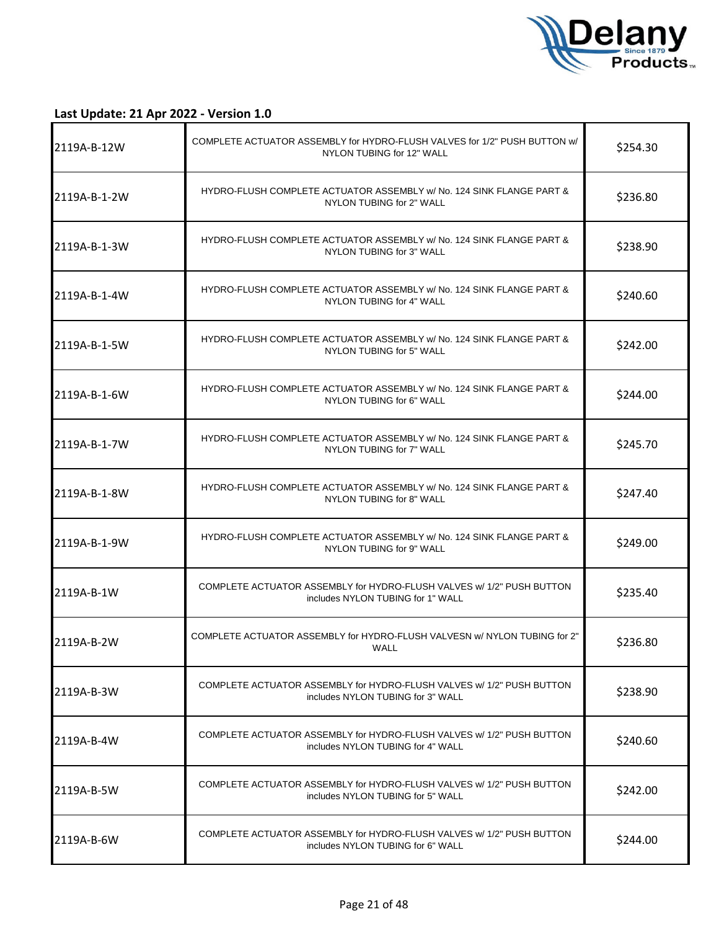

| 2119A-B-12W  | COMPLETE ACTUATOR ASSEMBLY for HYDRO-FLUSH VALVES for 1/2" PUSH BUTTON w/<br>NYLON TUBING for 12" WALL     | \$254.30 |
|--------------|------------------------------------------------------------------------------------------------------------|----------|
| 2119A-B-1-2W | HYDRO-FLUSH COMPLETE ACTUATOR ASSEMBLY w/ No. 124 SINK FLANGE PART &<br>NYLON TUBING for 2" WALL           | \$236.80 |
| 2119A-B-1-3W | HYDRO-FLUSH COMPLETE ACTUATOR ASSEMBLY w/ No. 124 SINK FLANGE PART &<br>NYLON TUBING for 3" WALL           | \$238.90 |
| 2119A-B-1-4W | HYDRO-FLUSH COMPLETE ACTUATOR ASSEMBLY w/ No. 124 SINK FLANGE PART &<br>NYLON TUBING for 4" WALL           | \$240.60 |
| 2119A-B-1-5W | HYDRO-FLUSH COMPLETE ACTUATOR ASSEMBLY w/ No. 124 SINK FLANGE PART &<br>NYLON TUBING for 5" WALL           | \$242.00 |
| 2119A-B-1-6W | HYDRO-FLUSH COMPLETE ACTUATOR ASSEMBLY w/ No. 124 SINK FLANGE PART &<br>NYLON TUBING for 6" WALL           | \$244.00 |
| 2119A-B-1-7W | HYDRO-FLUSH COMPLETE ACTUATOR ASSEMBLY w/ No. 124 SINK FLANGE PART &<br>NYLON TUBING for 7" WALL           | \$245.70 |
| 2119A-B-1-8W | HYDRO-FLUSH COMPLETE ACTUATOR ASSEMBLY w/ No. 124 SINK FLANGE PART &<br>NYLON TUBING for 8" WALL           | \$247.40 |
| 2119A-B-1-9W | HYDRO-FLUSH COMPLETE ACTUATOR ASSEMBLY w/ No. 124 SINK FLANGE PART &<br>NYLON TUBING for 9" WALL           | \$249.00 |
| 2119A-B-1W   | COMPLETE ACTUATOR ASSEMBLY for HYDRO-FLUSH VALVES w/ 1/2" PUSH BUTTON<br>includes NYLON TUBING for 1" WALL | \$235.40 |
| 2119A-B-2W   | COMPLETE ACTUATOR ASSEMBLY for HYDRO-FLUSH VALVESN w/ NYLON TUBING for 2"<br><b>WALL</b>                   | \$236.80 |
| 2119A-B-3W   | COMPLETE ACTUATOR ASSEMBLY for HYDRO-FLUSH VALVES w/ 1/2" PUSH BUTTON<br>includes NYLON TUBING for 3" WALL | \$238.90 |
| 2119A-B-4W   | COMPLETE ACTUATOR ASSEMBLY for HYDRO-FLUSH VALVES w/ 1/2" PUSH BUTTON<br>includes NYLON TUBING for 4" WALL | \$240.60 |
| 2119A-B-5W   | COMPLETE ACTUATOR ASSEMBLY for HYDRO-FLUSH VALVES w/ 1/2" PUSH BUTTON<br>includes NYLON TUBING for 5" WALL | \$242.00 |
| 2119A-B-6W   | COMPLETE ACTUATOR ASSEMBLY for HYDRO-FLUSH VALVES w/ 1/2" PUSH BUTTON<br>includes NYLON TUBING for 6" WALL | \$244.00 |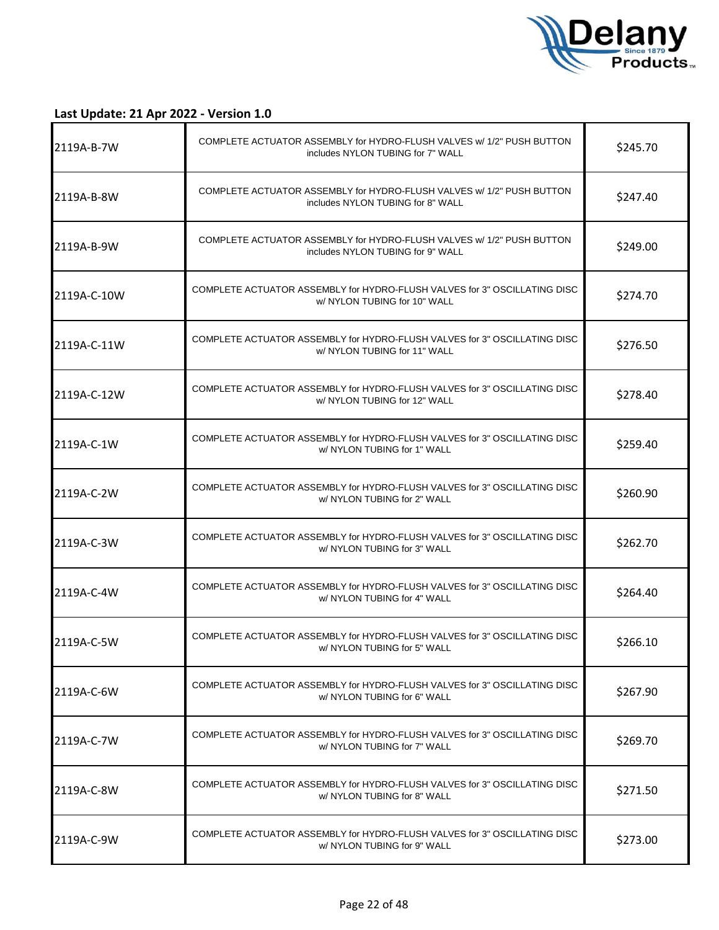

| I2119A-B-7W | COMPLETE ACTUATOR ASSEMBLY for HYDRO-FLUSH VALVES w/ 1/2" PUSH BUTTON<br>includes NYLON TUBING for 7" WALL | \$245.70 |
|-------------|------------------------------------------------------------------------------------------------------------|----------|
| 2119A-B-8W  | COMPLETE ACTUATOR ASSEMBLY for HYDRO-FLUSH VALVES w/ 1/2" PUSH BUTTON<br>includes NYLON TUBING for 8" WALL | \$247.40 |
| 2119A-B-9W  | COMPLETE ACTUATOR ASSEMBLY for HYDRO-FLUSH VALVES w/ 1/2" PUSH BUTTON<br>includes NYLON TUBING for 9" WALL | \$249.00 |
| 2119A-C-10W | COMPLETE ACTUATOR ASSEMBLY for HYDRO-FLUSH VALVES for 3" OSCILLATING DISC<br>w/ NYLON TUBING for 10" WALL  | \$274.70 |
| 2119A-C-11W | COMPLETE ACTUATOR ASSEMBLY for HYDRO-FLUSH VALVES for 3" OSCILLATING DISC<br>w/ NYLON TUBING for 11" WALL  | \$276.50 |
| 2119A-C-12W | COMPLETE ACTUATOR ASSEMBLY for HYDRO-FLUSH VALVES for 3" OSCILLATING DISC<br>w/ NYLON TUBING for 12" WALL  | \$278.40 |
| 2119A-C-1W  | COMPLETE ACTUATOR ASSEMBLY for HYDRO-FLUSH VALVES for 3" OSCILLATING DISC<br>w/ NYLON TUBING for 1" WALL   | \$259.40 |
| 2119A-C-2W  | COMPLETE ACTUATOR ASSEMBLY for HYDRO-FLUSH VALVES for 3" OSCILLATING DISC<br>w/ NYLON TUBING for 2" WALL   | \$260.90 |
| 2119A-C-3W  | COMPLETE ACTUATOR ASSEMBLY for HYDRO-FLUSH VALVES for 3" OSCILLATING DISC<br>w/ NYLON TUBING for 3" WALL   | \$262.70 |
| 2119A-C-4W  | COMPLETE ACTUATOR ASSEMBLY for HYDRO-FLUSH VALVES for 3" OSCILLATING DISC<br>w/ NYLON TUBING for 4" WALL   | \$264.40 |
| 2119A-C-5W  | COMPLETE ACTUATOR ASSEMBLY for HYDRO-FLUSH VALVES for 3" OSCILLATING DISC<br>w/ NYLON TUBING for 5" WALL   | \$266.10 |
| 2119A-C-6W  | COMPLETE ACTUATOR ASSEMBLY for HYDRO-FLUSH VALVES for 3" OSCILLATING DISC<br>w/ NYLON TUBING for 6" WALL   | \$267.90 |
| 2119A-C-7W  | COMPLETE ACTUATOR ASSEMBLY for HYDRO-FLUSH VALVES for 3" OSCILLATING DISC<br>w/ NYLON TUBING for 7" WALL   | \$269.70 |
| 2119A-C-8W  | COMPLETE ACTUATOR ASSEMBLY for HYDRO-FLUSH VALVES for 3" OSCILLATING DISC<br>w/ NYLON TUBING for 8" WALL   | \$271.50 |
| 2119A-C-9W  | COMPLETE ACTUATOR ASSEMBLY for HYDRO-FLUSH VALVES for 3" OSCILLATING DISC<br>w/ NYLON TUBING for 9" WALL   | \$273.00 |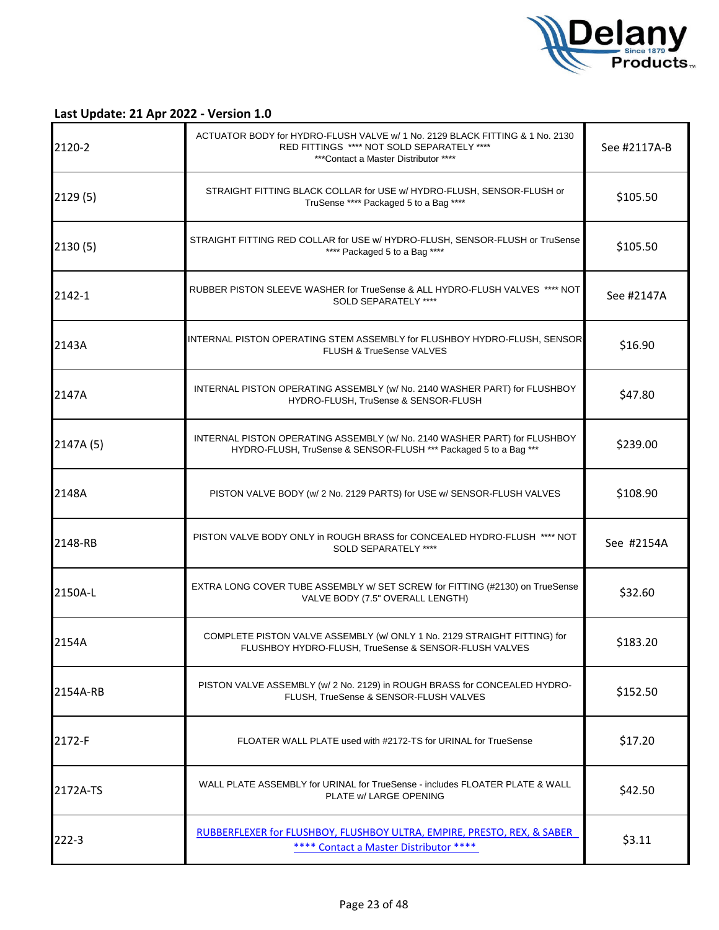

| 2120-2    | ACTUATOR BODY for HYDRO-FLUSH VALVE w/ 1 No. 2129 BLACK FITTING & 1 No. 2130<br>RED FITTINGS **** NOT SOLD SEPARATELY ****<br>***Contact a Master Distributor **** | See #2117A-B |
|-----------|--------------------------------------------------------------------------------------------------------------------------------------------------------------------|--------------|
| 2129(5)   | STRAIGHT FITTING BLACK COLLAR for USE w/ HYDRO-FLUSH, SENSOR-FLUSH or<br>TruSense **** Packaged 5 to a Bag ****                                                    | \$105.50     |
| 2130(5)   | STRAIGHT FITTING RED COLLAR for USE w/ HYDRO-FLUSH, SENSOR-FLUSH or TruSense<br>**** Packaged 5 to a Bag ****                                                      | \$105.50     |
| 2142-1    | RUBBER PISTON SLEEVE WASHER for TrueSense & ALL HYDRO-FLUSH VALVES **** NOT<br>SOLD SEPARATELY ****                                                                | See #2147A   |
| 2143A     | INTERNAL PISTON OPERATING STEM ASSEMBLY for FLUSHBOY HYDRO-FLUSH, SENSOR<br><b>FLUSH &amp; TrueSense VALVES</b>                                                    | \$16.90      |
| 2147A     | INTERNAL PISTON OPERATING ASSEMBLY (w/ No. 2140 WASHER PART) for FLUSHBOY<br>HYDRO-FLUSH. TruSense & SENSOR-FLUSH                                                  | \$47.80      |
| 2147A (5) | INTERNAL PISTON OPERATING ASSEMBLY (w/ No. 2140 WASHER PART) for FLUSHBOY<br>HYDRO-FLUSH, TruSense & SENSOR-FLUSH *** Packaged 5 to a Bag ***                      | \$239.00     |
| 2148A     | PISTON VALVE BODY (w/ 2 No. 2129 PARTS) for USE w/ SENSOR-FLUSH VALVES                                                                                             | \$108.90     |
| 2148-RB   | PISTON VALVE BODY ONLY in ROUGH BRASS for CONCEALED HYDRO-FLUSH **** NOT<br>SOLD SEPARATELY ****                                                                   | See #2154A   |
| 2150A-L   | EXTRA LONG COVER TUBE ASSEMBLY w/ SET SCREW for FITTING (#2130) on TrueSense<br>VALVE BODY (7.5" OVERALL LENGTH)                                                   | \$32.60      |
| 2154A     | COMPLETE PISTON VALVE ASSEMBLY (w/ ONLY 1 No. 2129 STRAIGHT FITTING) for<br>FLUSHBOY HYDRO-FLUSH, TrueSense & SENSOR-FLUSH VALVES                                  | \$183.20     |
| 2154A-RB  | PISTON VALVE ASSEMBLY (w/ 2 No. 2129) in ROUGH BRASS for CONCEALED HYDRO-<br>FLUSH, TrueSense & SENSOR-FLUSH VALVES                                                | \$152.50     |
| 2172-F    | FLOATER WALL PLATE used with #2172-TS for URINAL for TrueSense                                                                                                     | \$17.20      |
| 2172A-TS  | WALL PLATE ASSEMBLY for URINAL for TrueSense - includes FLOATER PLATE & WALL<br>PLATE w/ LARGE OPENING                                                             | \$42.50      |
| $222 - 3$ | RUBBERFLEXER for FLUSHBOY, FLUSHBOY ULTRA, EMPIRE, PRESTO, REX, & SABER<br>**** Contact a Master Distributor ****                                                  | \$3.11       |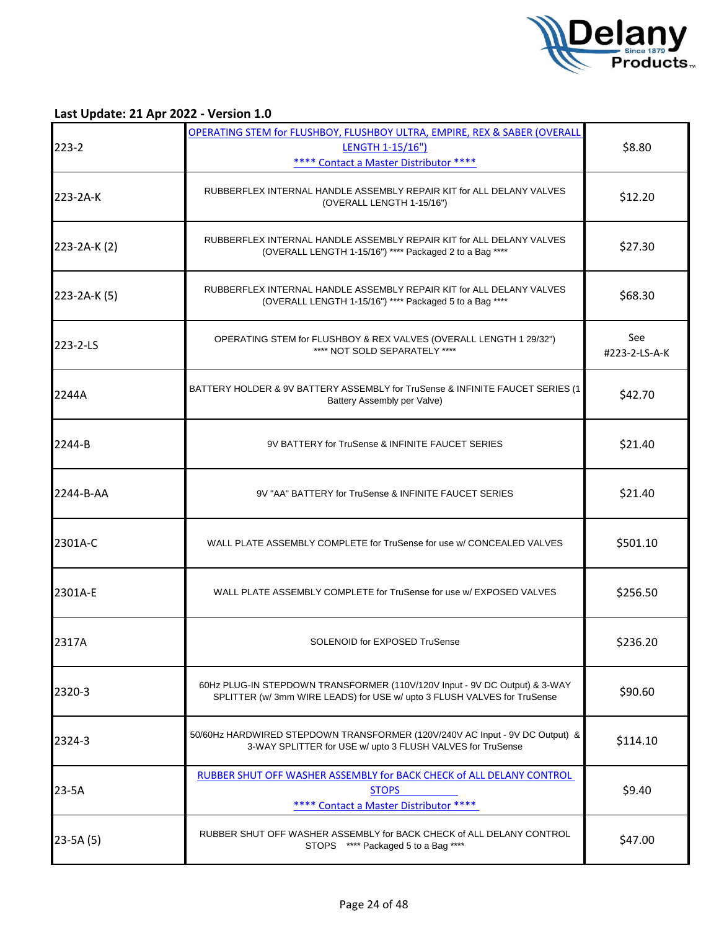

| $223 - 2$    | OPERATING STEM for FLUSHBOY, FLUSHBOY ULTRA, EMPIRE, REX & SABER (OVERALL<br><b>LENGTH 1-15/16")</b><br>**** Contact a Master Distributor ****         | \$8.80               |
|--------------|--------------------------------------------------------------------------------------------------------------------------------------------------------|----------------------|
| 223-2A-K     | RUBBERFLEX INTERNAL HANDLE ASSEMBLY REPAIR KIT for ALL DELANY VALVES<br>(OVERALL LENGTH 1-15/16")                                                      | \$12.20              |
| 223-2A-K (2) | RUBBERFLEX INTERNAL HANDLE ASSEMBLY REPAIR KIT for ALL DELANY VALVES<br>(OVERALL LENGTH 1-15/16") **** Packaged 2 to a Bag ****                        | \$27.30              |
| 223-2A-K (5) | RUBBERFLEX INTERNAL HANDLE ASSEMBLY REPAIR KIT for ALL DELANY VALVES<br>(OVERALL LENGTH 1-15/16") **** Packaged 5 to a Bag ****                        | \$68.30              |
| 223-2-LS     | OPERATING STEM for FLUSHBOY & REX VALVES (OVERALL LENGTH 1 29/32")<br>**** NOT SOLD SEPARATELY ****                                                    | See<br>#223-2-LS-A-K |
| 2244A        | BATTERY HOLDER & 9V BATTERY ASSEMBLY for TruSense & INFINITE FAUCET SERIES (1<br>Battery Assembly per Valve)                                           | \$42.70              |
| 2244-B       | 9V BATTERY for TruSense & INFINITE FAUCET SERIES                                                                                                       | \$21.40              |
| 2244-B-AA    | 9V "AA" BATTERY for TruSense & INFINITE FAUCET SERIES                                                                                                  | \$21.40              |
| 2301A-C      | WALL PLATE ASSEMBLY COMPLETE for TruSense for use w/ CONCEALED VALVES                                                                                  | \$501.10             |
| 2301A-E      | WALL PLATE ASSEMBLY COMPLETE for TruSense for use w/ EXPOSED VALVES                                                                                    | \$256.50             |
| 2317A        | SOLENOID for EXPOSED TruSense                                                                                                                          | \$236.20             |
| 2320-3       | 60Hz PLUG-IN STEPDOWN TRANSFORMER (110V/120V Input - 9V DC Output) & 3-WAY<br>SPLITTER (w/ 3mm WIRE LEADS) for USE w/ upto 3 FLUSH VALVES for TruSense | \$90.60              |
| 2324-3       | 50/60Hz HARDWIRED STEPDOWN TRANSFORMER (120V/240V AC Input - 9V DC Output) &<br>3-WAY SPLITTER for USE w/ upto 3 FLUSH VALVES for TruSense             | \$114.10             |
| $23-5A$      | RUBBER SHUT OFF WASHER ASSEMBLY for BACK CHECK of ALL DELANY CONTROL<br><b>STOPS</b><br>**** Contact a Master Distributor ****                         | \$9.40               |
| $23-5A(5)$   | RUBBER SHUT OFF WASHER ASSEMBLY for BACK CHECK of ALL DELANY CONTROL<br>STOPS **** Packaged 5 to a Bag ****                                            | \$47.00              |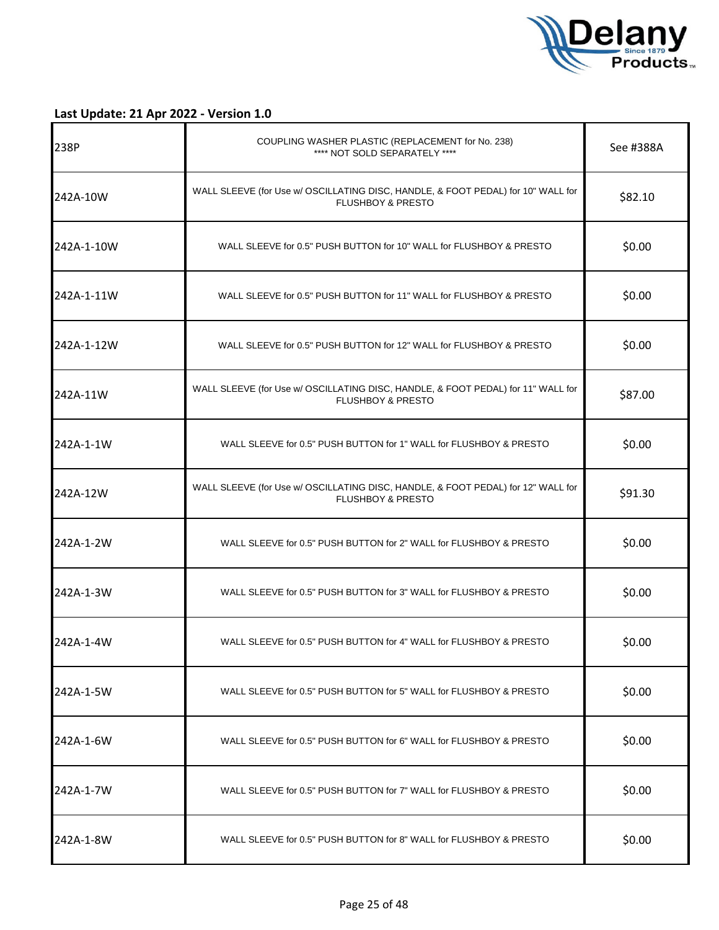

| 238P       | COUPLING WASHER PLASTIC (REPLACEMENT for No. 238)<br>**** NOT SOLD SEPARATELY ****                               | See #388A |
|------------|------------------------------------------------------------------------------------------------------------------|-----------|
| 242A-10W   | WALL SLEEVE (for Use w/ OSCILLATING DISC, HANDLE, & FOOT PEDAL) for 10" WALL for<br><b>FLUSHBOY &amp; PRESTO</b> | \$82.10   |
| 242A-1-10W | WALL SLEEVE for 0.5" PUSH BUTTON for 10" WALL for FLUSHBOY & PRESTO                                              | \$0.00    |
| 242A-1-11W | WALL SLEEVE for 0.5" PUSH BUTTON for 11" WALL for FLUSHBOY & PRESTO                                              | \$0.00    |
| 242A-1-12W | WALL SLEEVE for 0.5" PUSH BUTTON for 12" WALL for FLUSHBOY & PRESTO                                              | \$0.00    |
| 242A-11W   | WALL SLEEVE (for Use w/ OSCILLATING DISC, HANDLE, & FOOT PEDAL) for 11" WALL for<br><b>FLUSHBOY &amp; PRESTO</b> | \$87.00   |
| 242A-1-1W  | WALL SLEEVE for 0.5" PUSH BUTTON for 1" WALL for FLUSHBOY & PRESTO                                               | \$0.00    |
| 242A-12W   | WALL SLEEVE (for Use w/ OSCILLATING DISC, HANDLE, & FOOT PEDAL) for 12" WALL for<br><b>FLUSHBOY &amp; PRESTO</b> | \$91.30   |
| 242A-1-2W  | WALL SLEEVE for 0.5" PUSH BUTTON for 2" WALL for FLUSHBOY & PRESTO                                               | \$0.00    |
| 242A-1-3W  | WALL SLEEVE for 0.5" PUSH BUTTON for 3" WALL for FLUSHBOY & PRESTO                                               | \$0.00    |
| 242A-1-4W  | WALL SLEEVE for 0.5" PUSH BUTTON for 4" WALL for FLUSHBOY & PRESTO                                               | \$0.00    |
| 242A-1-5W  | WALL SLEEVE for 0.5" PUSH BUTTON for 5" WALL for FLUSHBOY & PRESTO                                               | \$0.00    |
| 242A-1-6W  | WALL SLEEVE for 0.5" PUSH BUTTON for 6" WALL for FLUSHBOY & PRESTO                                               | \$0.00    |
| 242A-1-7W  | WALL SLEEVE for 0.5" PUSH BUTTON for 7" WALL for FLUSHBOY & PRESTO                                               | \$0.00    |
| 242A-1-8W  | WALL SLEEVE for 0.5" PUSH BUTTON for 8" WALL for FLUSHBOY & PRESTO                                               | \$0.00    |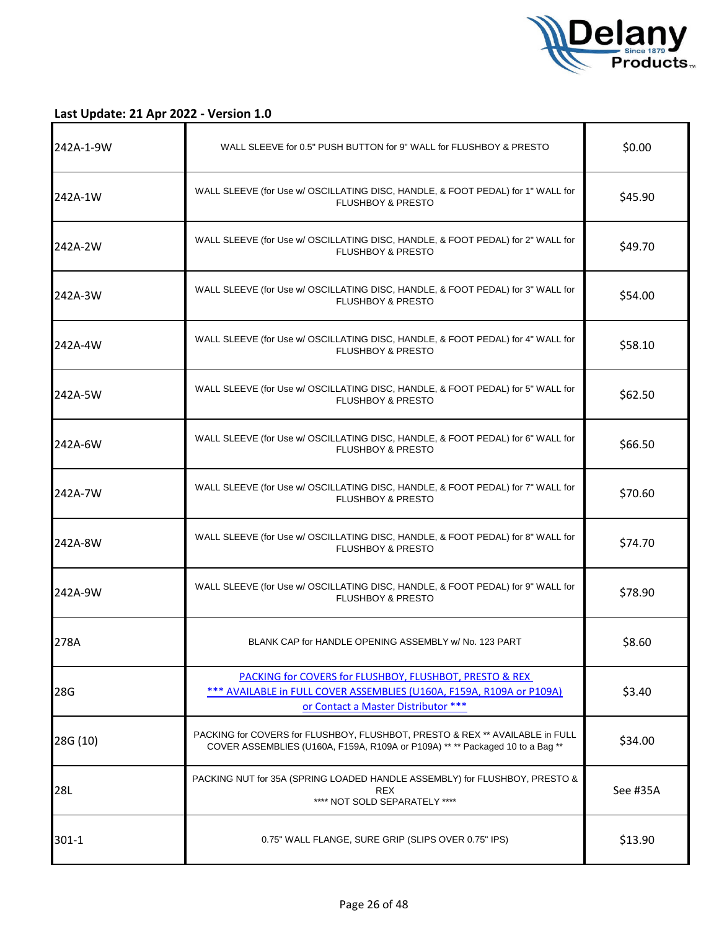

| 242A-1-9W | WALL SLEEVE for 0.5" PUSH BUTTON for 9" WALL for FLUSHBOY & PRESTO                                                                                                                 | \$0.00   |
|-----------|------------------------------------------------------------------------------------------------------------------------------------------------------------------------------------|----------|
| 242A-1W   | WALL SLEEVE (for Use w/ OSCILLATING DISC, HANDLE, & FOOT PEDAL) for 1" WALL for<br><b>FLUSHBOY &amp; PRESTO</b>                                                                    | \$45.90  |
| 242A-2W   | WALL SLEEVE (for Use w/ OSCILLATING DISC, HANDLE, & FOOT PEDAL) for 2" WALL for<br>FLUSHBOY & PRESTO                                                                               | \$49.70  |
| 242A-3W   | WALL SLEEVE (for Use w/ OSCILLATING DISC, HANDLE, & FOOT PEDAL) for 3" WALL for<br><b>FLUSHBOY &amp; PRESTO</b>                                                                    | \$54.00  |
| 242A-4W   | WALL SLEEVE (for Use w/ OSCILLATING DISC, HANDLE, & FOOT PEDAL) for 4" WALL for<br>FLUSHBOY & PRESTO                                                                               | \$58.10  |
| 242A-5W   | WALL SLEEVE (for Use w/ OSCILLATING DISC, HANDLE, & FOOT PEDAL) for 5" WALL for<br>FLUSHBOY & PRESTO                                                                               | \$62.50  |
| 242A-6W   | WALL SLEEVE (for Use w/ OSCILLATING DISC, HANDLE, & FOOT PEDAL) for 6" WALL for<br><b>FLUSHBOY &amp; PRESTO</b>                                                                    | \$66.50  |
| 242A-7W   | WALL SLEEVE (for Use w/ OSCILLATING DISC, HANDLE, & FOOT PEDAL) for 7" WALL for<br><b>FLUSHBOY &amp; PRESTO</b>                                                                    | \$70.60  |
| 242A-8W   | WALL SLEEVE (for Use w/ OSCILLATING DISC, HANDLE, & FOOT PEDAL) for 8" WALL for<br><b>FLUSHBOY &amp; PRESTO</b>                                                                    | \$74.70  |
| 242A-9W   | WALL SLEEVE (for Use w/ OSCILLATING DISC, HANDLE, & FOOT PEDAL) for 9" WALL for<br><b>FLUSHBOY &amp; PRESTO</b>                                                                    | \$78.90  |
| 278A      | BLANK CAP for HANDLE OPENING ASSEMBLY w/ No. 123 PART                                                                                                                              | \$8.60   |
| 28G       | <b>PACKING for COVERS for FLUSHBOY, FLUSHBOT, PRESTO &amp; REX</b><br>*** AVAILABLE in FULL COVER ASSEMBLIES (U160A, F159A, R109A or P109A)<br>or Contact a Master Distributor *** | \$3.40   |
| 28G (10)  | PACKING for COVERS for FLUSHBOY, FLUSHBOT, PRESTO & REX <sup>**</sup> AVAILABLE in FULL<br>COVER ASSEMBLIES (U160A, F159A, R109A or P109A) ** ** Packaged 10 to a Bag **           | \$34.00  |
| 28L       | PACKING NUT for 35A (SPRING LOADED HANDLE ASSEMBLY) for FLUSHBOY, PRESTO &<br><b>REX</b><br>**** NOT SOLD SEPARATELY ****                                                          | See #35A |
| $301 - 1$ | 0.75" WALL FLANGE, SURE GRIP (SLIPS OVER 0.75" IPS)                                                                                                                                | \$13.90  |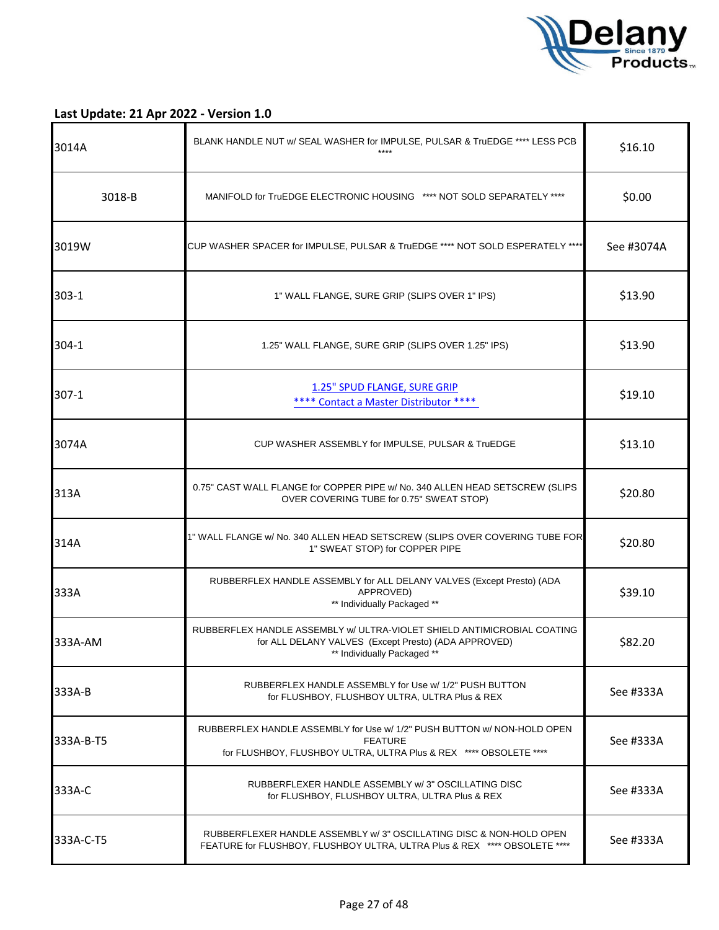

| 3014A     | BLANK HANDLE NUT w/ SEAL WASHER for IMPULSE, PULSAR & TruEDGE **** LESS PCB<br>$***$ *                                                                         | \$16.10    |
|-----------|----------------------------------------------------------------------------------------------------------------------------------------------------------------|------------|
| 3018-B    | MANIFOLD for TruEDGE ELECTRONIC HOUSING **** NOT SOLD SEPARATELY ****                                                                                          | \$0.00     |
| 3019W     | CUP WASHER SPACER for IMPULSE, PULSAR & TruEDGE **** NOT SOLD ESPERATELY ****                                                                                  | See #3074A |
| $303 - 1$ | 1" WALL FLANGE, SURE GRIP (SLIPS OVER 1" IPS)                                                                                                                  | \$13.90    |
| 304-1     | 1.25" WALL FLANGE, SURE GRIP (SLIPS OVER 1.25" IPS)                                                                                                            | \$13.90    |
| $307-1$   | 1.25" SPUD FLANGE, SURE GRIP<br>**** Contact a Master Distributor ****                                                                                         | \$19.10    |
| 3074A     | CUP WASHER ASSEMBLY for IMPULSE, PULSAR & TruEDGE                                                                                                              | \$13.10    |
| 313A      | 0.75" CAST WALL FLANGE for COPPER PIPE w/ No. 340 ALLEN HEAD SETSCREW (SLIPS<br>OVER COVERING TUBE for 0.75" SWEAT STOP)                                       | \$20.80    |
| 314A      | 1" WALL FLANGE w/ No. 340 ALLEN HEAD SETSCREW (SLIPS OVER COVERING TUBE FOR<br>1" SWEAT STOP) for COPPER PIPE                                                  | \$20.80    |
| 333A      | RUBBERFLEX HANDLE ASSEMBLY for ALL DELANY VALVES (Except Presto) (ADA<br>APPROVED)<br>** Individually Packaged **                                              | \$39.10    |
| 333A-AM   | RUBBERFLEX HANDLE ASSEMBLY w/ ULTRA-VIOLET SHIELD ANTIMICROBIAL COATING<br>for ALL DELANY VALVES (Except Presto) (ADA APPROVED)<br>** Individually Packaged ** | \$82.20    |
| 333A-B    | RUBBERFLEX HANDLE ASSEMBLY for Use w/ 1/2" PUSH BUTTON<br>for FLUSHBOY, FLUSHBOY ULTRA, ULTRA Plus & REX                                                       | See #333A  |
| 333A-B-T5 | RUBBERFLEX HANDLE ASSEMBLY for Use w/ 1/2" PUSH BUTTON w/ NON-HOLD OPEN<br><b>FEATURE</b><br>for FLUSHBOY, FLUSHBOY ULTRA, ULTRA Plus & REX **** OBSOLETE **** | See #333A  |
| 333A-C    | RUBBERFLEXER HANDLE ASSEMBLY w/3" OSCILLATING DISC<br>for FLUSHBOY, FLUSHBOY ULTRA, ULTRA Plus & REX                                                           | See #333A  |
| 333A-C-T5 | RUBBERFLEXER HANDLE ASSEMBLY w/ 3" OSCILLATING DISC & NON-HOLD OPEN<br>FEATURE for FLUSHBOY, FLUSHBOY ULTRA, ULTRA Plus & REX **** OBSOLETE ****               | See #333A  |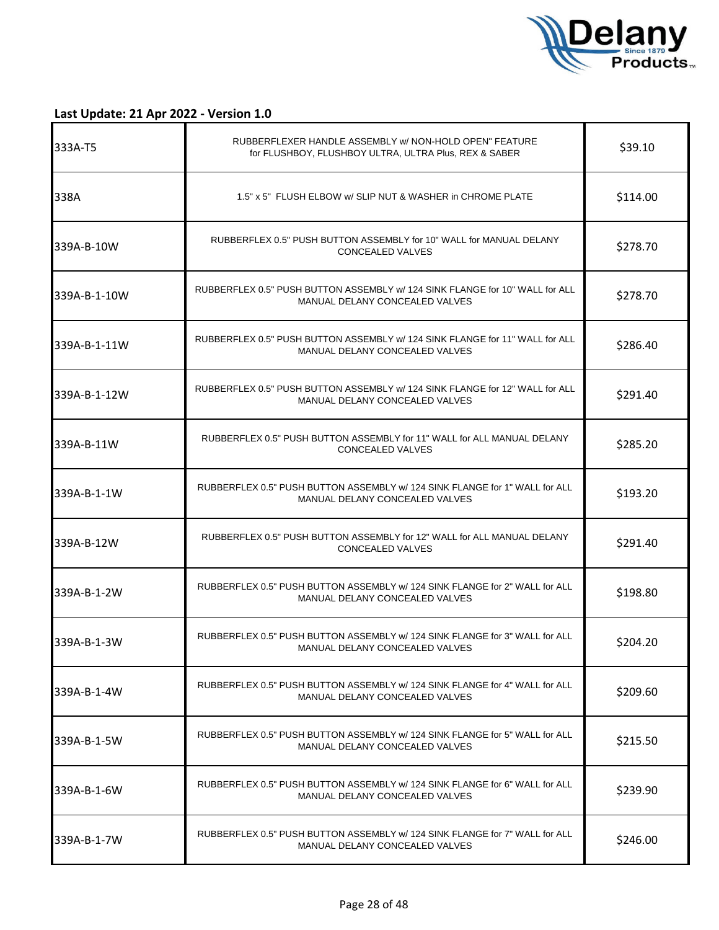

| 333A-T5      | RUBBERFLEXER HANDLE ASSEMBLY w/ NON-HOLD OPEN" FEATURE<br>for FLUSHBOY, FLUSHBOY ULTRA, ULTRA Plus, REX & SABER | \$39.10  |
|--------------|-----------------------------------------------------------------------------------------------------------------|----------|
| 338A         | 1.5" x 5" FLUSH ELBOW w/ SLIP NUT & WASHER in CHROME PLATE                                                      | \$114.00 |
| 339A-B-10W   | RUBBERFLEX 0.5" PUSH BUTTON ASSEMBLY for 10" WALL for MANUAL DELANY<br>CONCEALED VALVES                         | \$278.70 |
| 339A-B-1-10W | RUBBERFLEX 0.5" PUSH BUTTON ASSEMBLY w/ 124 SINK FLANGE for 10" WALL for ALL<br>MANUAL DELANY CONCEALED VALVES  | \$278.70 |
| 339A-B-1-11W | RUBBERFLEX 0.5" PUSH BUTTON ASSEMBLY w/ 124 SINK FLANGE for 11" WALL for ALL<br>MANUAL DELANY CONCEALED VALVES  | \$286.40 |
| 339A-B-1-12W | RUBBERFLEX 0.5" PUSH BUTTON ASSEMBLY w/ 124 SINK FLANGE for 12" WALL for ALL<br>MANUAL DELANY CONCEALED VALVES  | \$291.40 |
| 339A-B-11W   | RUBBERFLEX 0.5" PUSH BUTTON ASSEMBLY for 11" WALL for ALL MANUAL DELANY<br><b>CONCEALED VALVES</b>              | \$285.20 |
| 339A-B-1-1W  | RUBBERFLEX 0.5" PUSH BUTTON ASSEMBLY w/ 124 SINK FLANGE for 1" WALL for ALL<br>MANUAL DELANY CONCEALED VALVES   | \$193.20 |
| 339A-B-12W   | RUBBERFLEX 0.5" PUSH BUTTON ASSEMBLY for 12" WALL for ALL MANUAL DELANY<br>CONCEALED VALVES                     | \$291.40 |
| 339A-B-1-2W  | RUBBERFLEX 0.5" PUSH BUTTON ASSEMBLY w/ 124 SINK FLANGE for 2" WALL for ALL<br>MANUAL DELANY CONCEALED VALVES   | \$198.80 |
| 339A-B-1-3W  | RUBBERFLEX 0.5" PUSH BUTTON ASSEMBLY w/ 124 SINK FLANGE for 3" WALL for ALL<br>MANUAL DELANY CONCEALED VALVES   | \$204.20 |
| 339A-B-1-4W  | RUBBERFLEX 0.5" PUSH BUTTON ASSEMBLY w/ 124 SINK FLANGE for 4" WALL for ALL<br>MANUAL DELANY CONCEALED VALVES   | \$209.60 |
| 339A-B-1-5W  | RUBBERFLEX 0.5" PUSH BUTTON ASSEMBLY w/ 124 SINK FLANGE for 5" WALL for ALL<br>MANUAL DELANY CONCEALED VALVES   | \$215.50 |
| l339A-B-1-6W | RUBBERFLEX 0.5" PUSH BUTTON ASSEMBLY w/ 124 SINK FLANGE for 6" WALL for ALL<br>MANUAL DELANY CONCEALED VALVES   | \$239.90 |
| 339A-B-1-7W  | RUBBERFLEX 0.5" PUSH BUTTON ASSEMBLY w/ 124 SINK FLANGE for 7" WALL for ALL<br>MANUAL DELANY CONCEALED VALVES   | \$246.00 |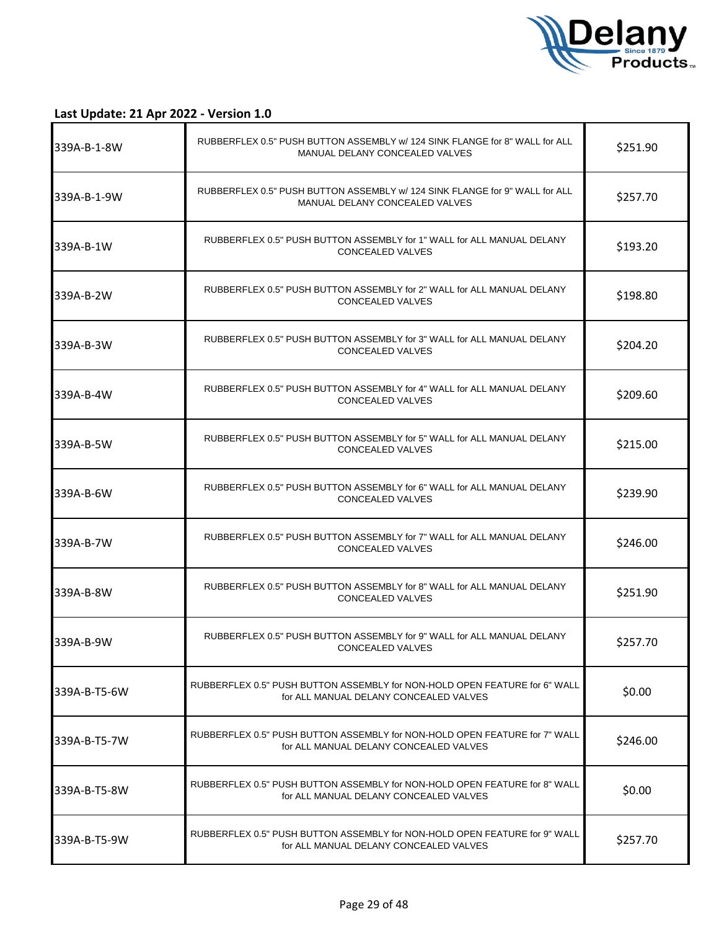

| l339A-B-1-8W | RUBBERFLEX 0.5" PUSH BUTTON ASSEMBLY w/ 124 SINK FLANGE for 8" WALL for ALL<br>MANUAL DELANY CONCEALED VALVES        | \$251.90 |
|--------------|----------------------------------------------------------------------------------------------------------------------|----------|
| 339A-B-1-9W  | RUBBERFLEX 0.5" PUSH BUTTON ASSEMBLY w/ 124 SINK FLANGE for 9" WALL for ALL<br>MANUAL DELANY CONCEALED VALVES        | \$257.70 |
| 339A-B-1W    | RUBBERFLEX 0.5" PUSH BUTTON ASSEMBLY for 1" WALL for ALL MANUAL DELANY<br>CONCEALED VALVES                           | \$193.20 |
| 339A-B-2W    | RUBBERFLEX 0.5" PUSH BUTTON ASSEMBLY for 2" WALL for ALL MANUAL DELANY<br><b>CONCEALED VALVES</b>                    | \$198.80 |
| 339A-B-3W    | RUBBERFLEX 0.5" PUSH BUTTON ASSEMBLY for 3" WALL for ALL MANUAL DELANY<br>CONCEALED VALVES                           | \$204.20 |
| 339A-B-4W    | RUBBERFLEX 0.5" PUSH BUTTON ASSEMBLY for 4" WALL for ALL MANUAL DELANY<br><b>CONCEALED VALVES</b>                    | \$209.60 |
| 339A-B-5W    | RUBBERFLEX 0.5" PUSH BUTTON ASSEMBLY for 5" WALL for ALL MANUAL DELANY<br><b>CONCEALED VALVES</b>                    | \$215.00 |
| 339A-B-6W    | RUBBERFLEX 0.5" PUSH BUTTON ASSEMBLY for 6" WALL for ALL MANUAL DELANY<br>CONCEALED VALVES                           | \$239.90 |
| 339A-B-7W    | RUBBERFLEX 0.5" PUSH BUTTON ASSEMBLY for 7" WALL for ALL MANUAL DELANY<br><b>CONCEALED VALVES</b>                    | \$246.00 |
| 339A-B-8W    | RUBBERFLEX 0.5" PUSH BUTTON ASSEMBLY for 8" WALL for ALL MANUAL DELANY<br><b>CONCEALED VALVES</b>                    | \$251.90 |
| 339A-B-9W    | RUBBERFLEX 0.5" PUSH BUTTON ASSEMBLY for 9" WALL for ALL MANUAL DELANY<br>CONCEALED VALVES                           | \$257.70 |
| 339A-B-T5-6W | RUBBERFLEX 0.5" PUSH BUTTON ASSEMBLY for NON-HOLD OPEN FEATURE for 6" WALL<br>for ALL MANUAL DELANY CONCEALED VALVES | \$0.00   |
| 339A-B-T5-7W | RUBBERFLEX 0.5" PUSH BUTTON ASSEMBLY for NON-HOLD OPEN FEATURE for 7" WALL<br>for ALL MANUAL DELANY CONCEALED VALVES | \$246.00 |
| 339A-B-T5-8W | RUBBERFLEX 0.5" PUSH BUTTON ASSEMBLY for NON-HOLD OPEN FEATURE for 8" WALL<br>for ALL MANUAL DELANY CONCEALED VALVES | \$0.00   |
| 339A-B-T5-9W | RUBBERFLEX 0.5" PUSH BUTTON ASSEMBLY for NON-HOLD OPEN FEATURE for 9" WALL<br>for ALL MANUAL DELANY CONCEALED VALVES | \$257.70 |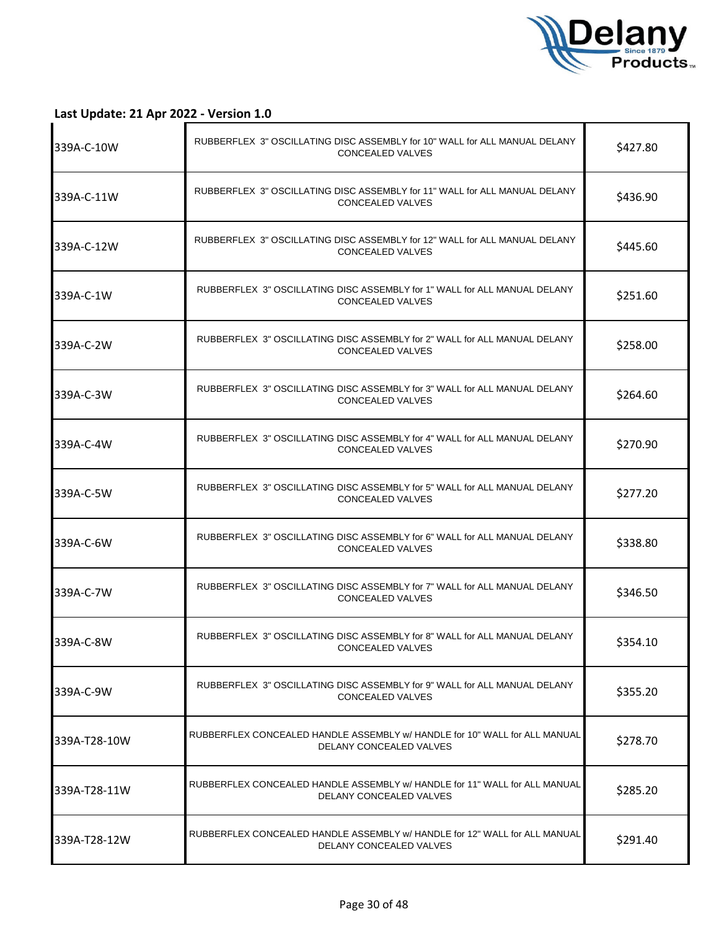

| 339A-C-10W   | RUBBERFLEX 3" OSCILLATING DISC ASSEMBLY for 10" WALL for ALL MANUAL DELANY<br>CONCEALED VALVES        | \$427.80 |
|--------------|-------------------------------------------------------------------------------------------------------|----------|
| 339A-C-11W   | RUBBERFLEX 3" OSCILLATING DISC ASSEMBLY for 11" WALL for ALL MANUAL DELANY<br>CONCEALED VALVES        | \$436.90 |
| 339A-C-12W   | RUBBERFLEX 3" OSCILLATING DISC ASSEMBLY for 12" WALL for ALL MANUAL DELANY<br>CONCEALED VALVES        | \$445.60 |
| 339A-C-1W    | RUBBERFLEX 3" OSCILLATING DISC ASSEMBLY for 1" WALL for ALL MANUAL DELANY<br><b>CONCEALED VALVES</b>  | \$251.60 |
| 339A-C-2W    | RUBBERFLEX 3" OSCILLATING DISC ASSEMBLY for 2" WALL for ALL MANUAL DELANY<br><b>CONCEALED VALVES</b>  | \$258.00 |
| 339A-C-3W    | RUBBERFLEX 3" OSCILLATING DISC ASSEMBLY for 3" WALL for ALL MANUAL DELANY<br>CONCEALED VALVES         | \$264.60 |
| 339A-C-4W    | RUBBERFLEX 3" OSCILLATING DISC ASSEMBLY for 4" WALL for ALL MANUAL DELANY<br>CONCEALED VALVES         | \$270.90 |
| 339A-C-5W    | RUBBERFLEX 3" OSCILLATING DISC ASSEMBLY for 5" WALL for ALL MANUAL DELANY<br>CONCEALED VALVES         | \$277.20 |
| 339A-C-6W    | RUBBERFLEX 3" OSCILLATING DISC ASSEMBLY for 6" WALL for ALL MANUAL DELANY<br><b>CONCEALED VALVES</b>  | \$338.80 |
| 339A-C-7W    | RUBBERFLEX 3" OSCILLATING DISC ASSEMBLY for 7" WALL for ALL MANUAL DELANY<br>CONCEALED VALVES         | \$346.50 |
| 339A-C-8W    | RUBBERFLEX 3" OSCILLATING DISC ASSEMBLY for 8" WALL for ALL MANUAL DELANY<br>CONCEALED VALVES         | \$354.10 |
| 339A-C-9W    | RUBBERFLEX 3" OSCILLATING DISC ASSEMBLY for 9" WALL for ALL MANUAL DELANY<br>CONCEALED VALVES         | \$355.20 |
| 339A-T28-10W | RUBBERFLEX CONCEALED HANDLE ASSEMBLY w/ HANDLE for 10" WALL for ALL MANUAL<br>DELANY CONCEALED VALVES | \$278.70 |
| 339A-T28-11W | RUBBERFLEX CONCEALED HANDLE ASSEMBLY w/ HANDLE for 11" WALL for ALL MANUAL<br>DELANY CONCEALED VALVES | \$285.20 |
| 339A-T28-12W | RUBBERFLEX CONCEALED HANDLE ASSEMBLY w/ HANDLE for 12" WALL for ALL MANUAL<br>DELANY CONCEALED VALVES | \$291.40 |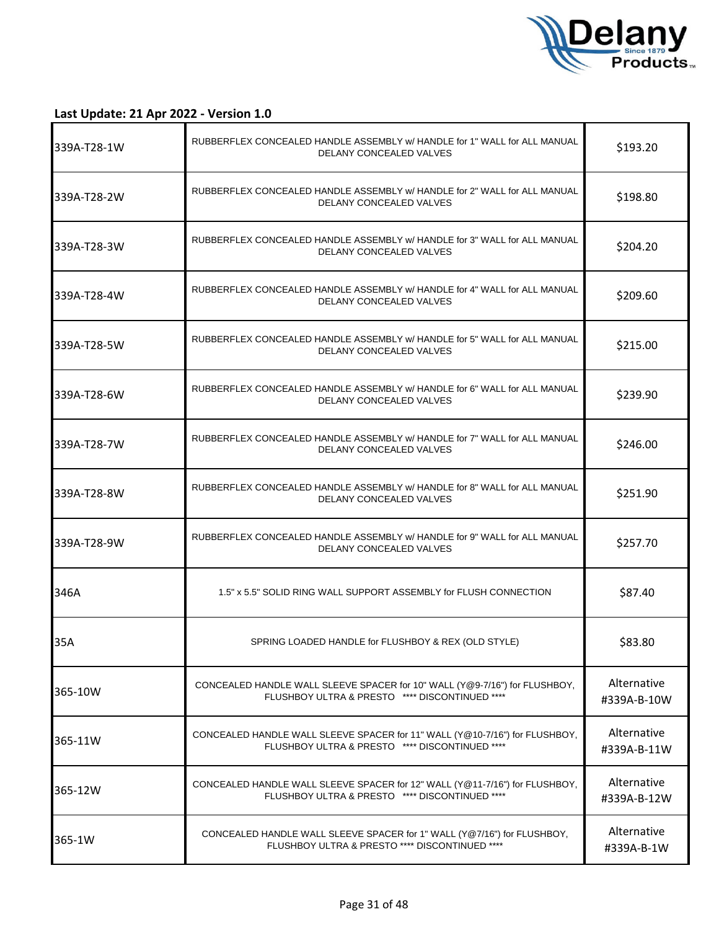

| 339A-T28-1W  | RUBBERFLEX CONCEALED HANDLE ASSEMBLY w/ HANDLE for 1" WALL for ALL MANUAL<br>DELANY CONCEALED VALVES                          | \$193.20                   |
|--------------|-------------------------------------------------------------------------------------------------------------------------------|----------------------------|
| l339A-T28-2W | RUBBERFLEX CONCEALED HANDLE ASSEMBLY w/ HANDLE for 2" WALL for ALL MANUAL<br>DELANY CONCEALED VALVES                          | \$198.80                   |
| 339A-T28-3W  | RUBBERFLEX CONCEALED HANDLE ASSEMBLY w/ HANDLE for 3" WALL for ALL MANUAL<br>DELANY CONCEALED VALVES                          | \$204.20                   |
| 339A-T28-4W  | RUBBERFLEX CONCEALED HANDLE ASSEMBLY w/ HANDLE for 4" WALL for ALL MANUAL<br>DELANY CONCEALED VALVES                          | \$209.60                   |
| 339A-T28-5W  | RUBBERFLEX CONCEALED HANDLE ASSEMBLY w/ HANDLE for 5" WALL for ALL MANUAL<br>DELANY CONCEALED VALVES                          | \$215.00                   |
| l339A-T28-6W | RUBBERFLEX CONCEALED HANDLE ASSEMBLY w/ HANDLE for 6" WALL for ALL MANUAL<br>DELANY CONCEALED VALVES                          | \$239.90                   |
| l339A-T28-7W | RUBBERFLEX CONCEALED HANDLE ASSEMBLY w/ HANDLE for 7" WALL for ALL MANUAL<br>DELANY CONCEALED VALVES                          | \$246.00                   |
| l339A-T28-8W | RUBBERFLEX CONCEALED HANDLE ASSEMBLY w/ HANDLE for 8" WALL for ALL MANUAL<br>DELANY CONCEALED VALVES                          | \$251.90                   |
| 339A-T28-9W  | RUBBERFLEX CONCEALED HANDLE ASSEMBLY w/ HANDLE for 9" WALL for ALL MANUAL<br>DELANY CONCEALED VALVES                          | \$257.70                   |
| 346A         | 1.5" x 5.5" SOLID RING WALL SUPPORT ASSEMBLY for FLUSH CONNECTION                                                             | \$87.40                    |
| 35A          | SPRING LOADED HANDLE for FLUSHBOY & REX (OLD STYLE)                                                                           | \$83.80                    |
| 365-10W      | CONCEALED HANDLE WALL SLEEVE SPACER for 10" WALL (Y@9-7/16") for FLUSHBOY,<br>FLUSHBOY ULTRA & PRESTO **** DISCONTINUED ****  | Alternative<br>#339A-B-10W |
| 365-11W      | CONCEALED HANDLE WALL SLEEVE SPACER for 11" WALL (Y@10-7/16") for FLUSHBOY,<br>FLUSHBOY ULTRA & PRESTO **** DISCONTINUED **** | Alternative<br>#339A-B-11W |
| 365-12W      | CONCEALED HANDLE WALL SLEEVE SPACER for 12" WALL (Y@11-7/16") for FLUSHBOY,<br>FLUSHBOY ULTRA & PRESTO **** DISCONTINUED **** | Alternative<br>#339A-B-12W |
| 365-1W       | CONCEALED HANDLE WALL SLEEVE SPACER for 1" WALL (Y@7/16") for FLUSHBOY,<br>FLUSHBOY ULTRA & PRESTO **** DISCONTINUED ****     | Alternative<br>#339A-B-1W  |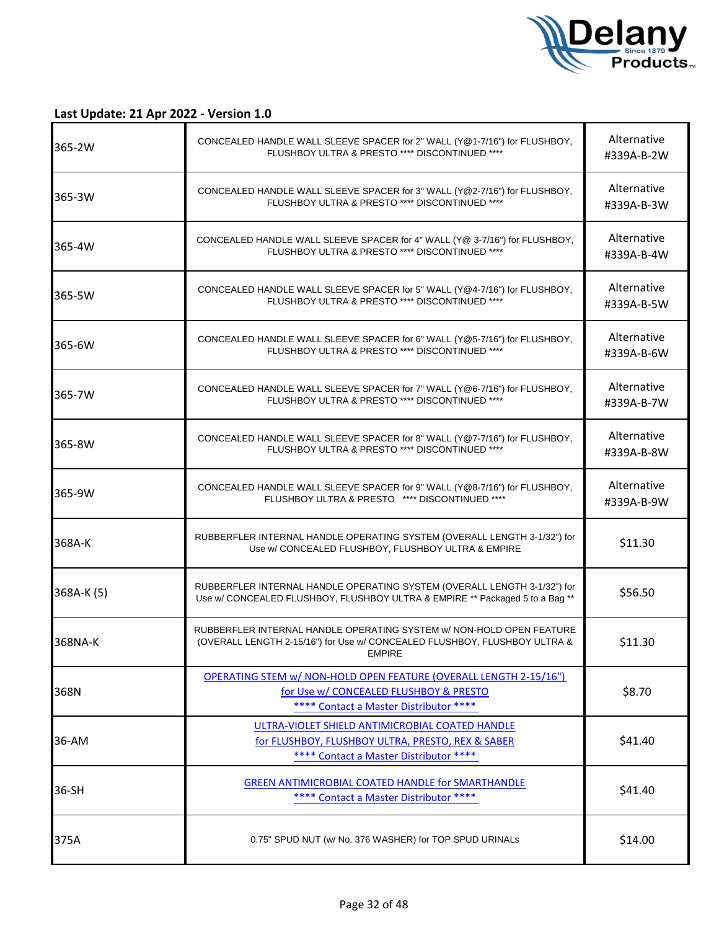

| 365-2W     | CONCEALED HANDLE WALL SLEEVE SPACER for 2" WALL (Y@1-7/16") for FLUSHBOY,<br>FLUSHBOY ULTRA & PRESTO **** DISCONTINUED ****                                        | Alternative<br>#339A-B-2W |
|------------|--------------------------------------------------------------------------------------------------------------------------------------------------------------------|---------------------------|
| 365-3W     | CONCEALED HANDLE WALL SLEEVE SPACER for 3" WALL (Y@2-7/16") for FLUSHBOY,<br>FLUSHBOY ULTRA & PRESTO **** DISCONTINUED ****                                        | Alternative<br>#339A-B-3W |
| 365-4W     | CONCEALED HANDLE WALL SLEEVE SPACER for 4" WALL (Y@ 3-7/16") for FLUSHBOY,<br>FLUSHBOY ULTRA & PRESTO **** DISCONTINUED ****                                       | Alternative<br>#339A-B-4W |
| 365-5W     | CONCEALED HANDLE WALL SLEEVE SPACER for 5" WALL (Y@4-7/16") for FLUSHBOY,<br>FLUSHBOY ULTRA & PRESTO **** DISCONTINUED ****                                        | Alternative<br>#339A-B-5W |
| 365-6W     | CONCEALED HANDLE WALL SLEEVE SPACER for 6" WALL (Y@5-7/16") for FLUSHBOY,<br>FLUSHBOY ULTRA & PRESTO **** DISCONTINUED ****                                        | Alternative<br>#339A-B-6W |
| 365-7W     | CONCEALED HANDLE WALL SLEEVE SPACER for 7" WALL (Y@6-7/16") for FLUSHBOY,<br>FLUSHBOY ULTRA & PRESTO **** DISCONTINUED ****                                        | Alternative<br>#339A-B-7W |
| 365-8W     | CONCEALED HANDLE WALL SLEEVE SPACER for 8" WALL (Y@7-7/16") for FLUSHBOY,<br>FLUSHBOY ULTRA & PRESTO **** DISCONTINUED ****                                        | Alternative<br>#339A-B-8W |
| 365-9W     | CONCEALED HANDLE WALL SLEEVE SPACER for 9" WALL (Y@8-7/16") for FLUSHBOY,<br>FLUSHBOY ULTRA & PRESTO **** DISCONTINUED ****                                        | Alternative<br>#339A-B-9W |
| 368A-K     | RUBBERFLER INTERNAL HANDLE OPERATING SYSTEM (OVERALL LENGTH 3-1/32") for<br>Use w/ CONCEALED FLUSHBOY, FLUSHBOY ULTRA & EMPIRE                                     | \$11.30                   |
| 368A-K (5) | RUBBERFLER INTERNAL HANDLE OPERATING SYSTEM (OVERALL LENGTH 3-1/32") for<br>Use w/ CONCEALED FLUSHBOY, FLUSHBOY ULTRA & EMPIRE ** Packaged 5 to a Bag **           | \$56.50                   |
| 368NA-K    | RUBBERFLER INTERNAL HANDLE OPERATING SYSTEM w/ NON-HOLD OPEN FEATURE<br>(OVERALL LENGTH 2-15/16") for Use w/ CONCEALED FLUSHBOY, FLUSHBOY ULTRA &<br><b>EMPIRE</b> | \$11.30                   |
| 368N       | OPERATING STEM w/ NON-HOLD OPEN FEATURE (OVERALL LENGTH 2-15/16")<br>for Use w/ CONCEALED FLUSHBOY & PRESTO<br>**** Contact a Master Distributor ****              | \$8.70                    |
| 36-AM      | ULTRA-VIOLET SHIELD ANTIMICROBIAL COATED HANDLE<br>for FLUSHBOY, FLUSHBOY ULTRA, PRESTO, REX & SABER<br>**** Contact a Master Distributor ****                     | \$41.40                   |
| 36-SH      | <b>GREEN ANTIMICROBIAL COATED HANDLE for SMARTHANDLE</b><br>**** Contact a Master Distributor ****                                                                 | \$41.40                   |
| 375A       | 0.75" SPUD NUT (w/ No. 376 WASHER) for TOP SPUD URINALs                                                                                                            | \$14.00                   |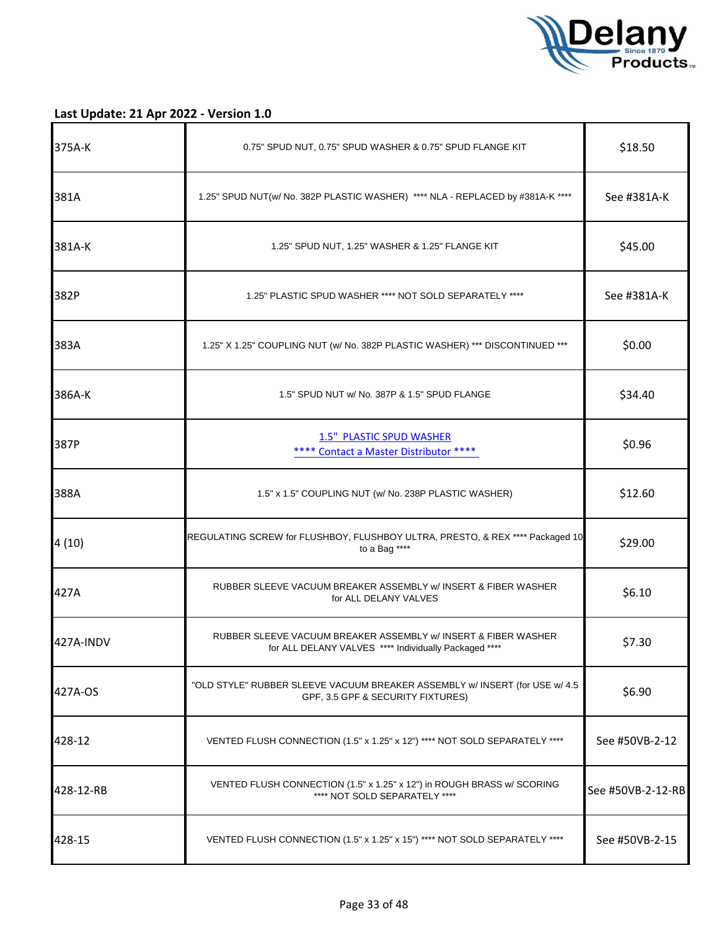

| 375A-K    | 0.75" SPUD NUT, 0.75" SPUD WASHER & 0.75" SPUD FLANGE KIT                                                               | \$18.50           |
|-----------|-------------------------------------------------------------------------------------------------------------------------|-------------------|
| 381A      | 1.25" SPUD NUT(w/ No. 382P PLASTIC WASHER) **** NLA - REPLACED by #381A-K ****                                          | See #381A-K       |
| 381A-K    | 1.25" SPUD NUT, 1.25" WASHER & 1.25" FLANGE KIT                                                                         | \$45.00           |
| 382P      | 1.25" PLASTIC SPUD WASHER **** NOT SOLD SEPARATELY ****                                                                 | See #381A-K       |
| 383A      | 1.25" X 1.25" COUPLING NUT (w/ No. 382P PLASTIC WASHER) *** DISCONTINUED ***                                            | \$0.00            |
| 386A-K    | 1.5" SPUD NUT w/ No. 387P & 1.5" SPUD FLANGE                                                                            | \$34.40           |
| 387P      | 1.5" PLASTIC SPUD WASHER<br>**** Contact a Master Distributor ****                                                      | \$0.96            |
| 388A      | 1.5" x 1.5" COUPLING NUT (w/ No. 238P PLASTIC WASHER)                                                                   | \$12.60           |
| 4(10)     | REGULATING SCREW for FLUSHBOY, FLUSHBOY ULTRA, PRESTO, & REX **** Packaged 10<br>to a Bag ****                          | \$29.00           |
| 427A      | RUBBER SLEEVE VACUUM BREAKER ASSEMBLY w/ INSERT & FIBER WASHER<br>for ALL DELANY VALVES                                 | \$6.10            |
| 427A-INDV | RUBBER SLEEVE VACUUM BREAKER ASSEMBLY w/ INSERT & FIBER WASHER<br>for ALL DELANY VALVES **** Individually Packaged **** | \$7.30            |
| 427A-OS   | "OLD STYLE" RUBBER SLEEVE VACUUM BREAKER ASSEMBLY w/ INSERT (for USE w/ 4.5<br>GPF, 3.5 GPF & SECURITY FIXTURES)        | \$6.90            |
| 428-12    | VENTED FLUSH CONNECTION (1.5" x 1.25" x 12") **** NOT SOLD SEPARATELY ****                                              | See #50VB-2-12    |
| 428-12-RB | VENTED FLUSH CONNECTION (1.5" x 1.25" x 12") in ROUGH BRASS w/ SCORING<br>**** NOT SOLD SEPARATELY ****                 | See #50VB-2-12-RB |
| 428-15    | VENTED FLUSH CONNECTION (1.5" x 1.25" x 15") **** NOT SOLD SEPARATELY ****                                              | See #50VB-2-15    |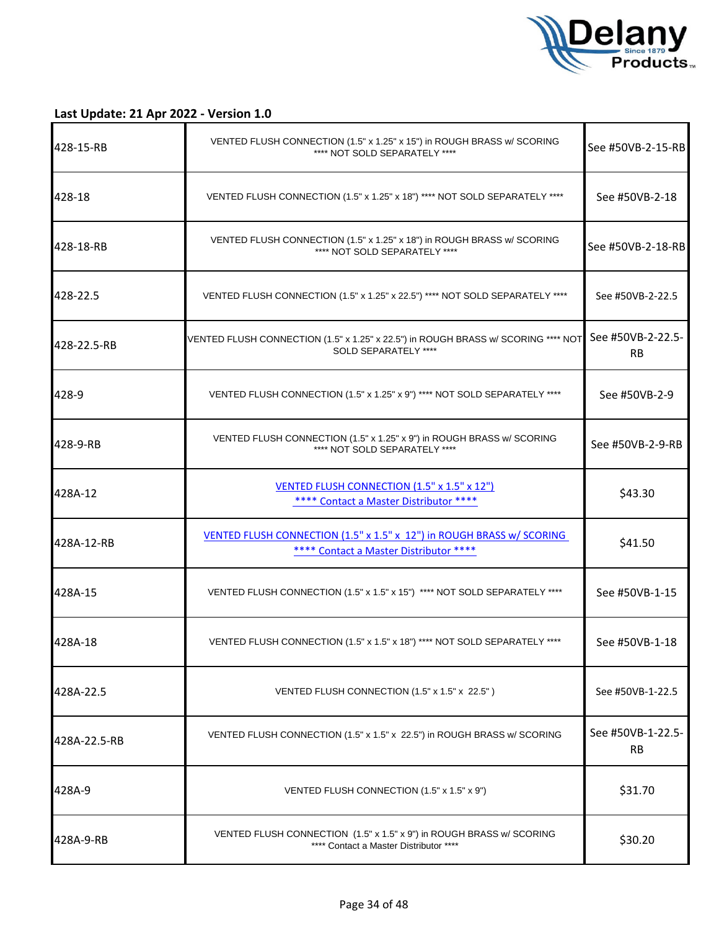

| 428-15-RB    | VENTED FLUSH CONNECTION (1.5" x 1.25" x 15") in ROUGH BRASS w/ SCORING<br>**** NOT SOLD SEPARATELY ****         | See #50VB-2-15-RB              |
|--------------|-----------------------------------------------------------------------------------------------------------------|--------------------------------|
| 428-18       | VENTED FLUSH CONNECTION (1.5" x 1.25" x 18") **** NOT SOLD SEPARATELY ****                                      | See #50VB-2-18                 |
| 428-18-RB    | VENTED FLUSH CONNECTION (1.5" x 1.25" x 18") in ROUGH BRASS w/ SCORING<br>**** NOT SOLD SEPARATELY ****         | See #50VB-2-18-RB              |
| 428-22.5     | VENTED FLUSH CONNECTION (1.5" x 1.25" x 22.5") **** NOT SOLD SEPARATELY ****                                    | See #50VB-2-22.5               |
| 428-22.5-RB  | VENTED FLUSH CONNECTION (1.5" x 1.25" x 22.5") in ROUGH BRASS w/ SCORING **** NOT<br>SOLD SEPARATELY ****       | See #50VB-2-22.5-<br><b>RB</b> |
| 428-9        | VENTED FLUSH CONNECTION (1.5" x 1.25" x 9") **** NOT SOLD SEPARATELY ****                                       | See #50VB-2-9                  |
| 428-9-RB     | VENTED FLUSH CONNECTION (1.5" x 1.25" x 9") in ROUGH BRASS w/ SCORING<br>**** NOT SOLD SEPARATELY ****          | See #50VB-2-9-RB               |
| 428A-12      | <b>VENTED FLUSH CONNECTION (1.5" x 1.5" x 12")</b><br>**** Contact a Master Distributor ****                    | \$43.30                        |
| 428A-12-RB   | VENTED FLUSH CONNECTION (1.5" x 1.5" x 12") in ROUGH BRASS w/ SCORING<br>**** Contact a Master Distributor **** | \$41.50                        |
| 428A-15      | VENTED FLUSH CONNECTION (1.5" x 1.5" x 15") **** NOT SOLD SEPARATELY ****                                       | See #50VB-1-15                 |
| 428A-18      | VENTED FLUSH CONNECTION (1.5" x 1.5" x 18") **** NOT SOLD SEPARATELY ****                                       | See #50VB-1-18                 |
| 428A-22.5    | VENTED FLUSH CONNECTION (1.5" x 1.5" x 22.5")                                                                   | See #50VB-1-22.5               |
| 428A-22.5-RB | VENTED FLUSH CONNECTION (1.5" x 1.5" x 22.5") in ROUGH BRASS w/ SCORING                                         | See #50VB-1-22.5-<br><b>RB</b> |
| 428A-9       | VENTED FLUSH CONNECTION (1.5" x 1.5" x 9")                                                                      | \$31.70                        |
| 428A-9-RB    | VENTED FLUSH CONNECTION (1.5" x 1.5" x 9") in ROUGH BRASS w/ SCORING<br>**** Contact a Master Distributor ****  | \$30.20                        |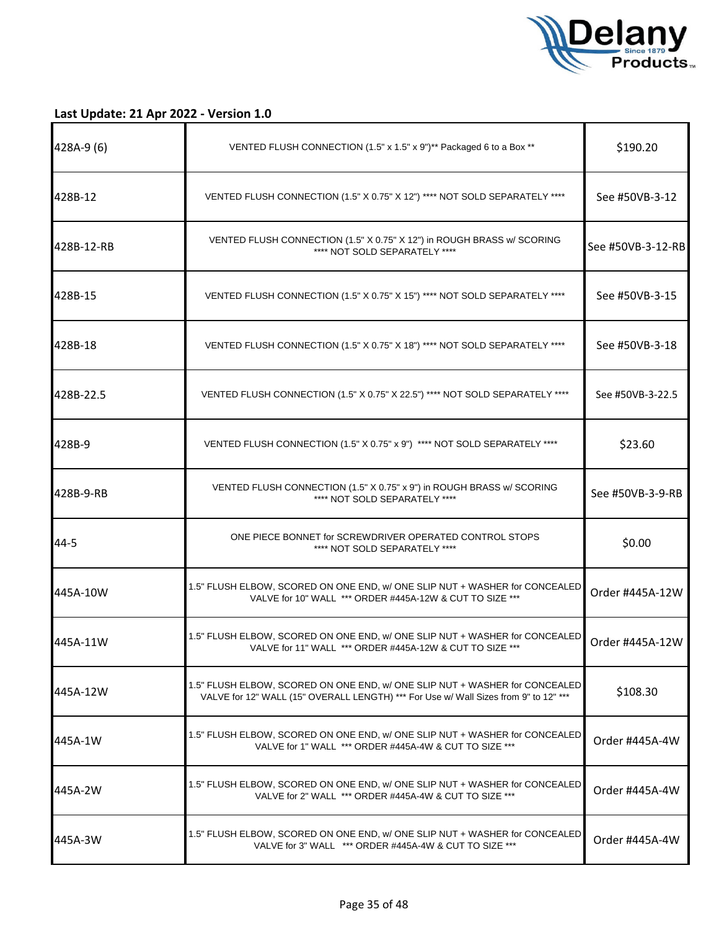

| 428A-9 (6) | VENTED FLUSH CONNECTION (1.5" x 1.5" x 9")** Packaged 6 to a Box **                                                                                                 | \$190.20          |
|------------|---------------------------------------------------------------------------------------------------------------------------------------------------------------------|-------------------|
| 428B-12    | VENTED FLUSH CONNECTION (1.5" X 0.75" X 12") **** NOT SOLD SEPARATELY ****                                                                                          | See #50VB-3-12    |
| 428B-12-RB | VENTED FLUSH CONNECTION (1.5" X 0.75" X 12") in ROUGH BRASS w/ SCORING<br>**** NOT SOLD SEPARATELY ****                                                             | See #50VB-3-12-RB |
| 428B-15    | VENTED FLUSH CONNECTION (1.5" X 0.75" X 15") **** NOT SOLD SEPARATELY ****                                                                                          | See #50VB-3-15    |
| 428B-18    | VENTED FLUSH CONNECTION (1.5" X 0.75" X 18") **** NOT SOLD SEPARATELY ****                                                                                          | See #50VB-3-18    |
| 428B-22.5  | VENTED FLUSH CONNECTION (1.5" X 0.75" X 22.5") **** NOT SOLD SEPARATELY ****                                                                                        | See #50VB-3-22.5  |
| 428B-9     | VENTED FLUSH CONNECTION (1.5" X 0.75" x 9") **** NOT SOLD SEPARATELY ****                                                                                           | \$23.60           |
| 428B-9-RB  | VENTED FLUSH CONNECTION (1.5" X 0.75" x 9") in ROUGH BRASS w/ SCORING<br>**** NOT SOLD SEPARATELY ****                                                              | See #50VB-3-9-RB  |
| 44-5       | ONE PIECE BONNET for SCREWDRIVER OPERATED CONTROL STOPS<br>**** NOT SOLD SEPARATELY ****                                                                            | \$0.00            |
| 445A-10W   | 1.5" FLUSH ELBOW, SCORED ON ONE END, w/ONE SLIP NUT + WASHER for CONCEALED<br>VALVE for 10" WALL *** ORDER #445A-12W & CUT TO SIZE ***                              | Order #445A-12W   |
| 445A-11W   | 1.5" FLUSH ELBOW, SCORED ON ONE END, w/ ONE SLIP NUT + WASHER for CONCEALED<br>VALVE for 11" WALL *** ORDER #445A-12W & CUT TO SIZE ***                             | Order #445A-12W   |
| 445A-12W   | 1.5" FLUSH ELBOW, SCORED ON ONE END, w/ ONE SLIP NUT + WASHER for CONCEALED<br>VALVE for 12" WALL (15" OVERALL LENGTH) *** For Use w/ Wall Sizes from 9" to 12" *** | \$108.30          |
| 1445A-1W   | 1.5" FLUSH ELBOW, SCORED ON ONE END, w/ONE SLIP NUT + WASHER for CONCEALED<br>VALVE for 1" WALL *** ORDER #445A-4W & CUT TO SIZE ***                                | Order #445A-4W    |
| I445A-2W   | 1.5" FLUSH ELBOW, SCORED ON ONE END, w/ONE SLIP NUT + WASHER for CONCEALED<br>VALVE for 2" WALL *** ORDER #445A-4W & CUT TO SIZE ***                                | Order #445A-4W    |
| 1445A-3W   | 1.5" FLUSH ELBOW, SCORED ON ONE END, w/ONE SLIP NUT + WASHER for CONCEALED<br>VALVE for 3" WALL *** ORDER #445A-4W & CUT TO SIZE ***                                | Order #445A-4W    |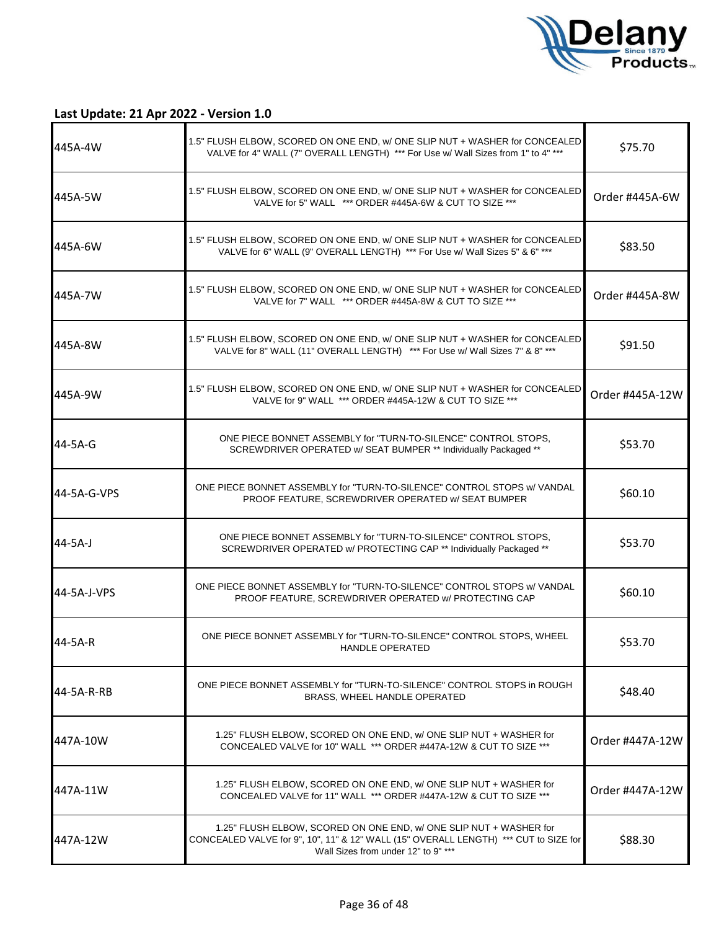

| 445A-4W     | 1.5" FLUSH ELBOW, SCORED ON ONE END, w/ ONE SLIP NUT + WASHER for CONCEALED<br>VALVE for 4" WALL (7" OVERALL LENGTH) *** For Use w/ Wall Sizes from 1" to 4" ***                                 | \$75.70         |
|-------------|--------------------------------------------------------------------------------------------------------------------------------------------------------------------------------------------------|-----------------|
| 445A-5W     | 1.5" FLUSH ELBOW, SCORED ON ONE END, w/ONE SLIP NUT + WASHER for CONCEALED<br>VALVE for 5" WALL *** ORDER #445A-6W & CUT TO SIZE ***                                                             | Order #445A-6W  |
| 445A-6W     | 1.5" FLUSH ELBOW, SCORED ON ONE END, w/ONE SLIP NUT + WASHER for CONCEALED<br>VALVE for 6" WALL (9" OVERALL LENGTH) *** For Use w/ Wall Sizes 5" & 6" ***                                        | \$83.50         |
| 445A-7W     | 1.5" FLUSH ELBOW, SCORED ON ONE END, w/ ONE SLIP NUT + WASHER for CONCEALED<br>VALVE for 7" WALL *** ORDER #445A-8W & CUT TO SIZE ***                                                            | Order #445A-8W  |
| 445A-8W     | 1.5" FLUSH ELBOW, SCORED ON ONE END, w/ ONE SLIP NUT + WASHER for CONCEALED<br>VALVE for 8" WALL (11" OVERALL LENGTH) *** For Use w/ Wall Sizes 7" & 8" ***                                      | \$91.50         |
| 445A-9W     | 1.5" FLUSH ELBOW, SCORED ON ONE END, w/ONE SLIP NUT + WASHER for CONCEALED<br>VALVE for 9" WALL *** ORDER #445A-12W & CUT TO SIZE ***                                                            | Order #445A-12W |
| 44-5A-G     | ONE PIECE BONNET ASSEMBLY for "TURN-TO-SILENCE" CONTROL STOPS,<br>SCREWDRIVER OPERATED w/ SEAT BUMPER ** Individually Packaged **                                                                | \$53.70         |
| 44-5A-G-VPS | ONE PIECE BONNET ASSEMBLY for "TURN-TO-SILENCE" CONTROL STOPS w/ VANDAL<br>PROOF FEATURE, SCREWDRIVER OPERATED w/ SEAT BUMPER                                                                    | \$60.10         |
| 44-5A-J     | ONE PIECE BONNET ASSEMBLY for "TURN-TO-SILENCE" CONTROL STOPS,<br>SCREWDRIVER OPERATED w/ PROTECTING CAP ** Individually Packaged **                                                             | \$53.70         |
| 44-5A-J-VPS | ONE PIECE BONNET ASSEMBLY for "TURN-TO-SILENCE" CONTROL STOPS w/ VANDAL<br>PROOF FEATURE, SCREWDRIVER OPERATED W/ PROTECTING CAP                                                                 | \$60.10         |
| 44-5A-R     | ONE PIECE BONNET ASSEMBLY for "TURN-TO-SILENCE" CONTROL STOPS, WHEEL<br><b>HANDLE OPERATED</b>                                                                                                   | \$53.70         |
| 44-5A-R-RB  | ONE PIECE BONNET ASSEMBLY for "TURN-TO-SILENCE" CONTROL STOPS in ROUGH<br>BRASS, WHEEL HANDLE OPERATED                                                                                           | \$48.40         |
| 447A-10W    | 1.25" FLUSH ELBOW, SCORED ON ONE END, w/ONE SLIP NUT + WASHER for<br>CONCEALED VALVE for 10" WALL *** ORDER #447A-12W & CUT TO SIZE ***                                                          | Order #447A-12W |
| 447A-11W    | 1.25" FLUSH ELBOW, SCORED ON ONE END, w/ ONE SLIP NUT + WASHER for<br>CONCEALED VALVE for 11" WALL *** ORDER #447A-12W & CUT TO SIZE ***                                                         | Order #447A-12W |
| 447A-12W    | 1.25" FLUSH ELBOW, SCORED ON ONE END, w/ONE SLIP NUT + WASHER for<br>CONCEALED VALVE for 9", 10", 11" & 12" WALL (15" OVERALL LENGTH) *** CUT to SIZE for<br>Wall Sizes from under 12" to 9" *** | \$88.30         |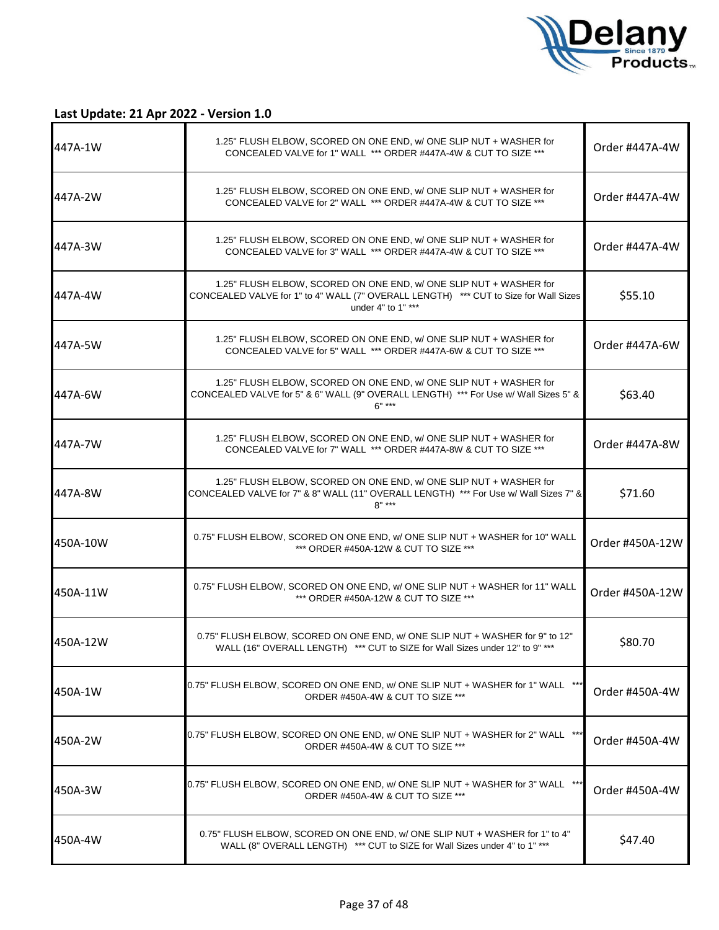

| 447A-1W  | 1.25" FLUSH ELBOW, SCORED ON ONE END, w/ ONE SLIP NUT + WASHER for<br>CONCEALED VALVE for 1" WALL *** ORDER #447A-4W & CUT TO SIZE ***                                           | Order #447A-4W  |
|----------|----------------------------------------------------------------------------------------------------------------------------------------------------------------------------------|-----------------|
| 447A-2W  | 1.25" FLUSH ELBOW, SCORED ON ONE END, w/ ONE SLIP NUT + WASHER for<br>CONCEALED VALVE for 2" WALL *** ORDER #447A-4W & CUT TO SIZE ***                                           | Order #447A-4W  |
| 447A-3W  | 1.25" FLUSH ELBOW, SCORED ON ONE END, w/ONE SLIP NUT + WASHER for<br>CONCEALED VALVE for 3" WALL *** ORDER #447A-4W & CUT TO SIZE ***                                            | Order #447A-4W  |
| 447A-4W  | 1.25" FLUSH ELBOW, SCORED ON ONE END, w/ ONE SLIP NUT + WASHER for<br>CONCEALED VALVE for 1" to 4" WALL (7" OVERALL LENGTH) *** CUT to Size for Wall Sizes<br>under 4" to 1" *** | \$55.10         |
| 447A-5W  | 1.25" FLUSH ELBOW, SCORED ON ONE END, w/ONE SLIP NUT + WASHER for<br>CONCEALED VALVE for 5" WALL *** ORDER #447A-6W & CUT TO SIZE ***                                            | Order #447A-6W  |
| 447A-6W  | 1.25" FLUSH ELBOW, SCORED ON ONE END, w/ ONE SLIP NUT + WASHER for<br>CONCEALED VALVE for 5" & 6" WALL (9" OVERALL LENGTH) *** For Use w/ Wall Sizes 5" &<br>$6"$ ***            | \$63.40         |
| 447A-7W  | 1.25" FLUSH ELBOW, SCORED ON ONE END, w/ONE SLIP NUT + WASHER for<br>CONCEALED VALVE for 7" WALL *** ORDER #447A-8W & CUT TO SIZE ***                                            | Order #447A-8W  |
| 447A-8W  | 1.25" FLUSH ELBOW, SCORED ON ONE END, w/ ONE SLIP NUT + WASHER for<br>CONCEALED VALVE for 7" & 8" WALL (11" OVERALL LENGTH) *** For Use w/ Wall Sizes 7" &<br>$R''$ ***          | \$71.60         |
| 450A-10W | 0.75" FLUSH ELBOW, SCORED ON ONE END, w/ONE SLIP NUT + WASHER for 10" WALL<br>*** ORDER #450A-12W & CUT TO SIZE ***                                                              | Order #450A-12W |
| 450A-11W | 0.75" FLUSH ELBOW, SCORED ON ONE END, w/ONE SLIP NUT + WASHER for 11" WALL<br>*** ORDER #450A-12W & CUT TO SIZE ***                                                              | Order #450A-12W |
| 450A-12W | 0.75" FLUSH ELBOW, SCORED ON ONE END, w/ONE SLIP NUT + WASHER for 9" to 12"<br>WALL (16" OVERALL LENGTH) *** CUT to SIZE for Wall Sizes under 12" to 9" ***                      | \$80.70         |
| 450A-1W  | 0.75" FLUSH ELBOW, SCORED ON ONE END, w/ ONE SLIP NUT + WASHER for 1" WALL ***<br>ORDER #450A-4W & CUT TO SIZE ***                                                               | Order #450A-4W  |
| 450A-2W  | 0.75" FLUSH ELBOW, SCORED ON ONE END, w/ ONE SLIP NUT + WASHER for 2" WALL ***<br>ORDER #450A-4W & CUT TO SIZE ***                                                               | Order #450A-4W  |
| 450A-3W  | 0.75" FLUSH ELBOW, SCORED ON ONE END, w/ONE SLIP NUT + WASHER for 3" WALL ***<br>ORDER #450A-4W & CUT TO SIZE ***                                                                | Order #450A-4W  |
| 450A-4W  | 0.75" FLUSH ELBOW, SCORED ON ONE END, w/ ONE SLIP NUT + WASHER for 1" to 4"<br>WALL (8" OVERALL LENGTH) *** CUT to SIZE for Wall Sizes under 4" to 1" ***                        | \$47.40         |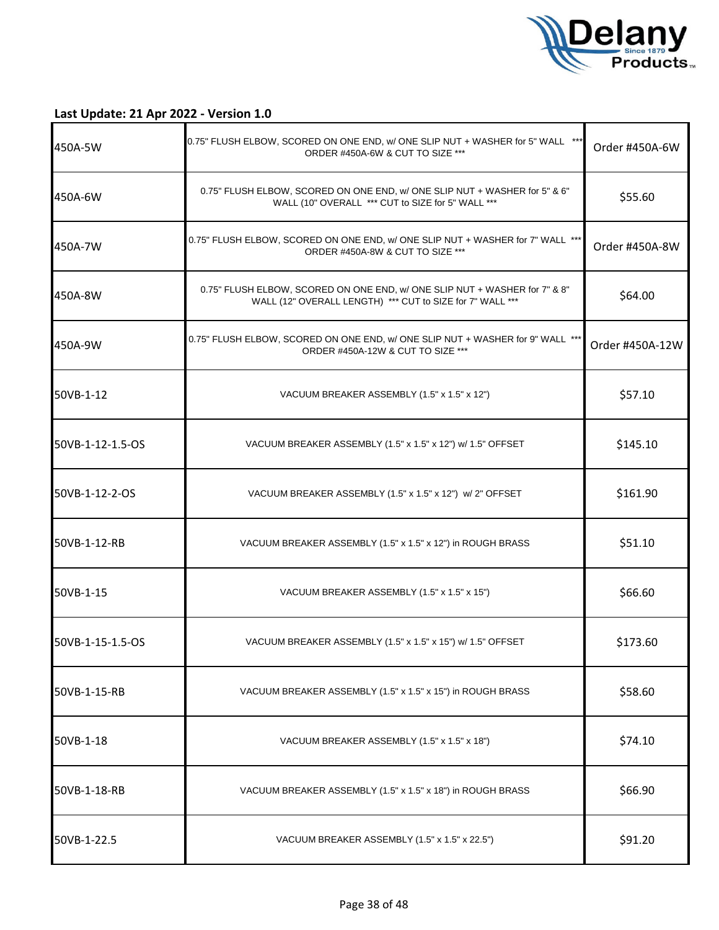

| 450A-5W          | 0.75" FLUSH ELBOW, SCORED ON ONE END, w/ ONE SLIP NUT + WASHER for 5" WALL ***<br>ORDER #450A-6W & CUT TO SIZE ***                      | Order #450A-6W  |
|------------------|-----------------------------------------------------------------------------------------------------------------------------------------|-----------------|
| 450A-6W          | 0.75" FLUSH ELBOW, SCORED ON ONE END, w/ ONE SLIP NUT + WASHER for 5" & 6"<br>WALL (10" OVERALL *** CUT to SIZE for 5" WALL ***         | \$55.60         |
| 450A-7W          | 0.75" FLUSH ELBOW, SCORED ON ONE END, w/ ONE SLIP NUT + WASHER for 7" WALL ***<br>ORDER #450A-8W & CUT TO SIZE ***                      | Order #450A-8W  |
| 450A-8W          | 0.75" FLUSH ELBOW, SCORED ON ONE END, w/ ONE SLIP NUT + WASHER for 7" & 8"<br>WALL (12" OVERALL LENGTH) *** CUT to SIZE for 7" WALL *** | \$64.00         |
| 450A-9W          | 0.75" FLUSH ELBOW, SCORED ON ONE END, w/ ONE SLIP NUT + WASHER for 9" WALL ***<br>ORDER #450A-12W & CUT TO SIZE ***                     | Order #450A-12W |
| 50VB-1-12        | VACUUM BREAKER ASSEMBLY (1.5" x 1.5" x 12")                                                                                             | \$57.10         |
| 50VB-1-12-1.5-OS | VACUUM BREAKER ASSEMBLY (1.5" x 1.5" x 12") w/ 1.5" OFFSET                                                                              | \$145.10        |
| 50VB-1-12-2-OS   | VACUUM BREAKER ASSEMBLY (1.5" x 1.5" x 12") w/ 2" OFFSET                                                                                | \$161.90        |
| 50VB-1-12-RB     | VACUUM BREAKER ASSEMBLY (1.5" x 1.5" x 12") in ROUGH BRASS                                                                              | \$51.10         |
| 50VB-1-15        | VACUUM BREAKER ASSEMBLY (1.5" x 1.5" x 15")                                                                                             | \$66.60         |
| 50VB-1-15-1.5-OS | VACUUM BREAKER ASSEMBLY (1.5" x 1.5" x 15") w/ 1.5" OFFSET                                                                              | \$173.60        |
| 50VB-1-15-RB     | VACUUM BREAKER ASSEMBLY (1.5" x 1.5" x 15") in ROUGH BRASS                                                                              | \$58.60         |
| 50VB-1-18        | VACUUM BREAKER ASSEMBLY (1.5" x 1.5" x 18")                                                                                             | \$74.10         |
| 50VB-1-18-RB     | VACUUM BREAKER ASSEMBLY (1.5" x 1.5" x 18") in ROUGH BRASS                                                                              | \$66.90         |
| 50VB-1-22.5      | VACUUM BREAKER ASSEMBLY (1.5" x 1.5" x 22.5")                                                                                           | \$91.20         |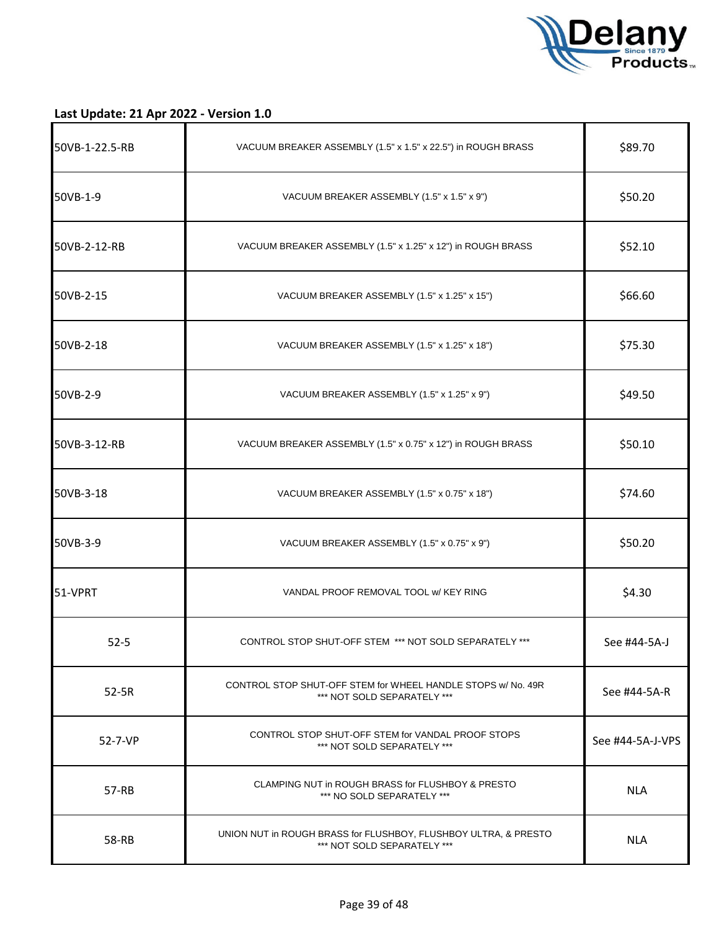

| 50VB-1-22.5-RB | VACUUM BREAKER ASSEMBLY (1.5" x 1.5" x 22.5") in ROUGH BRASS                                   | \$89.70          |
|----------------|------------------------------------------------------------------------------------------------|------------------|
| 50VB-1-9       | VACUUM BREAKER ASSEMBLY (1.5" x 1.5" x 9")                                                     | \$50.20          |
| 50VB-2-12-RB   | VACUUM BREAKER ASSEMBLY (1.5" x 1.25" x 12") in ROUGH BRASS                                    | \$52.10          |
| 50VB-2-15      | VACUUM BREAKER ASSEMBLY (1.5" x 1.25" x 15")                                                   | \$66.60          |
| 50VB-2-18      | VACUUM BREAKER ASSEMBLY (1.5" x 1.25" x 18")                                                   | \$75.30          |
| 50VB-2-9       | VACUUM BREAKER ASSEMBLY (1.5" x 1.25" x 9")                                                    | \$49.50          |
| 50VB-3-12-RB   | VACUUM BREAKER ASSEMBLY (1.5" x 0.75" x 12") in ROUGH BRASS                                    | \$50.10          |
| 50VB-3-18      | VACUUM BREAKER ASSEMBLY (1.5" x 0.75" x 18")                                                   | \$74.60          |
| 50VB-3-9       | VACUUM BREAKER ASSEMBLY (1.5" x 0.75" x 9")                                                    | \$50.20          |
| 51-VPRT        | VANDAL PROOF REMOVAL TOOL W/ KEY RING                                                          | \$4.30           |
| $52 - 5$       | CONTROL STOP SHUT-OFF STEM *** NOT SOLD SEPARATELY ***                                         | See #44-5A-J     |
| 52-5R          | CONTROL STOP SHUT-OFF STEM for WHEEL HANDLE STOPS w/ No. 49R<br>*** NOT SOLD SEPARATELY ***    | See #44-5A-R     |
| 52-7-VP        | CONTROL STOP SHUT-OFF STEM for VANDAL PROOF STOPS<br>*** NOT SOLD SEPARATELY ***               | See #44-5A-J-VPS |
| 57-RB          | CLAMPING NUT in ROUGH BRASS for FLUSHBOY & PRESTO<br>*** NO SOLD SEPARATELY ***                | <b>NLA</b>       |
| 58-RB          | UNION NUT in ROUGH BRASS for FLUSHBOY, FLUSHBOY ULTRA, & PRESTO<br>*** NOT SOLD SEPARATELY *** | <b>NLA</b>       |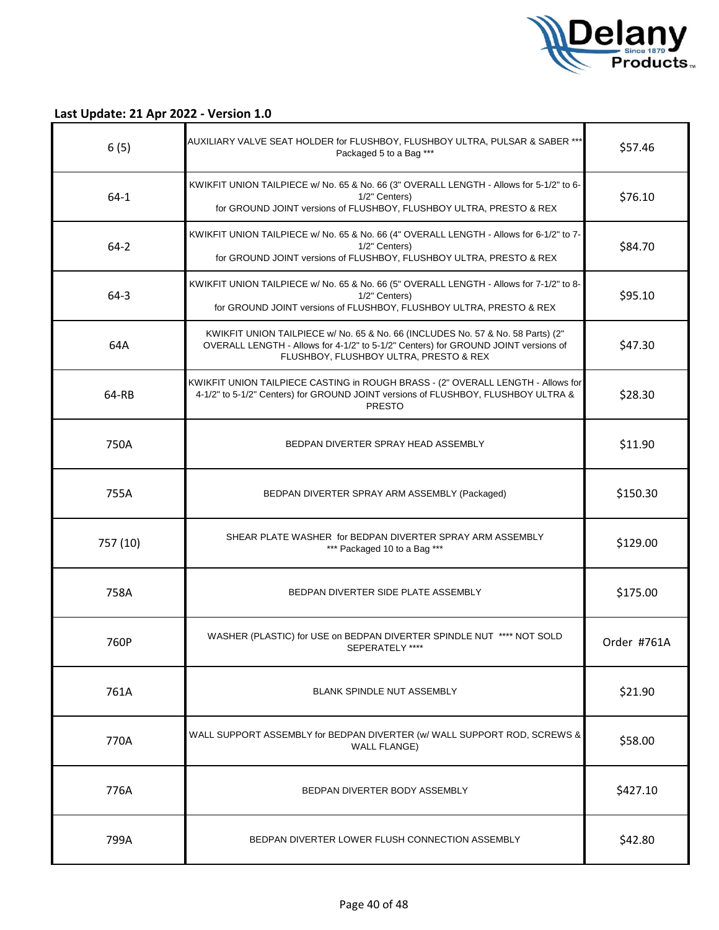

| 6(5)     | AUXILIARY VALVE SEAT HOLDER for FLUSHBOY, FLUSHBOY ULTRA, PULSAR & SABER ***<br>Packaged 5 to a Bag ***                                                                                                         | \$57.46     |
|----------|-----------------------------------------------------------------------------------------------------------------------------------------------------------------------------------------------------------------|-------------|
| $64-1$   | KWIKFIT UNION TAILPIECE w/ No. 65 & No. 66 (3" OVERALL LENGTH - Allows for 5-1/2" to 6-<br>1/2" Centers)<br>for GROUND JOINT versions of FLUSHBOY, FLUSHBOY ULTRA, PRESTO & REX                                 | \$76.10     |
| $64 - 2$ | KWIKFIT UNION TAILPIECE w/ No. 65 & No. 66 (4" OVERALL LENGTH - Allows for 6-1/2" to 7-<br>1/2" Centers)<br>for GROUND JOINT versions of FLUSHBOY, FLUSHBOY ULTRA, PRESTO & REX                                 | \$84.70     |
| $64-3$   | KWIKFIT UNION TAILPIECE w/ No. 65 & No. 66 (5" OVERALL LENGTH - Allows for 7-1/2" to 8-<br>1/2" Centers)<br>for GROUND JOINT versions of FLUSHBOY, FLUSHBOY ULTRA, PRESTO & REX                                 | \$95.10     |
| 64A      | KWIKFIT UNION TAILPIECE w/ No. 65 & No. 66 (INCLUDES No. 57 & No. 58 Parts) (2"<br>OVERALL LENGTH - Allows for 4-1/2" to 5-1/2" Centers) for GROUND JOINT versions of<br>FLUSHBOY, FLUSHBOY ULTRA, PRESTO & REX | \$47.30     |
| 64-RB    | KWIKFIT UNION TAILPIECE CASTING in ROUGH BRASS - (2" OVERALL LENGTH - Allows for<br>4-1/2" to 5-1/2" Centers) for GROUND JOINT versions of FLUSHBOY, FLUSHBOY ULTRA &<br><b>PRESTO</b>                          | \$28.30     |
| 750A     | BEDPAN DIVERTER SPRAY HEAD ASSEMBLY                                                                                                                                                                             | \$11.90     |
| 755A     | BEDPAN DIVERTER SPRAY ARM ASSEMBLY (Packaged)                                                                                                                                                                   | \$150.30    |
| 757 (10) | SHEAR PLATE WASHER for BEDPAN DIVERTER SPRAY ARM ASSEMBLY<br>*** Packaged 10 to a Bag ***                                                                                                                       | \$129.00    |
| 758A     | BEDPAN DIVERTER SIDE PLATE ASSEMBLY                                                                                                                                                                             | \$175.00    |
| 760P     | WASHER (PLASTIC) for USE on BEDPAN DIVERTER SPINDLE NUT **** NOT SOLD<br>SEPERATELY ****                                                                                                                        | Order #761A |
| 761A     | BLANK SPINDLE NUT ASSEMBLY                                                                                                                                                                                      | \$21.90     |
| 770A     | WALL SUPPORT ASSEMBLY for BEDPAN DIVERTER (w/ WALL SUPPORT ROD, SCREWS &<br><b>WALL FLANGE)</b>                                                                                                                 | \$58.00     |
| 776A     | BEDPAN DIVERTER BODY ASSEMBLY                                                                                                                                                                                   | \$427.10    |
| 799A     | BEDPAN DIVERTER LOWER FLUSH CONNECTION ASSEMBLY                                                                                                                                                                 | \$42.80     |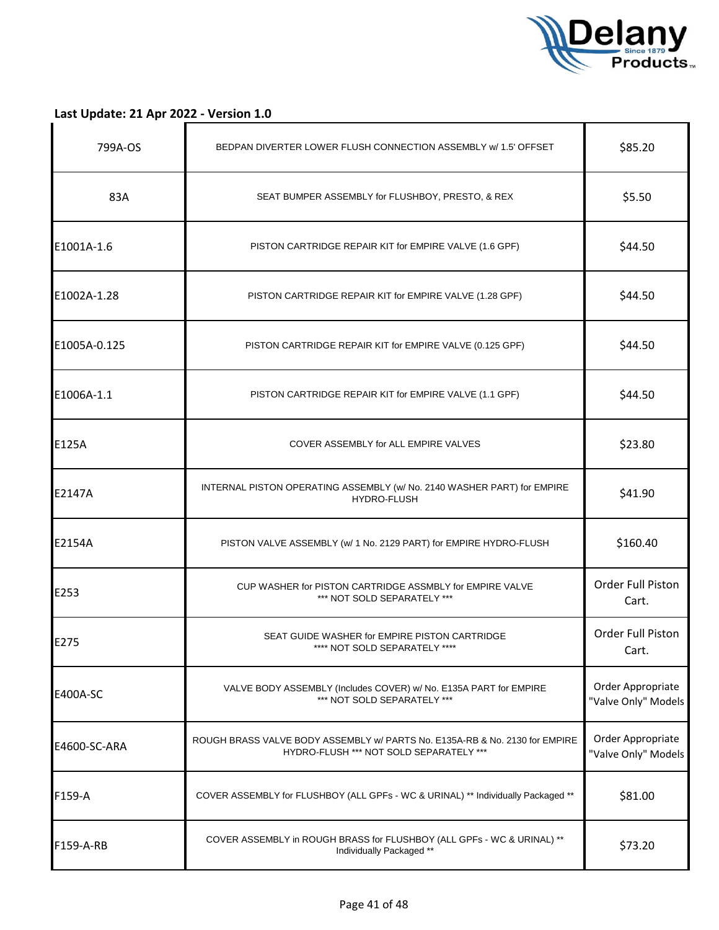

| 799A-OS      | BEDPAN DIVERTER LOWER FLUSH CONNECTION ASSEMBLY w/ 1.5' OFFSET                                                         | \$85.20                                  |
|--------------|------------------------------------------------------------------------------------------------------------------------|------------------------------------------|
| 83A          | SEAT BUMPER ASSEMBLY for FLUSHBOY, PRESTO, & REX                                                                       | \$5.50                                   |
| E1001A-1.6   | PISTON CARTRIDGE REPAIR KIT for EMPIRE VALVE (1.6 GPF)                                                                 | \$44.50                                  |
| E1002A-1.28  | PISTON CARTRIDGE REPAIR KIT for EMPIRE VALVE (1.28 GPF)                                                                | \$44.50                                  |
| E1005A-0.125 | PISTON CARTRIDGE REPAIR KIT for EMPIRE VALVE (0.125 GPF)                                                               | \$44.50                                  |
| E1006A-1.1   | PISTON CARTRIDGE REPAIR KIT for EMPIRE VALVE (1.1 GPF)                                                                 | \$44.50                                  |
| E125A        | COVER ASSEMBLY for ALL EMPIRE VALVES                                                                                   | \$23.80                                  |
| E2147A       | INTERNAL PISTON OPERATING ASSEMBLY (w/ No. 2140 WASHER PART) for EMPIRE<br><b>HYDRO-FLUSH</b>                          | \$41.90                                  |
| E2154A       | PISTON VALVE ASSEMBLY (w/ 1 No. 2129 PART) for EMPIRE HYDRO-FLUSH                                                      | \$160.40                                 |
| E253         | CUP WASHER for PISTON CARTRIDGE ASSMBLY for EMPIRE VALVE<br>*** NOT SOLD SEPARATELY ***                                | Order Full Piston<br>Cart.               |
| E275         | SEAT GUIDE WASHER for EMPIRE PISTON CARTRIDGE<br>**** NOT SOLD SEPARATELY ****                                         | Order Full Piston<br>Cart.               |
| E400A-SC     | VALVE BODY ASSEMBLY (Includes COVER) w/ No. E135A PART for EMPIRE<br>*** NOT SOLD SEPARATELY ***                       | Order Appropriate<br>"Valve Only" Models |
| E4600-SC-ARA | ROUGH BRASS VALVE BODY ASSEMBLY w/ PARTS No. E135A-RB & No. 2130 for EMPIRE<br>HYDRO-FLUSH *** NOT SOLD SEPARATELY *** | Order Appropriate<br>"Valve Only" Models |
| F159-A       | COVER ASSEMBLY for FLUSHBOY (ALL GPFs - WC & URINAL) ** Individually Packaged **                                       | \$81.00                                  |
| F159-A-RB    | COVER ASSEMBLY in ROUGH BRASS for FLUSHBOY (ALL GPFs - WC & URINAL) **<br>Individually Packaged **                     | \$73.20                                  |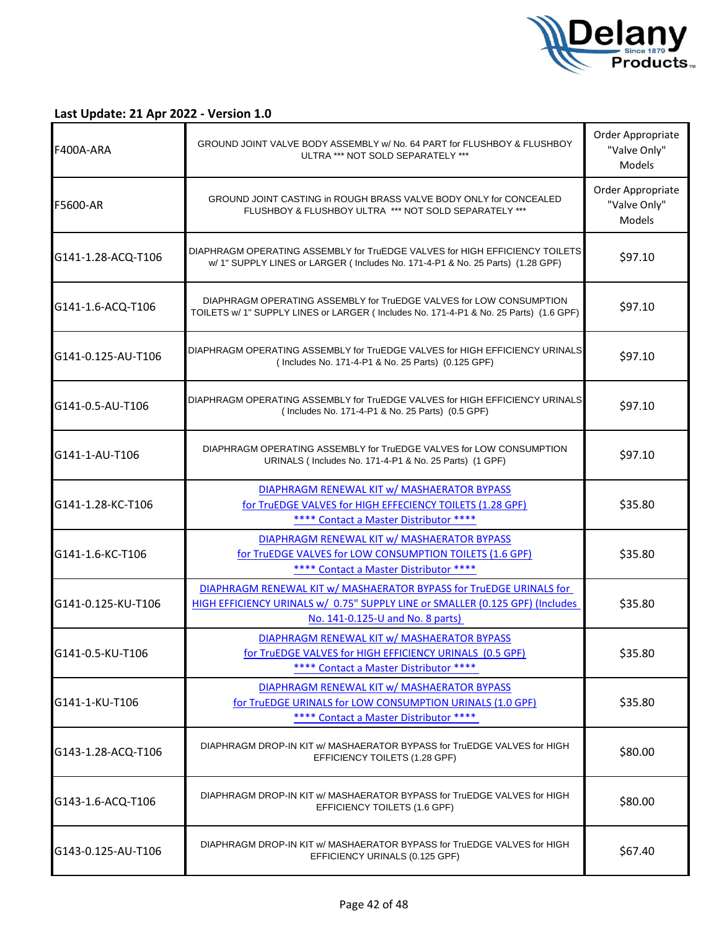

| F400A-ARA          | GROUND JOINT VALVE BODY ASSEMBLY W/ No. 64 PART for FLUSHBOY & FLUSHBOY<br>ULTRA *** NOT SOLD SEPARATELY ***                                                                             | Order Appropriate<br>"Valve Only"<br><b>Models</b> |
|--------------------|------------------------------------------------------------------------------------------------------------------------------------------------------------------------------------------|----------------------------------------------------|
| <b>F5600-AR</b>    | GROUND JOINT CASTING in ROUGH BRASS VALVE BODY ONLY for CONCEALED<br>FLUSHBOY & FLUSHBOY ULTRA *** NOT SOLD SEPARATELY ***                                                               | Order Appropriate<br>"Valve Only"<br><b>Models</b> |
| G141-1.28-ACQ-T106 | DIAPHRAGM OPERATING ASSEMBLY for TruEDGE VALVES for HIGH EFFICIENCY TOILETS<br>w/ 1" SUPPLY LINES or LARGER (Includes No. 171-4-P1 & No. 25 Parts) (1.28 GPF)                            | \$97.10                                            |
| G141-1.6-ACQ-T106  | DIAPHRAGM OPERATING ASSEMBLY for TruEDGE VALVES for LOW CONSUMPTION<br>TOILETS w/ 1" SUPPLY LINES or LARGER (Includes No. 171-4-P1 & No. 25 Parts) (1.6 GPF)                             | \$97.10                                            |
| G141-0.125-AU-T106 | DIAPHRAGM OPERATING ASSEMBLY for TruEDGE VALVES for HIGH EFFICIENCY URINALS<br>(Includes No. 171-4-P1 & No. 25 Parts) (0.125 GPF)                                                        | \$97.10                                            |
| G141-0.5-AU-T106   | DIAPHRAGM OPERATING ASSEMBLY for TruEDGE VALVES for HIGH EFFICIENCY URINALS<br>(Includes No. 171-4-P1 & No. 25 Parts) (0.5 GPF)                                                          | \$97.10                                            |
| G141-1-AU-T106     | DIAPHRAGM OPERATING ASSEMBLY for TruEDGE VALVES for LOW CONSUMPTION<br>URINALS (Includes No. 171-4-P1 & No. 25 Parts) (1 GPF)                                                            | \$97.10                                            |
| G141-1.28-KC-T106  | DIAPHRAGM RENEWAL KIT w/ MASHAERATOR BYPASS<br>for TruEDGE VALVES for HIGH EFFECIENCY TOILETS (1.28 GPF)<br>**** Contact a Master Distributor ****                                       | \$35.80                                            |
| G141-1.6-KC-T106   | DIAPHRAGM RENEWAL KIT w/ MASHAERATOR BYPASS<br>for TruEDGE VALVES for LOW CONSUMPTION TOILETS (1.6 GPF)<br>**** Contact a Master Distributor ****                                        | \$35.80                                            |
| G141-0.125-KU-T106 | DIAPHRAGM RENEWAL KIT w/ MASHAERATOR BYPASS for TruEDGE URINALS for<br>HIGH EFFICIENCY URINALS w/ 0.75" SUPPLY LINE or SMALLER (0.125 GPF) (Includes<br>No. 141-0.125-U and No. 8 parts) | \$35.80                                            |
| G141-0.5-KU-T106   | DIAPHRAGM RENEWAL KIT w/ MASHAERATOR BYPASS<br>for TruEDGE VALVES for HIGH EFFICIENCY URINALS (0.5 GPF)<br>**** Contact a Master Distributor ****                                        | \$35.80                                            |
| G141-1-KU-T106     | DIAPHRAGM RENEWAL KIT w/ MASHAERATOR BYPASS<br>for TruEDGE URINALS for LOW CONSUMPTION URINALS (1.0 GPF)<br>**** Contact a Master Distributor ****                                       | \$35.80                                            |
| G143-1.28-ACQ-T106 | DIAPHRAGM DROP-IN KIT w/ MASHAERATOR BYPASS for TruEDGE VALVES for HIGH<br>EFFICIENCY TOILETS (1.28 GPF)                                                                                 | \$80.00                                            |
| G143-1.6-ACQ-T106  | DIAPHRAGM DROP-IN KIT w/ MASHAERATOR BYPASS for TruEDGE VALVES for HIGH<br>EFFICIENCY TOILETS (1.6 GPF)                                                                                  | \$80.00                                            |
| G143-0.125-AU-T106 | DIAPHRAGM DROP-IN KIT w/ MASHAERATOR BYPASS for TruEDGE VALVES for HIGH<br>EFFICIENCY URINALS (0.125 GPF)                                                                                | \$67.40                                            |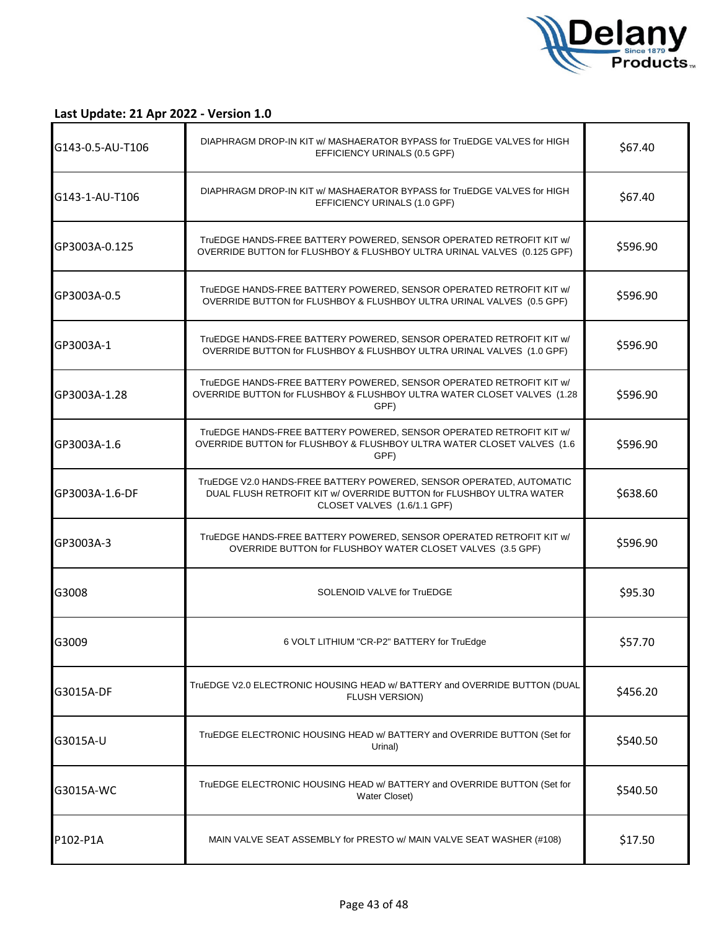

| G143-0.5-AU-T106 | DIAPHRAGM DROP-IN KIT w/ MASHAERATOR BYPASS for TruEDGE VALVES for HIGH<br>EFFICIENCY URINALS (0.5 GPF)                                                                   | \$67.40  |
|------------------|---------------------------------------------------------------------------------------------------------------------------------------------------------------------------|----------|
| G143-1-AU-T106   | DIAPHRAGM DROP-IN KIT w/ MASHAERATOR BYPASS for TruEDGE VALVES for HIGH<br>EFFICIENCY URINALS (1.0 GPF)                                                                   | \$67.40  |
| GP3003A-0.125    | TruEDGE HANDS-FREE BATTERY POWERED, SENSOR OPERATED RETROFIT KIT w/<br>OVERRIDE BUTTON for FLUSHBOY & FLUSHBOY ULTRA URINAL VALVES (0.125 GPF)                            | \$596.90 |
| GP3003A-0.5      | TruEDGE HANDS-FREE BATTERY POWERED, SENSOR OPERATED RETROFIT KIT w/<br>OVERRIDE BUTTON for FLUSHBOY & FLUSHBOY ULTRA URINAL VALVES (0.5 GPF)                              | \$596.90 |
| GP3003A-1        | TruEDGE HANDS-FREE BATTERY POWERED, SENSOR OPERATED RETROFIT KIT w/<br>OVERRIDE BUTTON for FLUSHBOY & FLUSHBOY ULTRA URINAL VALVES (1.0 GPF)                              | \$596.90 |
| GP3003A-1.28     | TruEDGE HANDS-FREE BATTERY POWERED, SENSOR OPERATED RETROFIT KIT w/<br>OVERRIDE BUTTON for FLUSHBOY & FLUSHBOY ULTRA WATER CLOSET VALVES (1.28<br>GPF)                    | \$596.90 |
| GP3003A-1.6      | TruEDGE HANDS-FREE BATTERY POWERED, SENSOR OPERATED RETROFIT KIT w/<br>OVERRIDE BUTTON for FLUSHBOY & FLUSHBOY ULTRA WATER CLOSET VALVES (1.6<br>GPF)                     | \$596.90 |
| GP3003A-1.6-DF   | TruEDGE V2.0 HANDS-FREE BATTERY POWERED, SENSOR OPERATED, AUTOMATIC<br>DUAL FLUSH RETROFIT KIT w/ OVERRIDE BUTTON for FLUSHBOY ULTRA WATER<br>CLOSET VALVES (1.6/1.1 GPF) | \$638.60 |
| GP3003A-3        | TruEDGE HANDS-FREE BATTERY POWERED, SENSOR OPERATED RETROFIT KIT w/<br>OVERRIDE BUTTON for FLUSHBOY WATER CLOSET VALVES (3.5 GPF)                                         | \$596.90 |
| G3008            | SOLENOID VALVE for TruEDGE                                                                                                                                                | \$95.30  |
| G3009            | 6 VOLT LITHIUM "CR-P2" BATTERY for TruEdge                                                                                                                                | \$57.70  |
| G3015A-DF        | TruEDGE V2.0 ELECTRONIC HOUSING HEAD w/ BATTERY and OVERRIDE BUTTON (DUAL<br>FLUSH VERSION)                                                                               | \$456.20 |
| G3015A-U         | TruEDGE ELECTRONIC HOUSING HEAD w/ BATTERY and OVERRIDE BUTTON (Set for<br>Urinal)                                                                                        | \$540.50 |
| G3015A-WC        | TruEDGE ELECTRONIC HOUSING HEAD w/ BATTERY and OVERRIDE BUTTON (Set for<br>Water Closet)                                                                                  | \$540.50 |
| P102-P1A         | MAIN VALVE SEAT ASSEMBLY for PRESTO w/ MAIN VALVE SEAT WASHER (#108)                                                                                                      | \$17.50  |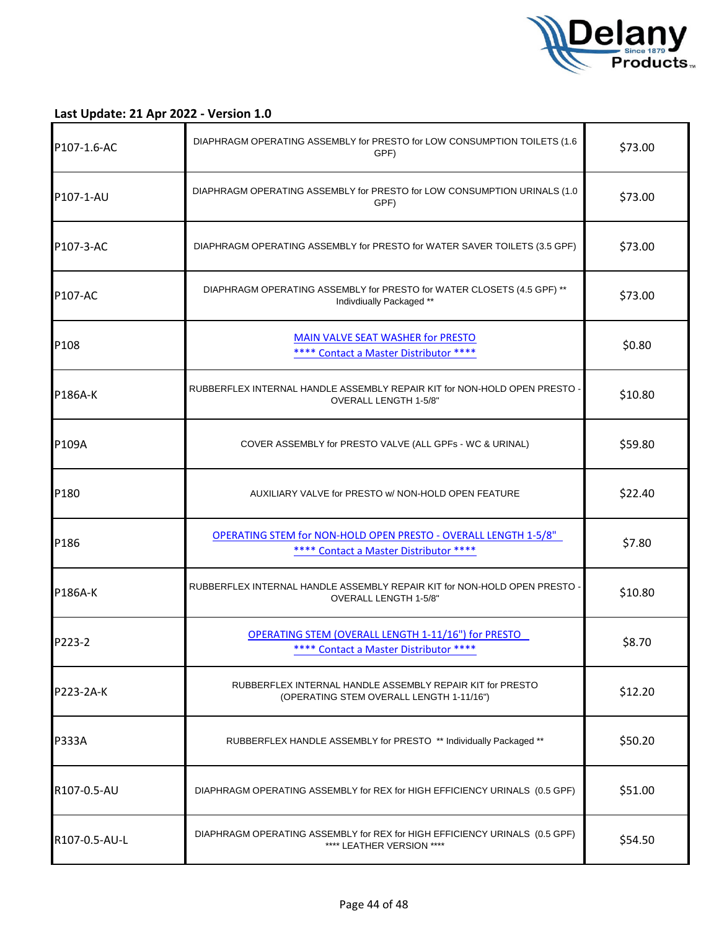

| P107-1.6-AC    | DIAPHRAGM OPERATING ASSEMBLY for PRESTO for LOW CONSUMPTION TOILETS (1.6<br>GPF)                                 | \$73.00 |
|----------------|------------------------------------------------------------------------------------------------------------------|---------|
| P107-1-AU      | DIAPHRAGM OPERATING ASSEMBLY for PRESTO for LOW CONSUMPTION URINALS (1.0<br>GPF)                                 | \$73.00 |
| P107-3-AC      | DIAPHRAGM OPERATING ASSEMBLY for PRESTO for WATER SAVER TOILETS (3.5 GPF)                                        | \$73.00 |
| P107-AC        | DIAPHRAGM OPERATING ASSEMBLY for PRESTO for WATER CLOSETS (4.5 GPF) **<br>Indivdiually Packaged **               | \$73.00 |
| P108           | <b>MAIN VALVE SEAT WASHER for PRESTO</b><br>**** Contact a Master Distributor ****                               | \$0.80  |
| <b>P186A-K</b> | RUBBERFLEX INTERNAL HANDLE ASSEMBLY REPAIR KIT for NON-HOLD OPEN PRESTO -<br>OVERALL LENGTH 1-5/8"               | \$10.80 |
| P109A          | COVER ASSEMBLY for PRESTO VALVE (ALL GPFs - WC & URINAL)                                                         | \$59.80 |
| P180           | AUXILIARY VALVE for PRESTO w/ NON-HOLD OPEN FEATURE                                                              | \$22.40 |
| P186           | <b>OPERATING STEM for NON-HOLD OPEN PRESTO - OVERALL LENGTH 1-5/8"</b><br>**** Contact a Master Distributor **** | \$7.80  |
| P186A-K        | RUBBERFLEX INTERNAL HANDLE ASSEMBLY REPAIR KIT for NON-HOLD OPEN PRESTO -<br>OVERALL LENGTH 1-5/8"               | \$10.80 |
| P223-2         | <b>OPERATING STEM (OVERALL LENGTH 1-11/16") for PRESTO</b><br>**** Contact a Master Distributor ****             | \$8.70  |
| P223-2A-K      | RUBBERFLEX INTERNAL HANDLE ASSEMBLY REPAIR KIT for PRESTO<br>(OPERATING STEM OVERALL LENGTH 1-11/16")            | \$12.20 |
| <b>P333A</b>   | RUBBERFLEX HANDLE ASSEMBLY for PRESTO ** Individually Packaged **                                                | \$50.20 |
| R107-0.5-AU    | DIAPHRAGM OPERATING ASSEMBLY for REX for HIGH EFFICIENCY URINALS (0.5 GPF)                                       | \$51.00 |
| R107-0.5-AU-L  | DIAPHRAGM OPERATING ASSEMBLY for REX for HIGH EFFICIENCY URINALS (0.5 GPF)<br>**** LEATHER VERSION ****          | \$54.50 |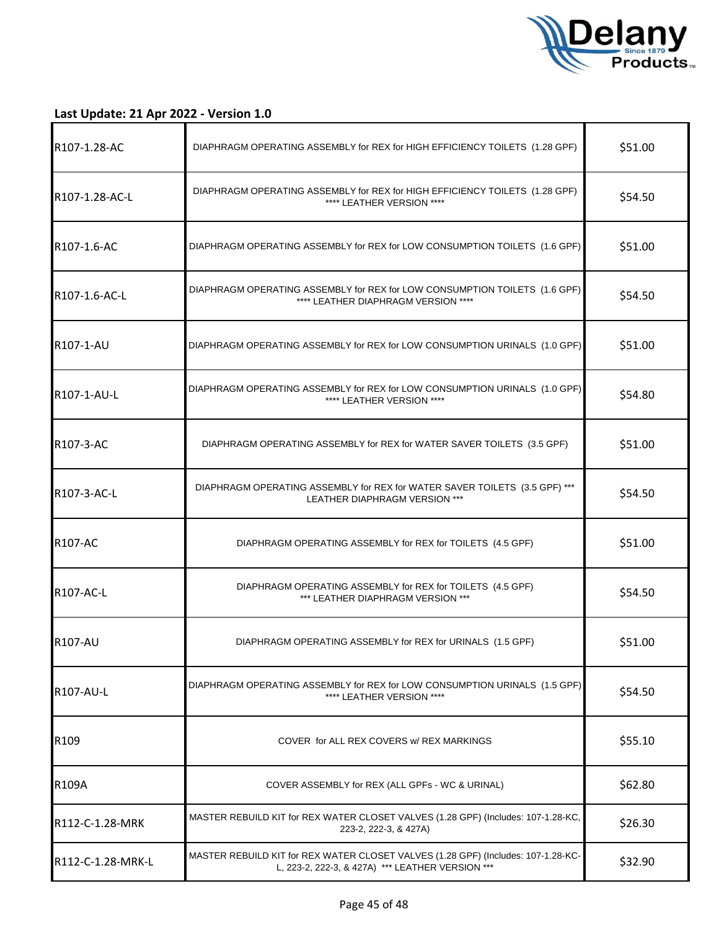

| R107-1.28-AC      | DIAPHRAGM OPERATING ASSEMBLY for REX for HIGH EFFICIENCY TOILETS (1.28 GPF)                                                           | \$51.00 |
|-------------------|---------------------------------------------------------------------------------------------------------------------------------------|---------|
| R107-1.28-AC-L    | DIAPHRAGM OPERATING ASSEMBLY for REX for HIGH EFFICIENCY TOILETS (1.28 GPF)<br>**** LEATHER VERSION ****                              | \$54.50 |
| R107-1.6-AC       | DIAPHRAGM OPERATING ASSEMBLY for REX for LOW CONSUMPTION TOILETS (1.6 GPF)                                                            | \$51.00 |
| R107-1.6-AC-L     | DIAPHRAGM OPERATING ASSEMBLY for REX for LOW CONSUMPTION TOILETS (1.6 GPF)<br>**** LEATHER DIAPHRAGM VERSION ****                     | \$54.50 |
| R107-1-AU         | DIAPHRAGM OPERATING ASSEMBLY for REX for LOW CONSUMPTION URINALS (1.0 GPF)                                                            | \$51.00 |
| R107-1-AU-L       | DIAPHRAGM OPERATING ASSEMBLY for REX for LOW CONSUMPTION URINALS (1.0 GPF)<br>**** LEATHER VERSION ****                               | \$54.80 |
| <b>R107-3-AC</b>  | DIAPHRAGM OPERATING ASSEMBLY for REX for WATER SAVER TOILETS (3.5 GPF)                                                                | \$51.00 |
| R107-3-AC-L       | DIAPHRAGM OPERATING ASSEMBLY for REX for WATER SAVER TOILETS (3.5 GPF) ***<br>LEATHER DIAPHRAGM VERSION ***                           | \$54.50 |
| <b>R107-AC</b>    | DIAPHRAGM OPERATING ASSEMBLY for REX for TOILETS (4.5 GPF)                                                                            | \$51.00 |
| R107-AC-L         | DIAPHRAGM OPERATING ASSEMBLY for REX for TOILETS (4.5 GPF)<br>*** LEATHER DIAPHRAGM VERSION ***                                       | \$54.50 |
| <b>R107-AU</b>    | DIAPHRAGM OPERATING ASSEMBLY for REX for URINALS (1.5 GPF)                                                                            | \$51.00 |
| R107-AU-L         | DIAPHRAGM OPERATING ASSEMBLY for REX for LOW CONSUMPTION URINALS (1.5 GPF)<br>**** LEATHER VERSION ****                               | \$54.50 |
| R109              | COVER for ALL REX COVERS w/ REX MARKINGS                                                                                              | \$55.10 |
| <b>R109A</b>      | COVER ASSEMBLY for REX (ALL GPFs - WC & URINAL)                                                                                       | \$62.80 |
| R112-C-1.28-MRK   | MASTER REBUILD KIT for REX WATER CLOSET VALVES (1.28 GPF) (Includes: 107-1.28-KC,<br>223-2, 222-3, & 427A)                            | \$26.30 |
| R112-C-1.28-MRK-L | MASTER REBUILD KIT for REX WATER CLOSET VALVES (1.28 GPF) (Includes: 107-1.28-KC-<br>L, 223-2, 222-3, & 427A) *** LEATHER VERSION *** | \$32.90 |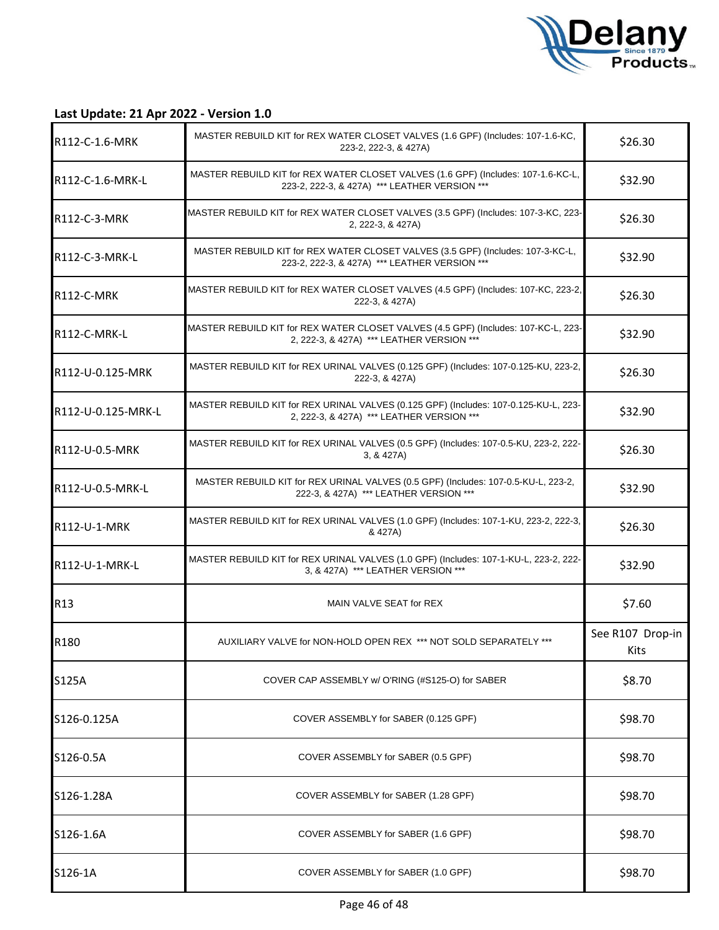

| R112-C-1.6-MRK     | MASTER REBUILD KIT for REX WATER CLOSET VALVES (1.6 GPF) (Includes: 107-1.6-KC,<br>223-2, 222-3, & 427A)                           | \$26.30                  |
|--------------------|------------------------------------------------------------------------------------------------------------------------------------|--------------------------|
| R112-C-1.6-MRK-L   | MASTER REBUILD KIT for REX WATER CLOSET VALVES (1.6 GPF) (Includes: 107-1.6-KC-L,<br>223-2, 222-3, & 427A) *** LEATHER VERSION *** | \$32.90                  |
| R112-C-3-MRK       | MASTER REBUILD KIT for REX WATER CLOSET VALVES (3.5 GPF) (Includes: 107-3-KC, 223-<br>2, 222-3, & 427A)                            | \$26.30                  |
| R112-C-3-MRK-L     | MASTER REBUILD KIT for REX WATER CLOSET VALVES (3.5 GPF) (Includes: 107-3-KC-L,<br>223-2, 222-3, & 427A) *** LEATHER VERSION ***   | \$32.90                  |
| R112-C-MRK         | MASTER REBUILD KIT for REX WATER CLOSET VALVES (4.5 GPF) (Includes: 107-KC, 223-2,<br>222-3, & 427A)                               | \$26.30                  |
| R112-C-MRK-L       | MASTER REBUILD KIT for REX WATER CLOSET VALVES (4.5 GPF) (Includes: 107-KC-L, 223-<br>2, 222-3, & 427A) *** LEATHER VERSION ***    | \$32.90                  |
| R112-U-0.125-MRK   | MASTER REBUILD KIT for REX URINAL VALVES (0.125 GPF) (Includes: 107-0.125-KU, 223-2,<br>222-3, & 427A)                             | \$26.30                  |
| R112-U-0.125-MRK-L | MASTER REBUILD KIT for REX URINAL VALVES (0.125 GPF) (Includes: 107-0.125-KU-L, 223-<br>2, 222-3, & 427A) *** LEATHER VERSION ***  | \$32.90                  |
| R112-U-0.5-MRK     | MASTER REBUILD KIT for REX URINAL VALVES (0.5 GPF) (Includes: 107-0.5-KU, 223-2, 222-<br>3, 8, 427A                                | \$26.30                  |
| R112-U-0.5-MRK-L   | MASTER REBUILD KIT for REX URINAL VALVES (0.5 GPF) (Includes: 107-0.5-KU-L, 223-2,<br>222-3, & 427A) *** LEATHER VERSION ***       | \$32.90                  |
| R112-U-1-MRK       | MASTER REBUILD KIT for REX URINAL VALVES (1.0 GPF) (Includes: 107-1-KU, 223-2, 222-3,<br>& 427A)                                   | \$26.30                  |
| R112-U-1-MRK-L     | MASTER REBUILD KIT for REX URINAL VALVES (1.0 GPF) (Includes: 107-1-KU-L, 223-2, 222-<br>3, & 427A) *** LEATHER VERSION ***        | \$32.90                  |
| R <sub>13</sub>    | MAIN VALVE SEAT for REX                                                                                                            | \$7.60                   |
| R180               | AUXILIARY VALVE for NON-HOLD OPEN REX *** NOT SOLD SEPARATELY ***                                                                  | See R107 Drop-in<br>Kits |
| S125A              | COVER CAP ASSEMBLY w/ O'RING (#S125-O) for SABER                                                                                   | \$8.70                   |
| S126-0.125A        | COVER ASSEMBLY for SABER (0.125 GPF)                                                                                               | \$98.70                  |
| S126-0.5A          | COVER ASSEMBLY for SABER (0.5 GPF)                                                                                                 | \$98.70                  |
| S126-1.28A         | COVER ASSEMBLY for SABER (1.28 GPF)                                                                                                | \$98.70                  |
| S126-1.6A          | COVER ASSEMBLY for SABER (1.6 GPF)                                                                                                 | \$98.70                  |
| S126-1A            | COVER ASSEMBLY for SABER (1.0 GPF)                                                                                                 | \$98.70                  |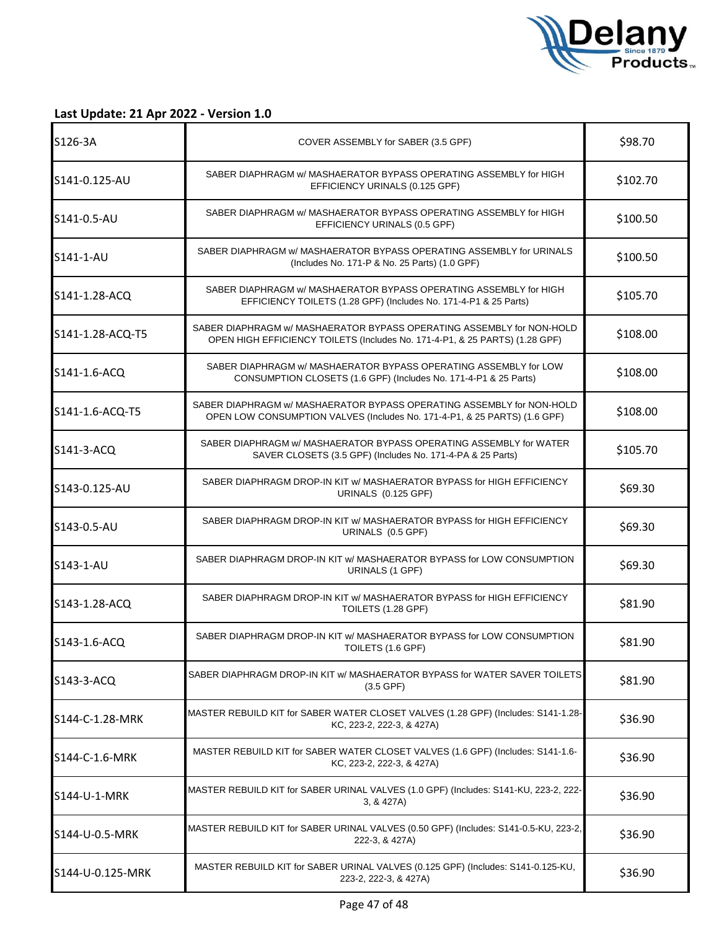

| S126-3A          | COVER ASSEMBLY for SABER (3.5 GPF)                                                                                                                   | \$98.70  |
|------------------|------------------------------------------------------------------------------------------------------------------------------------------------------|----------|
| S141-0.125-AU    | SABER DIAPHRAGM w/ MASHAERATOR BYPASS OPERATING ASSEMBLY for HIGH<br>EFFICIENCY URINALS (0.125 GPF)                                                  | \$102.70 |
| S141-0.5-AU      | SABER DIAPHRAGM w/ MASHAERATOR BYPASS OPERATING ASSEMBLY for HIGH<br>EFFICIENCY URINALS (0.5 GPF)                                                    | \$100.50 |
| S141-1-AU        | SABER DIAPHRAGM w/ MASHAERATOR BYPASS OPERATING ASSEMBLY for URINALS<br>(Includes No. 171-P & No. 25 Parts) (1.0 GPF)                                | \$100.50 |
| S141-1.28-ACQ    | SABER DIAPHRAGM w/ MASHAERATOR BYPASS OPERATING ASSEMBLY for HIGH<br>EFFICIENCY TOILETS (1.28 GPF) (Includes No. 171-4-P1 & 25 Parts)                | \$105.70 |
| S141-1.28-ACQ-T5 | SABER DIAPHRAGM w/ MASHAERATOR BYPASS OPERATING ASSEMBLY for NON-HOLD<br>OPEN HIGH EFFICIENCY TOILETS (Includes No. 171-4-P1, & 25 PARTS) (1.28 GPF) | \$108.00 |
| S141-1.6-ACQ     | SABER DIAPHRAGM w/ MASHAERATOR BYPASS OPERATING ASSEMBLY for LOW<br>CONSUMPTION CLOSETS (1.6 GPF) (Includes No. 171-4-P1 & 25 Parts)                 | \$108.00 |
| S141-1.6-ACQ-T5  | SABER DIAPHRAGM w/ MASHAERATOR BYPASS OPERATING ASSEMBLY for NON-HOLD<br>OPEN LOW CONSUMPTION VALVES (Includes No. 171-4-P1, & 25 PARTS) (1.6 GPF)   | \$108.00 |
| S141-3-ACQ       | SABER DIAPHRAGM w/ MASHAERATOR BYPASS OPERATING ASSEMBLY for WATER<br>SAVER CLOSETS (3.5 GPF) (Includes No. 171-4-PA & 25 Parts)                     | \$105.70 |
| S143-0.125-AU    | SABER DIAPHRAGM DROP-IN KIT w/ MASHAERATOR BYPASS for HIGH EFFICIENCY<br>URINALS (0.125 GPF)                                                         | \$69.30  |
| S143-0.5-AU      | SABER DIAPHRAGM DROP-IN KIT w/ MASHAERATOR BYPASS for HIGH EFFICIENCY<br>URINALS (0.5 GPF)                                                           | \$69.30  |
| S143-1-AU        | SABER DIAPHRAGM DROP-IN KIT w/ MASHAERATOR BYPASS for LOW CONSUMPTION<br>URINALS (1 GPF)                                                             | \$69.30  |
| S143-1.28-ACQ    | SABER DIAPHRAGM DROP-IN KIT w/ MASHAERATOR BYPASS for HIGH EFFICIENCY<br>TOILETS (1.28 GPF)                                                          | \$81.90  |
| S143-1.6-ACQ     | SABER DIAPHRAGM DROP-IN KIT w/ MASHAERATOR BYPASS for LOW CONSUMPTION<br>TOILETS (1.6 GPF)                                                           | \$81.90  |
| S143-3-ACQ       | SABER DIAPHRAGM DROP-IN KIT w/ MASHAERATOR BYPASS for WATER SAVER TOILETS<br>(3.5 GPF)                                                               | \$81.90  |
| S144-C-1.28-MRK  | MASTER REBUILD KIT for SABER WATER CLOSET VALVES (1.28 GPF) (Includes: S141-1.28-<br>KC, 223-2, 222-3, & 427A)                                       | \$36.90  |
| S144-C-1.6-MRK   | MASTER REBUILD KIT for SABER WATER CLOSET VALVES (1.6 GPF) (Includes: S141-1.6-<br>KC, 223-2, 222-3, & 427A)                                         | \$36.90  |
| S144-U-1-MRK     | MASTER REBUILD KIT for SABER URINAL VALVES (1.0 GPF) (Includes: S141-KU, 223-2, 222-<br>3, & 427A)                                                   | \$36.90  |
| S144-U-0.5-MRK   | MASTER REBUILD KIT for SABER URINAL VALVES (0.50 GPF) (Includes: S141-0.5-KU, 223-2,<br>222-3, & 427A)                                               | \$36.90  |
| S144-U-0.125-MRK | MASTER REBUILD KIT for SABER URINAL VALVES (0.125 GPF) (Includes: S141-0.125-KU,<br>223-2, 222-3, & 427A)                                            | \$36.90  |